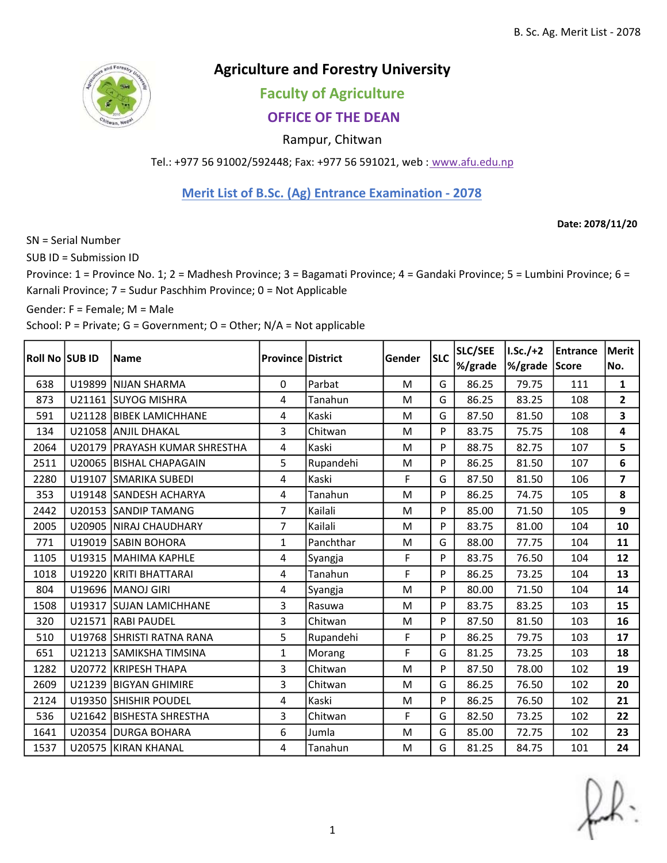

# Agriculture and Forestry University

## Faculty of Agriculture

## OFFICE OF THE DEAN

#### Rampur, Chitwan

Tel.: +977 56 91002/592448; Fax: +977 56 591021, web : www.afu.edu.np

#### Merit List of B.Sc. (Ag) Entrance Examination - 2078

Date: 2078/11/20

SN = Serial Number

SUB ID = Submission ID

Province: 1 = Province No. 1; 2 = Madhesh Province; 3 = Bagamati Province; 4 = Gandaki Province; 5 = Lumbini Province; 6 = Karnali Province; 7 = Sudur Paschhim Province; 0 = Not Applicable

Gender: F = Female; M = Male

School: P = Private; G = Government; O = Other; N/A = Not applicable

| Roll No  SUB ID |        | <b>Name</b>                   | <b>Province District</b> |           | Gender | <b>SLC</b> | <b>SLC/SEE</b><br>%/grade | I.Sc./+2<br> %/grade  Score | Entrance | Merit<br>No.            |
|-----------------|--------|-------------------------------|--------------------------|-----------|--------|------------|---------------------------|-----------------------------|----------|-------------------------|
| 638             |        | U19899 NIJAN SHARMA           | 0                        | Parbat    | M      | G          | 86.25                     | 79.75                       | 111      | $\mathbf{1}$            |
| 873             |        | U21161 SUYOG MISHRA           | 4                        | Tanahun   | M      | G          | 86.25                     | 83.25                       | 108      | $2^{\circ}$             |
| 591             |        | U21128 BIBEK LAMICHHANE       | 4                        | Kaski     | M      | G          | 87.50                     | 81.50                       | 108      | $\overline{\mathbf{3}}$ |
| 134             |        | U21058 ANJIL DHAKAL           | 3                        | Chitwan   | M      | P          | 83.75                     | 75.75                       | 108      | 4                       |
| 2064            |        | U20179 PRAYASH KUMAR SHRESTHA | 4                        | Kaski     | M      | P          | 88.75                     | 82.75                       | 107      | 5                       |
| 2511            |        | U20065 BISHAL CHAPAGAIN       | 5                        | Rupandehi | M      | P          | 86.25                     | 81.50                       | 107      | 6                       |
| 2280            |        | U19107 SMARIKA SUBEDI         | 4                        | Kaski     | F      | G          | 87.50                     | 81.50                       | 106      | $\overline{7}$          |
| 353             |        | U19148 SANDESH ACHARYA        | 4                        | Tanahun   | M      | P          | 86.25                     | 74.75                       | 105      | 8                       |
| 2442            |        | U20153 SANDIP TAMANG          | $\overline{7}$           | Kailali   | M      | P          | 85.00                     | 71.50                       | 105      | 9                       |
| 2005            |        | U20905 NIRAJ CHAUDHARY        | $\overline{7}$           | Kailali   | M      | P          | 83.75                     | 81.00                       | 104      | 10                      |
| 771             |        | U19019 SABIN BOHORA           | $\mathbf{1}$             | Panchthar | M      | G          | 88.00                     | 77.75                       | 104      | 11                      |
| 1105            |        | U19315 MAHIMA KAPHLE          | 4                        | Syangja   | F      | P          | 83.75                     | 76.50                       | 104      | 12                      |
| 1018            |        | U19220 KRITI BHATTARAI        | 4                        | Tanahun   | F      | P          | 86.25                     | 73.25                       | 104      | 13                      |
| 804             |        | U19696 MANOJ GIRI             | 4                        | Syangja   | M      | P          | 80.00                     | 71.50                       | 104      | 14                      |
| 1508            |        | U19317 SUJAN LAMICHHANE       | 3                        | Rasuwa    | M      | P          | 83.75                     | 83.25                       | 103      | 15                      |
| 320             |        | U21571 RABI PAUDEL            | 3                        | Chitwan   | M      | P          | 87.50                     | 81.50                       | 103      | 16                      |
| 510             |        | U19768 SHRISTI RATNA RANA     | 5                        | Rupandehi | F      | P          | 86.25                     | 79.75                       | 103      | 17                      |
| 651             |        | U21213 SAMIKSHA TIMSINA       | 1                        | Morang    | F      | G          | 81.25                     | 73.25                       | 103      | 18                      |
| 1282            |        | U20772 KRIPESH THAPA          | 3                        | Chitwan   | M      | P          | 87.50                     | 78.00                       | 102      | 19                      |
| 2609            | U21239 | <b>BIGYAN GHIMIRE</b>         | 3                        | Chitwan   | M      | G          | 86.25                     | 76.50                       | 102      | 20                      |
| 2124            |        | U19350 SHISHIR POUDEL         | 4                        | Kaski     | M      | P          | 86.25                     | 76.50                       | 102      | 21                      |
| 536             |        | U21642 BISHESTA SHRESTHA      | 3                        | Chitwan   | F      | G          | 82.50                     | 73.25                       | 102      | 22                      |
| 1641            |        | U20354 DURGA BOHARA           | 6                        | Jumla     | M      | G          | 85.00                     | 72.75                       | 102      | 23                      |
| 1537            |        | U20575 KIRAN KHANAL           | 4                        | Tanahun   | M      | G          | 81.25                     | 84.75                       | 101      | 24                      |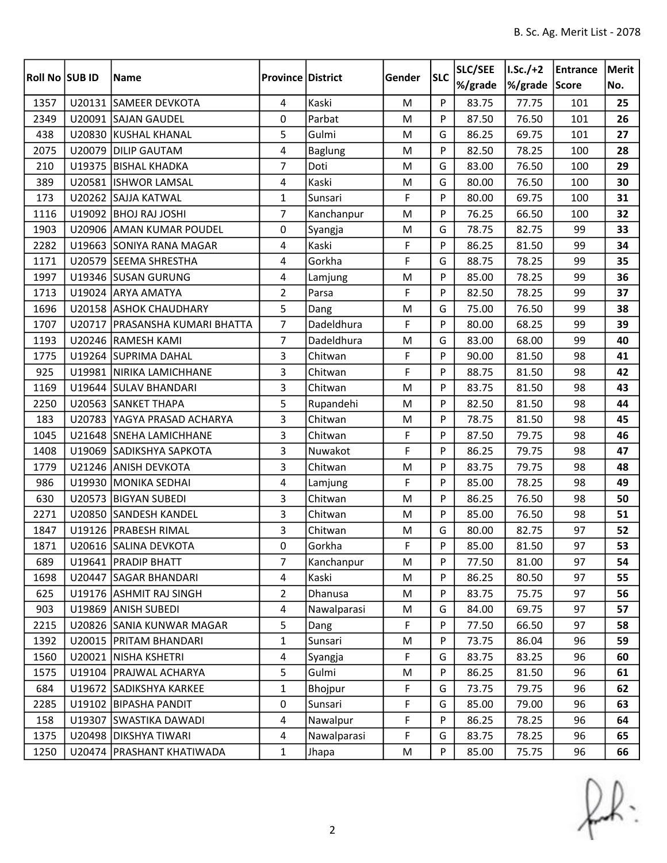| <b>Roll No SUB ID</b> |        | Name                             | <b>Province District</b> |                | Gender      | <b>SLC</b> | SLC/SEE | I.Sc./+2      | Entrance | Merit |
|-----------------------|--------|----------------------------------|--------------------------|----------------|-------------|------------|---------|---------------|----------|-------|
|                       |        |                                  |                          |                |             |            | %/grade | %/grade Score |          | No.   |
| 1357                  |        | U20131 SAMEER DEVKOTA            | $\overline{4}$           | Kaski          | M           | P          | 83.75   | 77.75         | 101      | 25    |
| 2349                  |        | U20091 SAJAN GAUDEL              | 0                        | Parbat         | M           | P          | 87.50   | 76.50         | 101      | 26    |
| 438                   |        | U20830 KUSHAL KHANAL             | 5                        | Gulmi          | M           | G          | 86.25   | 69.75         | 101      | 27    |
| 2075                  | U20079 | <b>DILIP GAUTAM</b>              | 4                        | <b>Baglung</b> | M           | P          | 82.50   | 78.25         | 100      | 28    |
| 210                   |        | U19375 BISHAL KHADKA             | $\overline{7}$           | Doti           | ${\sf M}$   | G          | 83.00   | 76.50         | 100      | 29    |
| 389                   |        | U20581 ISHWOR LAMSAL             | 4                        | Kaski          | M           | G          | 80.00   | 76.50         | 100      | 30    |
| 173                   |        | U20262 SAJJA KATWAL              | $\mathbf{1}$             | Sunsari        | F           | P          | 80.00   | 69.75         | 100      | 31    |
| 1116                  |        | U19092 BHOJ RAJ JOSHI            | $\overline{7}$           | Kanchanpur     | M           | P          | 76.25   | 66.50         | 100      | 32    |
| 1903                  |        | U20906 AMAN KUMAR POUDEL         | 0                        | Syangja        | M           | G          | 78.75   | 82.75         | 99       | 33    |
| 2282                  |        | U19663 SONIYA RANA MAGAR         | 4                        | Kaski          | F           | P          | 86.25   | 81.50         | 99       | 34    |
| 1171                  |        | U20579 SEEMA SHRESTHA            | 4                        | Gorkha         | F           | G          | 88.75   | 78.25         | 99       | 35    |
| 1997                  |        | U19346 SUSAN GURUNG              | 4                        | Lamjung        | M           | P          | 85.00   | 78.25         | 99       | 36    |
| 1713                  |        | U19024 ARYA AMATYA               | $\overline{2}$           | Parsa          | F           | P          | 82.50   | 78.25         | 99       | 37    |
| 1696                  |        | U20158 ASHOK CHAUDHARY           | 5                        | Dang           | M           | G          | 75.00   | 76.50         | 99       | 38    |
| 1707                  |        | U20717   PRASANSHA KUMARI BHATTA | $\overline{7}$           | Dadeldhura     | F           | P          | 80.00   | 68.25         | 99       | 39    |
| 1193                  |        | U20246 RAMESH KAMI               | 7                        | Dadeldhura     | M           | G          | 83.00   | 68.00         | 99       | 40    |
| 1775                  |        | U19264 SUPRIMA DAHAL             | $\overline{3}$           | Chitwan        | F           | P          | 90.00   | 81.50         | 98       | 41    |
| 925                   |        | U19981 NIRIKA LAMICHHANE         | 3                        | Chitwan        | F           | P          | 88.75   | 81.50         | 98       | 42    |
| 1169                  |        | U19644 SULAV BHANDARI            | $\overline{3}$           | Chitwan        | M           | P          | 83.75   | 81.50         | 98       | 43    |
| 2250                  |        | U20563 SANKET THAPA              | 5                        | Rupandehi      | M           | P          | 82.50   | 81.50         | 98       | 44    |
| 183                   |        | U20783 YAGYA PRASAD ACHARYA      | 3                        | Chitwan        | M           | P          | 78.75   | 81.50         | 98       | 45    |
| 1045                  |        | U21648 SNEHA LAMICHHANE          | 3                        | Chitwan        | F           | P          | 87.50   | 79.75         | 98       | 46    |
| 1408                  |        | U19069 SADIKSHYA SAPKOTA         | $\overline{3}$           | Nuwakot        | F           | P          | 86.25   | 79.75         | 98       | 47    |
| 1779                  |        | U21246 ANISH DEVKOTA             | 3                        | Chitwan        | M           | P          | 83.75   | 79.75         | 98       | 48    |
| 986                   |        | U19930 MONIKA SEDHAI             | 4                        | Lamjung        | F           | P          | 85.00   | 78.25         | 98       | 49    |
| 630                   |        | U20573 BIGYAN SUBEDI             | 3                        | Chitwan        | M           | P          | 86.25   | 76.50         | 98       | 50    |
| 2271                  |        | U20850 SANDESH KANDEL            | 3                        | Chitwan        | M           | P          | 85.00   | 76.50         | 98       | 51    |
| 1847                  |        | U19126   PRABESH RIMAL           | 3                        | Chitwan        | M           | G          | 80.00   | 82.75         | 97       | 52    |
| 1871                  |        | U20616 SALINA DEVKOTA            | 0                        | Gorkha         | $\mathsf F$ | P          | 85.00   | 81.50         | 97       | 53    |
| 689                   |        | U19641   PRADIP BHATT            | 7                        | Kanchanpur     | M           | P          | 77.50   | 81.00         | 97       | 54    |
| 1698                  |        | U20447 SAGAR BHANDARI            | $\overline{4}$           | Kaski          | M           | P          | 86.25   | 80.50         | 97       | 55    |
| 625                   |        | U19176 ASHMIT RAJ SINGH          | $\overline{2}$           | Dhanusa        | M           | P          | 83.75   | 75.75         | 97       | 56    |
| 903                   |        | U19869 ANISH SUBEDI              | $\overline{4}$           | Nawalparasi    | M           | G          | 84.00   | 69.75         | 97       | 57    |
| 2215                  |        | U20826 SANIA KUNWAR MAGAR        | 5                        | Dang           | F           | P          | 77.50   | 66.50         | 97       | 58    |
| 1392                  |        | U20015 PRITAM BHANDARI           | 1                        | Sunsari        | M           | P          | 73.75   | 86.04         | 96       | 59    |
| 1560                  |        | U20021 NISHA KSHETRI             | $\overline{4}$           | Syangja        | F           | G          | 83.75   | 83.25         | 96       | 60    |
| 1575                  |        | U19104   PRAJWAL ACHARYA         | 5                        | Gulmi          | M           | P          | 86.25   | 81.50         | 96       | 61    |
| 684                   |        | U19672 SADIKSHYA KARKEE          | 1                        | Bhojpur        | F           | G          | 73.75   | 79.75         | 96       | 62    |
| 2285                  |        | U19102 BIPASHA PANDIT            | $\pmb{0}$                | Sunsari        | F           | G          | 85.00   | 79.00         | 96       | 63    |
| 158                   | U19307 | <b>SWASTIKA DAWADI</b>           | $\overline{4}$           | Nawalpur       | F           | P          | 86.25   | 78.25         | 96       | 64    |
| 1375                  |        | U20498 DIKSHYA TIWARI            | $\overline{4}$           | Nawalparasi    | F           | G          | 83.75   | 78.25         | 96       | 65    |
| 1250                  |        | U20474   PRASHANT KHATIWADA      | $\mathbf 1$              | Jhapa          | M           | P          | 85.00   | 75.75         | 96       | 66    |

 $f(x)$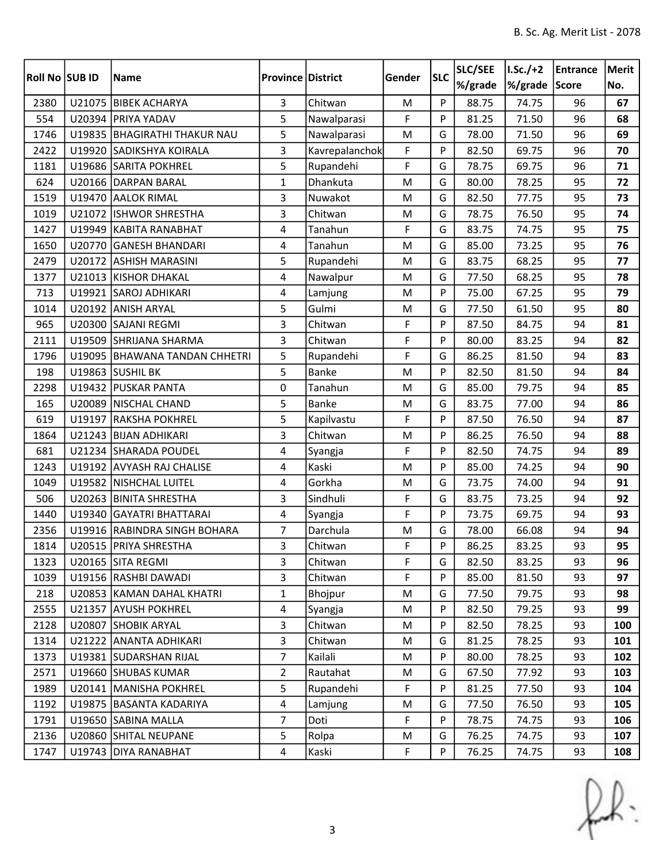| <b>Roll No SUB ID</b> |        | Name                           | <b>Province District</b> |                | Gender      | <b>SLC</b> | SLC/SEE | $I.Sc./+2$    | Entrance | Merit |
|-----------------------|--------|--------------------------------|--------------------------|----------------|-------------|------------|---------|---------------|----------|-------|
|                       |        |                                |                          |                |             |            | %/grade | %/grade Score |          | No.   |
| 2380                  | U21075 | <b>BIBEK ACHARYA</b>           | $\overline{3}$           | Chitwan        | M           | P          | 88.75   | 74.75         | 96       | 67    |
| 554                   |        | U20394 PRIYA YADAV             | 5                        | Nawalparasi    | F           | P          | 81.25   | 71.50         | 96       | 68    |
| 1746                  |        | U19835   BHAGIRATHI THAKUR NAU | 5                        | Nawalparasi    | M           | G          | 78.00   | 71.50         | 96       | 69    |
| 2422                  | U19920 | SADIKSHYA KOIRALA              | $\overline{3}$           | Kavrepalanchok | $\mathsf F$ | P          | 82.50   | 69.75         | 96       | 70    |
| 1181                  |        | U19686 SARITA POKHREL          | 5                        | Rupandehi      | F           | G          | 78.75   | 69.75         | 96       | 71    |
| 624                   |        | U20166 DARPAN BARAL            | $\mathbf{1}$             | Dhankuta       | M           | G          | 80.00   | 78.25         | 95       | 72    |
| 1519                  |        | U19470 AALOK RIMAL             | 3                        | Nuwakot        | M           | G          | 82.50   | 77.75         | 95       | 73    |
| 1019                  |        | U21072 ISHWOR SHRESTHA         | 3                        | Chitwan        | M           | G          | 78.75   | 76.50         | 95       | 74    |
| 1427                  |        | U19949 KABITA RANABHAT         | 4                        | Tanahun        | F           | G          | 83.75   | 74.75         | 95       | 75    |
| 1650                  |        | U20770 GANESH BHANDARI         | 4                        | Tanahun        | M           | G          | 85.00   | 73.25         | 95       | 76    |
| 2479                  |        | U20172 ASHISH MARASINI         | 5                        | Rupandehi      | ${\sf M}$   | G          | 83.75   | 68.25         | 95       | 77    |
| 1377                  |        | U21013 KISHOR DHAKAL           | 4                        | Nawalpur       | ${\sf M}$   | G          | 77.50   | 68.25         | 95       | 78    |
| 713                   |        | U19921 SAROJ ADHIKARI          | $\overline{4}$           | Lamjung        | M           | P          | 75.00   | 67.25         | 95       | 79    |
| 1014                  |        | U20192 ANISH ARYAL             | 5                        | Gulmi          | M           | G          | 77.50   | 61.50         | 95       | 80    |
| 965                   |        | U20300 SAJANI REGMI            | 3                        | Chitwan        | F           | P          | 87.50   | 84.75         | 94       | 81    |
| 2111                  |        | U19509 SHRIJANA SHARMA         | 3                        | Chitwan        | F           | P          | 80.00   | 83.25         | 94       | 82    |
| 1796                  |        | U19095 BHAWANA TANDAN CHHETRI  | 5                        | Rupandehi      | F           | G          | 86.25   | 81.50         | 94       | 83    |
| 198                   |        | U19863 SUSHIL BK               | 5                        | <b>Banke</b>   | M           | P          | 82.50   | 81.50         | 94       | 84    |
| 2298                  |        | U19432 PUSKAR PANTA            | 0                        | Tanahun        | M           | G          | 85.00   | 79.75         | 94       | 85    |
| 165                   |        | U20089 NISCHAL CHAND           | 5                        | <b>Banke</b>   | M           | G          | 83.75   | 77.00         | 94       | 86    |
| 619                   | U19197 | <b>RAKSHA POKHREL</b>          | 5                        | Kapilvastu     | F           | P          | 87.50   | 76.50         | 94       | 87    |
| 1864                  |        | U21243 BIJAN ADHIKARI          | 3                        | Chitwan        | M           | Þ          | 86.25   | 76.50         | 94       | 88    |
| 681                   |        | U21234 SHARADA POUDEL          | 4                        | Syangja        | F           | P          | 82.50   | 74.75         | 94       | 89    |
| 1243                  |        | U19192 AVYASH RAJ CHALISE      | 4                        | Kaski          | ${\sf M}$   | P          | 85.00   | 74.25         | 94       | 90    |
| 1049                  |        | U19582 NISHCHAL LUITEL         | 4                        | Gorkha         | M           | G          | 73.75   | 74.00         | 94       | 91    |
| 506                   |        | U20263 BINITA SHRESTHA         | 3                        | Sindhuli       | F           | G          | 83.75   | 73.25         | 94       | 92    |
| 1440                  | U19340 | <b>GAYATRI BHATTARAI</b>       | 4                        | Syangja        | F           | P          | 73.75   | 69.75         | 94       | 93    |
| 2356                  |        | U19916 RABINDRA SINGH BOHARA   | $\overline{7}$           | Darchula       | M           | G          | 78.00   | 66.08         | 94       | 94    |
| 1814                  |        | U20515 PRIYA SHRESTHA          | 3                        | Chitwan        | $\mathsf F$ | P          | 86.25   | 83.25         | 93       | 95    |
| 1323                  |        | U20165 SITA REGMI              | 3                        | Chitwan        | F           | G          | 82.50   | 83.25         | 93       | 96    |
| 1039                  |        | U19156 RASHBI DAWADI           | 3                        | Chitwan        | F           | P          | 85.00   | 81.50         | 93       | 97    |
| 218                   |        | U20853 KAMAN DAHAL KHATRI      | $\mathbf{1}$             | Bhojpur        | M           | G          | 77.50   | 79.75         | 93       | 98    |
| 2555                  |        | U21357 AYUSH POKHREL           | 4                        | Syangja        | M           | P          | 82.50   | 79.25         | 93       | 99    |
| 2128                  |        | U20807 SHOBIK ARYAL            | 3                        | Chitwan        | M           | P          | 82.50   | 78.25         | 93       | 100   |
| 1314                  |        | U21222 ANANTA ADHIKARI         | 3                        | Chitwan        | M           | G          | 81.25   | 78.25         | 93       | 101   |
| 1373                  |        | U19381 SUDARSHAN RIJAL         | $\overline{7}$           | Kailali        | M           | P          | 80.00   | 78.25         | 93       | 102   |
| 2571                  |        | U19660 SHUBAS KUMAR            | $\overline{2}$           | Rautahat       | M           | G          | 67.50   | 77.92         | 93       | 103   |
| 1989                  |        | U20141   MANISHA POKHREL       | 5                        | Rupandehi      | F           | P          | 81.25   | 77.50         | 93       | 104   |
| 1192                  |        | U19875 BASANTA KADARIYA        | $\overline{4}$           | Lamjung        | M           | G          | 77.50   | 76.50         | 93       | 105   |
| 1791                  |        | U19650 SABINA MALLA            | 7                        | Doti           | F           | P          | 78.75   | 74.75         | 93       | 106   |
| 2136                  |        | U20860 SHITAL NEUPANE          | 5                        | Rolpa          | M           | G          | 76.25   | 74.75         | 93       | 107   |
| 1747                  |        | U19743 DIYA RANABHAT           | 4                        | Kaski          | $\mathsf F$ | P          | 76.25   | 74.75         | 93       | 108   |

 $f(x)$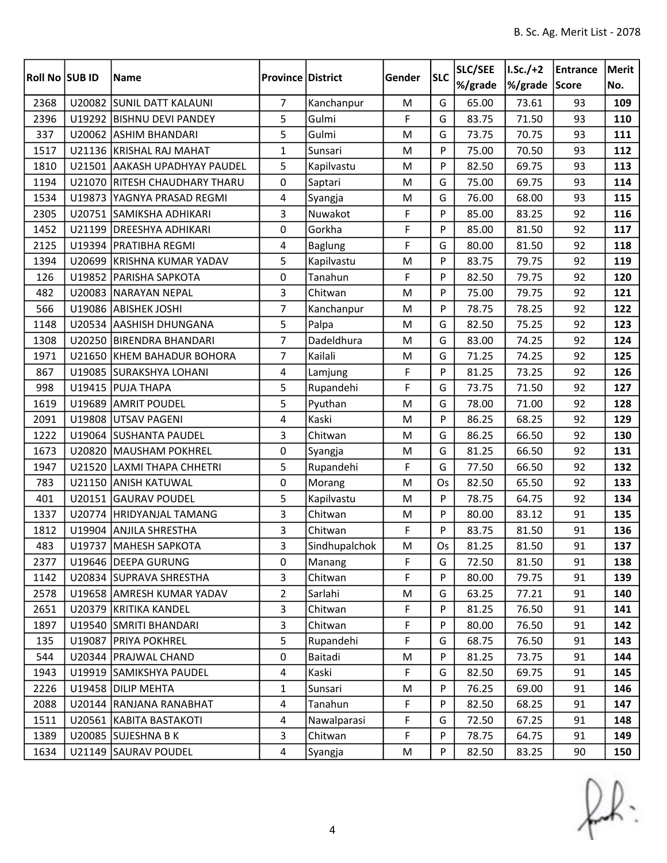| <b>Roll No SUB ID</b> |        | Name                          | <b>Province District</b> |                | Gender    | <b>SLC</b> | SLC/SEE | $I.Sc./+2$    | Entrance | Merit |
|-----------------------|--------|-------------------------------|--------------------------|----------------|-----------|------------|---------|---------------|----------|-------|
|                       |        |                               |                          |                |           |            | %/grade | %/grade Score |          | No.   |
| 2368                  |        | U20082 SUNIL DATT KALAUNI     | $\overline{7}$           | Kanchanpur     | M         | G          | 65.00   | 73.61         | 93       | 109   |
| 2396                  |        | U19292 BISHNU DEVI PANDEY     | 5                        | Gulmi          | F         | G          | 83.75   | 71.50         | 93       | 110   |
| 337                   |        | U20062 ASHIM BHANDARI         | 5                        | Gulmi          | M         | G          | 73.75   | 70.75         | 93       | 111   |
| 1517                  |        | U21136 KRISHAL RAJ MAHAT      | $\mathbf{1}$             | Sunsari        | M         | P          | 75.00   | 70.50         | 93       | 112   |
| 1810                  |        | U21501 AAKASH UPADHYAY PAUDEL | 5                        | Kapilvastu     | ${\sf M}$ | P          | 82.50   | 69.75         | 93       | 113   |
| 1194                  |        | U21070 RITESH CHAUDHARY THARU | 0                        | Saptari        | M         | G          | 75.00   | 69.75         | 93       | 114   |
| 1534                  |        | U19873 YAGNYA PRASAD REGMI    | $\overline{4}$           | Syangja        | M         | G          | 76.00   | 68.00         | 93       | 115   |
| 2305                  |        | U20751 SAMIKSHA ADHIKARI      | 3                        | Nuwakot        | F         | P          | 85.00   | 83.25         | 92       | 116   |
| 1452                  | U21199 | <b>DREESHYA ADHIKARI</b>      | 0                        | Gorkha         | F         | P          | 85.00   | 81.50         | 92       | 117   |
| 2125                  |        | U19394   PRATIBHA REGMI       | 4                        | <b>Baglung</b> | F         | G          | 80.00   | 81.50         | 92       | 118   |
| 1394                  |        | U20699 KRISHNA KUMAR YADAV    | 5                        | Kapilvastu     | M         | P          | 83.75   | 79.75         | 92       | 119   |
| 126                   |        | U19852 PARISHA SAPKOTA        | 0                        | Tanahun        | F         | P          | 82.50   | 79.75         | 92       | 120   |
| 482                   |        | U20083 NARAYAN NEPAL          | 3                        | Chitwan        | M         | P          | 75.00   | 79.75         | 92       | 121   |
| 566                   |        | U19086 ABISHEK JOSHI          | $\overline{7}$           | Kanchanpur     | M         | P          | 78.75   | 78.25         | 92       | 122   |
| 1148                  |        | U20534 AASHISH DHUNGANA       | 5                        | Palpa          | M         | G          | 82.50   | 75.25         | 92       | 123   |
| 1308                  |        | U20250 BIRENDRA BHANDARI      | 7                        | Dadeldhura     | M         | G          | 83.00   | 74.25         | 92       | 124   |
| 1971                  |        | U21650 KHEM BAHADUR BOHORA    | $\overline{7}$           | Kailali        | M         | G          | 71.25   | 74.25         | 92       | 125   |
| 867                   |        | U19085 SURAKSHYA LOHANI       | 4                        | Lamjung        | F         | P          | 81.25   | 73.25         | 92       | 126   |
| 998                   |        | U19415 PUJA THAPA             | 5                        | Rupandehi      | F         | G          | 73.75   | 71.50         | 92       | 127   |
| 1619                  |        | U19689 AMRIT POUDEL           | 5                        | Pyuthan        | M         | G          | 78.00   | 71.00         | 92       | 128   |
| 2091                  | U19808 | UTSAV PAGENI                  | 4                        | Kaski          | M         | P          | 86.25   | 68.25         | 92       | 129   |
| 1222                  |        | U19064 SUSHANTA PAUDEL        | 3                        | Chitwan        | M         | G          | 86.25   | 66.50         | 92       | 130   |
| 1673                  | U20820 | MAUSHAM POKHREL               | 0                        | Syangja        | M         | G          | 81.25   | 66.50         | 92       | 131   |
| 1947                  | U21520 | LAXMI THAPA CHHETRI           | 5                        | Rupandehi      | F         | G          | 77.50   | 66.50         | 92       | 132   |
| 783                   |        | U21150 ANISH KATUWAL          | 0                        | Morang         | M         | Os         | 82.50   | 65.50         | 92       | 133   |
| 401                   | U20151 | <b>GAURAV POUDEL</b>          | 5                        | Kapilvastu     | M         | P          | 78.75   | 64.75         | 92       | 134   |
| 1337                  | U20774 | <b>HRIDYANJAL TAMANG</b>      | 3                        | Chitwan        | M         | P          | 80.00   | 83.12         | 91       | 135   |
| 1812                  |        | U19904 ANJILA SHRESTHA        | 3                        | Chitwan        | F         | P          | 83.75   | 81.50         | 91       | 136   |
| 483                   |        | U19737 MAHESH SAPKOTA         | 3                        | Sindhupalchok  | ${\sf M}$ | Os         | 81.25   | 81.50         | 91       | 137   |
| 2377                  |        | U19646   DEEPA GURUNG         | 0                        | Manang         | F         | G          | 72.50   | 81.50         | 91       | 138   |
| 1142                  |        | U20834 SUPRAVA SHRESTHA       | 3                        | Chitwan        | F         | P          | 80.00   | 79.75         | 91       | 139   |
| 2578                  |        | U19658 AMRESH KUMAR YADAV     | $\overline{2}$           | Sarlahi        | M         | G          | 63.25   | 77.21         | 91       | 140   |
| 2651                  |        | U20379 KRITIKA KANDEL         | 3                        | Chitwan        | F         | P          | 81.25   | 76.50         | 91       | 141   |
| 1897                  |        | U19540 SMRITI BHANDARI        | 3                        | Chitwan        | F         | P          | 80.00   | 76.50         | 91       | 142   |
| 135                   | U19087 | <b>PRIYA POKHREL</b>          | 5                        | Rupandehi      | F         | G          | 68.75   | 76.50         | 91       | 143   |
| 544                   |        | U20344   PRAJWAL CHAND        | $\mathbf 0$              | Baitadi        | M         | P          | 81.25   | 73.75         | 91       | 144   |
| 1943                  |        | U19919 SAMIKSHYA PAUDEL       | $\overline{4}$           | Kaski          | F         | G          | 82.50   | 69.75         | 91       | 145   |
| 2226                  |        | U19458 DILIP MEHTA            | $\mathbf 1$              | Sunsari        | M         | P          | 76.25   | 69.00         | 91       | 146   |
| 2088                  |        | U20144 RANJANA RANABHAT       | 4                        | Tanahun        | F         | P          | 82.50   | 68.25         | 91       | 147   |
| 1511                  |        | U20561 KABITA BASTAKOTI       | 4                        | Nawalparasi    | F         | G          | 72.50   | 67.25         | 91       | 148   |
| 1389                  |        | U20085 SUJESHNA B K           | 3                        | Chitwan        | F         | P          | 78.75   | 64.75         | 91       | 149   |
| 1634                  |        | U21149 SAURAV POUDEL          | 4                        | Syangja        | M         | P          | 82.50   | 83.25         | 90       | 150   |

 $f(x)$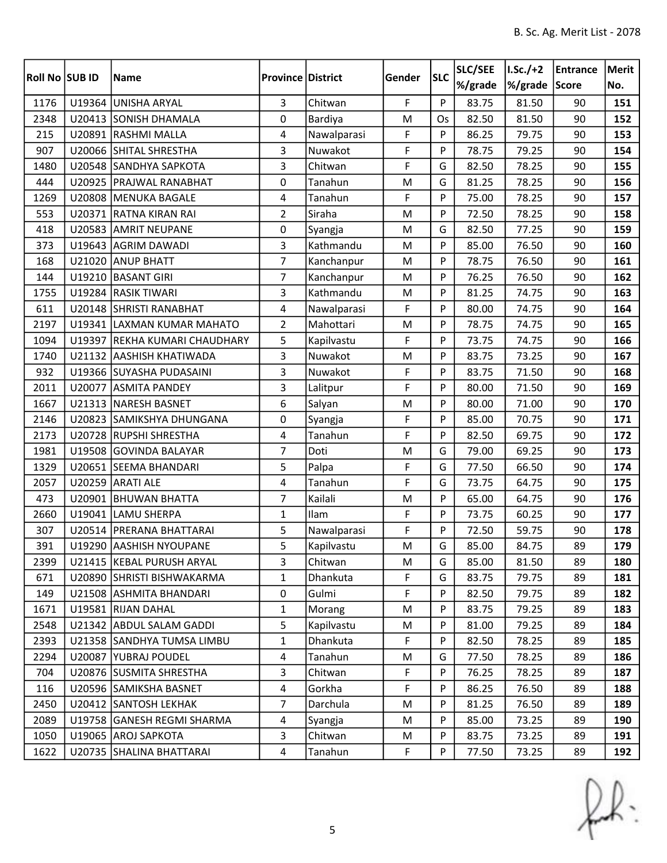|                |        |                               |                          |             |              |            | SLC/SEE | $I.Sc./+2$    | Entrance | Merit |
|----------------|--------|-------------------------------|--------------------------|-------------|--------------|------------|---------|---------------|----------|-------|
| Roll No SUB ID |        | Name                          | <b>Province District</b> |             | Gender       | <b>SLC</b> | %/grade | %/grade Score |          | No.   |
| 1176           | U19364 | <b>UNISHA ARYAL</b>           | 3                        | Chitwan     | $\mathsf{F}$ | P          | 83.75   | 81.50         | 90       | 151   |
| 2348           |        | U20413 SONISH DHAMALA         | 0                        | Bardiya     | M            | Os         | 82.50   | 81.50         | 90       | 152   |
| 215            |        | U20891 RASHMI MALLA           | 4                        | Nawalparasi | $\mathsf F$  | P          | 86.25   | 79.75         | 90       | 153   |
| 907            |        | U20066 SHITAL SHRESTHA        | 3                        | Nuwakot     | $\mathsf F$  | P          | 78.75   | 79.25         | 90       | 154   |
| 1480           |        | U20548 SANDHYA SAPKOTA        | 3                        | Chitwan     | $\mathsf F$  | G          | 82.50   | 78.25         | 90       | 155   |
| 444            |        | U20925   PRAJWAL RANABHAT     | 0                        | Tanahun     | M            | G          | 81.25   | 78.25         | 90       | 156   |
| 1269           |        | U20808   MENUKA BAGALE        | 4                        | Tanahun     | $\mathsf F$  | P          | 75.00   | 78.25         | 90       | 157   |
| 553            |        | U20371 RATNA KIRAN RAI        | $\overline{2}$           | Siraha      | M            | P          | 72.50   | 78.25         | 90       | 158   |
| 418            | U20583 | <b>AMRIT NEUPANE</b>          | 0                        | Syangja     | M            | G          | 82.50   | 77.25         | 90       | 159   |
| 373            |        | U19643 AGRIM DAWADI           | 3                        | Kathmandu   | M            | P          | 85.00   | 76.50         | 90       | 160   |
| 168            |        | U21020 ANUP BHATT             | $\overline{7}$           | Kanchanpur  | M            | P          | 78.75   | 76.50         | 90       | 161   |
| 144            |        | U19210 BASANT GIRI            | $\overline{7}$           | Kanchanpur  | ${\sf M}$    | P          | 76.25   | 76.50         | 90       | 162   |
| 1755           |        | U19284 RASIK TIWARI           | 3                        | Kathmandu   | M            | P          | 81.25   | 74.75         | 90       | 163   |
| 611            |        | U20148 SHRISTI RANABHAT       | 4                        | Nawalparasi | F            | P          | 80.00   | 74.75         | 90       | 164   |
| 2197           |        | U19341 LAXMAN KUMAR MAHATO    | $\overline{2}$           | Mahottari   | M            | P          | 78.75   | 74.75         | 90       | 165   |
| 1094           |        | U19397 REKHA KUMARI CHAUDHARY | 5                        | Kapilvastu  | F            | P          | 73.75   | 74.75         | 90       | 166   |
| 1740           |        | U21132 AASHISH KHATIWADA      | 3                        | Nuwakot     | M            | P          | 83.75   | 73.25         | 90       | 167   |
| 932            |        | U19366 SUYASHA PUDASAINI      | 3                        | Nuwakot     | F            | P          | 83.75   | 71.50         | 90       | 168   |
| 2011           | U20077 | <b>ASMITA PANDEY</b>          | 3                        | Lalitpur    | $\mathsf F$  | P          | 80.00   | 71.50         | 90       | 169   |
| 1667           |        | U21313 NARESH BASNET          | 6                        | Salyan      | M            | P          | 80.00   | 71.00         | 90       | 170   |
| 2146           |        | U20823 SAMIKSHYA DHUNGANA     | 0                        | Syangja     | F            | P          | 85.00   | 70.75         | 90       | 171   |
| 2173           |        | U20728 RUPSHI SHRESTHA        | 4                        | Tanahun     | F            | P          | 82.50   | 69.75         | 90       | 172   |
| 1981           |        | U19508 GOVINDA BALAYAR        | $\overline{7}$           | Doti        | M            | G          | 79.00   | 69.25         | 90       | 173   |
| 1329           |        | U20651 SEEMA BHANDARI         | 5                        | Palpa       | F            | G          | 77.50   | 66.50         | 90       | 174   |
| 2057           |        | U20259 ARATI ALE              | $\overline{\mathbf{4}}$  | Tanahun     | F            | G          | 73.75   | 64.75         | 90       | 175   |
| 473            | U20901 | <b>BHUWAN BHATTA</b>          | 7                        | Kailali     | M            | P          | 65.00   | 64.75         | 90       | 176   |
| 2660           |        | U19041 LAMU SHERPA            | $\mathbf{1}$             | Ilam        | $\mathsf F$  | P          | 73.75   | 60.25         | 90       | 177   |
| 307            |        | U20514   PRERANA BHATTARAI    | 5                        | Nawalparasi | F            | P          | 72.50   | 59.75         | 90       | 178   |
| 391            |        | U19290 AASHISH NYOUPANE       | 5                        | Kapilvastu  | ${\sf M}$    | G          | 85.00   | 84.75         | 89       | 179   |
| 2399           |        | U21415 KEBAL PURUSH ARYAL     | 3                        | Chitwan     | M            | G          | 85.00   | 81.50         | 89       | 180   |
| 671            |        | U20890 SHRISTI BISHWAKARMA    | $\mathbf{1}$             | Dhankuta    | $\mathsf F$  | G          | 83.75   | 79.75         | 89       | 181   |
| 149            |        | U21508 ASHMITA BHANDARI       | 0                        | Gulmi       | F            | P          | 82.50   | 79.75         | 89       | 182   |
| 1671           |        | U19581 RIJAN DAHAL            | 1                        | Morang      | M            | P          | 83.75   | 79.25         | 89       | 183   |
| 2548           |        | U21342 ABDUL SALAM GADDI      | 5                        | Kapilvastu  | M            | P          | 81.00   | 79.25         | 89       | 184   |
| 2393           |        | U21358 SANDHYA TUMSA LIMBU    | $\mathbf{1}$             | Dhankuta    | F            | P          | 82.50   | 78.25         | 89       | 185   |
| 2294           |        | U20087 YUBRAJ POUDEL          | 4                        | Tanahun     | M            | G          | 77.50   | 78.25         | 89       | 186   |
| 704            |        | U20876 SUSMITA SHRESTHA       | $\overline{3}$           | Chitwan     | $\mathsf F$  | P          | 76.25   | 78.25         | 89       | 187   |
| 116            |        | U20596 SAMIKSHA BASNET        | 4                        | Gorkha      | F            | P          | 86.25   | 76.50         | 89       | 188   |
| 2450           |        | U20412 SANTOSH LEKHAK         | $\overline{7}$           | Darchula    | M            | P          | 81.25   | 76.50         | 89       | 189   |
| 2089           |        | U19758 GANESH REGMI SHARMA    | 4                        | Syangja     | M            | P          | 85.00   | 73.25         | 89       | 190   |
| 1050           |        | U19065 AROJ SAPKOTA           | $\overline{3}$           | Chitwan     | M            | P          | 83.75   | 73.25         | 89       | 191   |
| 1622           |        | U20735 SHALINA BHATTARAI      | 4                        | Tanahun     | $\mathsf F$  | P          | 77.50   | 73.25         | 89       | 192   |

 $f(x)$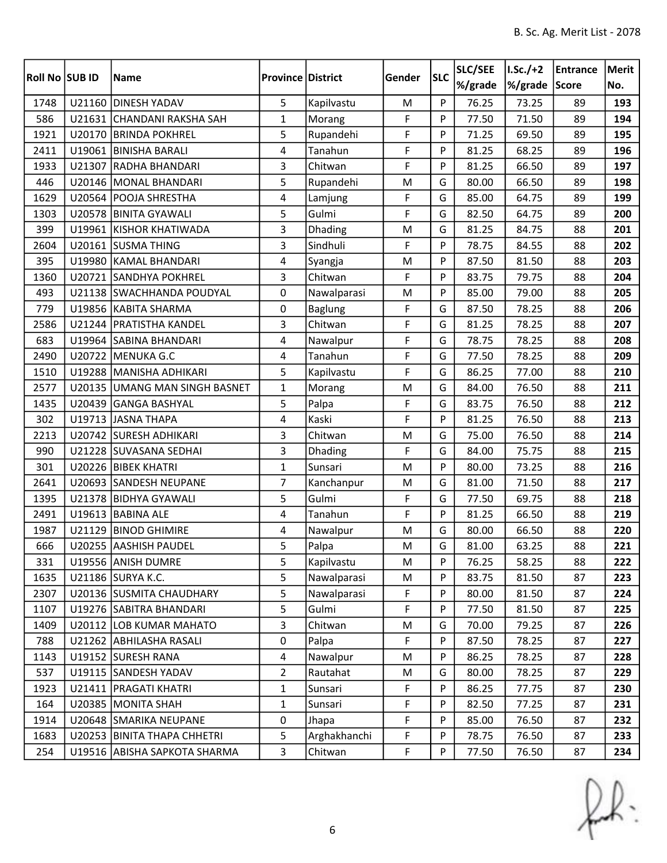| <b>Roll No SUB ID</b> |        | Name                          | <b>Province District</b> |                | Gender    | <b>SLC</b> | SLC/SEE | $I.Sc./+2$    | Entrance | Merit |
|-----------------------|--------|-------------------------------|--------------------------|----------------|-----------|------------|---------|---------------|----------|-------|
|                       |        |                               |                          |                |           |            | %/grade | %/grade Score |          | No.   |
| 1748                  | U21160 | <b>DINESH YADAV</b>           | 5                        | Kapilvastu     | M         | P          | 76.25   | 73.25         | 89       | 193   |
| 586                   | U21631 | CHANDANI RAKSHA SAH           | 1                        | Morang         | F         | P          | 77.50   | 71.50         | 89       | 194   |
| 1921                  | U20170 | <b>BRINDA POKHREL</b>         | 5                        | Rupandehi      | F         | P          | 71.25   | 69.50         | 89       | 195   |
| 2411                  |        | U19061 BINISHA BARALI         | 4                        | Tanahun        | F         | P          | 81.25   | 68.25         | 89       | 196   |
| 1933                  |        | U21307 RADHA BHANDARI         | 3                        | Chitwan        | F         | P          | 81.25   | 66.50         | 89       | 197   |
| 446                   |        | U20146 MONAL BHANDARI         | 5                        | Rupandehi      | ${\sf M}$ | G          | 80.00   | 66.50         | 89       | 198   |
| 1629                  |        | U20564 POOJA SHRESTHA         | 4                        | Lamjung        | F         | G          | 85.00   | 64.75         | 89       | 199   |
| 1303                  |        | U20578 BINITA GYAWALI         | 5                        | Gulmi          | F         | G          | 82.50   | 64.75         | 89       | 200   |
| 399                   |        | U19961 KISHOR KHATIWADA       | 3                        | Dhading        | M         | G          | 81.25   | 84.75         | 88       | 201   |
| 2604                  |        | U20161 SUSMA THING            | 3                        | Sindhuli       | F         | P          | 78.75   | 84.55         | 88       | 202   |
| 395                   |        | U19980 KAMAL BHANDARI         | 4                        | Syangja        | ${\sf M}$ | P          | 87.50   | 81.50         | 88       | 203   |
| 1360                  |        | U20721 SANDHYA POKHREL        | 3                        | Chitwan        | F         | P          | 83.75   | 79.75         | 88       | 204   |
| 493                   |        | U21138 SWACHHANDA POUDYAL     | 0                        | Nawalparasi    | M         | P          | 85.00   | 79.00         | 88       | 205   |
| 779                   |        | U19856 KABITA SHARMA          | 0                        | <b>Baglung</b> | F         | G          | 87.50   | 78.25         | 88       | 206   |
| 2586                  |        | U21244   PRATISTHA KANDEL     | 3                        | Chitwan        | F         | G          | 81.25   | 78.25         | 88       | 207   |
| 683                   |        | U19964 SABINA BHANDARI        | 4                        | Nawalpur       | F         | G          | 78.75   | 78.25         | 88       | 208   |
| 2490                  |        | U20722 MENUKA G.C             | 4                        | Tanahun        | F         | G          | 77.50   | 78.25         | 88       | 209   |
| 1510                  |        | U19288 MANISHA ADHIKARI       | 5                        | Kapilvastu     | F         | G          | 86.25   | 77.00         | 88       | 210   |
| 2577                  |        | U20135 UMANG MAN SINGH BASNET | $\mathbf{1}$             | Morang         | ${\sf M}$ | G          | 84.00   | 76.50         | 88       | 211   |
| 1435                  |        | U20439 GANGA BASHYAL          | 5                        | Palpa          | F         | G          | 83.75   | 76.50         | 88       | 212   |
| 302                   |        | U19713 JASNA THAPA            | 4                        | Kaski          | F         | P          | 81.25   | 76.50         | 88       | 213   |
| 2213                  |        | U20742 SURESH ADHIKARI        | 3                        | Chitwan        | M         | G          | 75.00   | 76.50         | 88       | 214   |
| 990                   |        | U21228 SUVASANA SEDHAI        | 3                        | Dhading        | F         | G          | 84.00   | 75.75         | 88       | 215   |
| 301                   |        | U20226 BIBEK KHATRI           | $\mathbf{1}$             | Sunsari        | ${\sf M}$ | P          | 80.00   | 73.25         | 88       | 216   |
| 2641                  |        | U20693 SANDESH NEUPANE        | $\overline{7}$           | Kanchanpur     | M         | G          | 81.00   | 71.50         | 88       | 217   |
| 1395                  |        | U21378 BIDHYA GYAWALI         | 5                        | Gulmi          | F         | G          | 77.50   | 69.75         | 88       | 218   |
| 2491                  |        | U19613 BABINA ALE             | 4                        | Tanahun        | F         | P          | 81.25   | 66.50         | 88       | 219   |
| 1987                  |        | U21129 BINOD GHIMIRE          | 4                        | Nawalpur       | M         | G          | 80.00   | 66.50         | 88       | 220   |
| 666                   |        | U20255 AASHISH PAUDEL         | 5                        | Palpa          | ${\sf M}$ | G          | 81.00   | 63.25         | 88       | 221   |
| 331                   |        | U19556 ANISH DUMRE            | 5                        | Kapilvastu     | M         | P          | 76.25   | 58.25         | 88       | 222   |
| 1635                  |        | U21186 SURYA K.C.             | 5                        | Nawalparasi    | M         | P          | 83.75   | 81.50         | 87       | 223   |
| 2307                  |        | U20136 SUSMITA CHAUDHARY      | 5                        | Nawalparasi    | F         | P          | 80.00   | 81.50         | 87       | 224   |
| 1107                  |        | U19276 SABITRA BHANDARI       | 5                        | Gulmi          | F         | P          | 77.50   | 81.50         | 87       | 225   |
| 1409                  |        | U20112 LOB KUMAR MAHATO       | 3                        | Chitwan        | M         | G          | 70.00   | 79.25         | 87       | 226   |
| 788                   |        | U21262 ABHILASHA RASALI       | 0                        | Palpa          | F         | P          | 87.50   | 78.25         | 87       | 227   |
| 1143                  |        | U19152 SURESH RANA            | $\overline{4}$           | Nawalpur       | M         | P          | 86.25   | 78.25         | 87       | 228   |
| 537                   |        | U19115 SANDESH YADAV          | $\overline{2}$           | Rautahat       | M         | G          | 80.00   | 78.25         | 87       | 229   |
| 1923                  |        | U21411   PRAGATI KHATRI       | $\mathbf 1$              | Sunsari        | F         | P          | 86.25   | 77.75         | 87       | 230   |
| 164                   |        | U20385   MONITA SHAH          | $\mathbf{1}$             | Sunsari        | F         | P          | 82.50   | 77.25         | 87       | 231   |
| 1914                  |        | U20648 SMARIKA NEUPANE        | 0                        | Jhapa          | F         | P          | 85.00   | 76.50         | 87       | 232   |
| 1683                  |        | U20253 BINITA THAPA CHHETRI   | 5                        | Arghakhanchi   | F         | P          | 78.75   | 76.50         | 87       | 233   |
| 254                   |        | U19516 ABISHA SAPKOTA SHARMA  | $\overline{\mathbf{3}}$  | Chitwan        | F         | P          | 77.50   | 76.50         | 87       | 234   |

 $f(x)$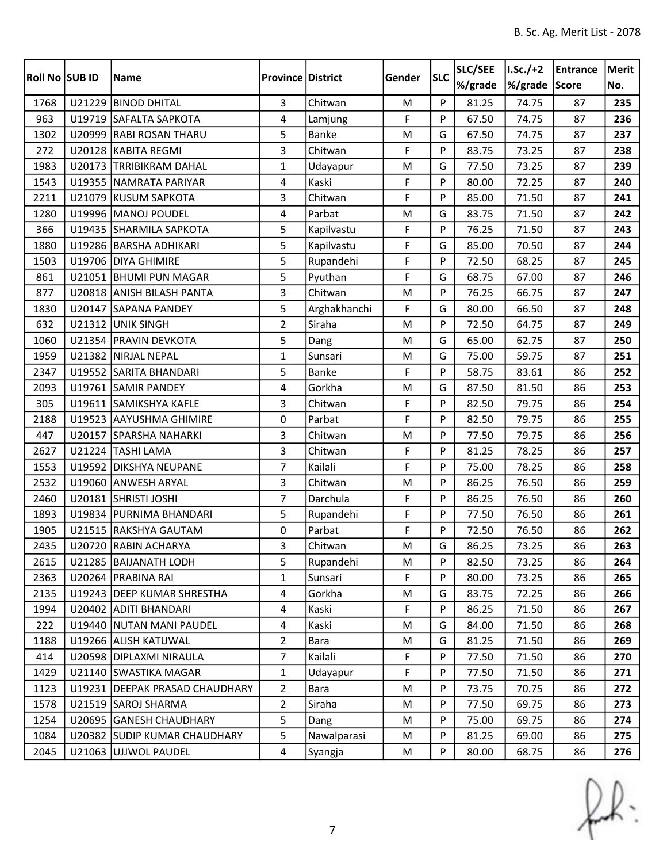| Roll No SUB ID | Name                             | <b>Province District</b> |              | Gender      | <b>SLC</b> | SLC/SEE | $ I.Sc./+2 $  | Entrance | Merit |
|----------------|----------------------------------|--------------------------|--------------|-------------|------------|---------|---------------|----------|-------|
|                |                                  |                          |              |             |            | %/grade | %/grade Score |          | No.   |
| 1768           | U21229 BINOD DHITAL              | 3                        | Chitwan      | ${\sf M}$   | P          | 81.25   | 74.75         | 87       | 235   |
| 963            | U19719 SAFALTA SAPKOTA           | 4                        | Lamjung      | F           | P          | 67.50   | 74.75         | 87       | 236   |
| 1302           | U20999 RABI ROSAN THARU          | 5                        | Banke        | M           | G          | 67.50   | 74.75         | 87       | 237   |
| 272            | U20128 KABITA REGMI              | 3                        | Chitwan      | $\mathsf F$ | P          | 83.75   | 73.25         | 87       | 238   |
| 1983           | U20173 TRRIBIKRAM DAHAL          | $\mathbf{1}$             | Udayapur     | M           | G          | 77.50   | 73.25         | 87       | 239   |
| 1543           | U19355 NAMRATA PARIYAR           | 4                        | Kaski        | $\mathsf F$ | P          | 80.00   | 72.25         | 87       | 240   |
| 2211           | U21079 KUSUM SAPKOTA             | 3                        | Chitwan      | $\mathsf F$ | P          | 85.00   | 71.50         | 87       | 241   |
| 1280           | U19996 MANOJ POUDEL              | 4                        | Parbat       | M           | G          | 83.75   | 71.50         | 87       | 242   |
| 366            | U19435 SHARMILA SAPKOTA          | 5                        | Kapilvastu   | F           | P          | 76.25   | 71.50         | 87       | 243   |
| 1880           | U19286 BARSHA ADHIKARI           | 5                        | Kapilvastu   | F           | G          | 85.00   | 70.50         | 87       | 244   |
| 1503           | U19706 DIYA GHIMIRE              | 5                        | Rupandehi    | F           | P          | 72.50   | 68.25         | 87       | 245   |
| 861            | U21051 BHUMI PUN MAGAR           | 5                        | Pyuthan      | $\mathsf F$ | G          | 68.75   | 67.00         | 87       | 246   |
| 877            | U20818 ANISH BILASH PANTA        | 3                        | Chitwan      | M           | P          | 76.25   | 66.75         | 87       | 247   |
| 1830           | U20147 SAPANA PANDEY             | 5                        | Arghakhanchi | F           | G          | 80.00   | 66.50         | 87       | 248   |
| 632            | U21312 UNIK SINGH                | $\overline{2}$           | Siraha       | M           | P          | 72.50   | 64.75         | 87       | 249   |
| 1060           | U21354 PRAVIN DEVKOTA            | 5                        | Dang         | M           | G          | 65.00   | 62.75         | 87       | 250   |
| 1959           | U21382 NIRJAL NEPAL              | $\mathbf{1}$             | Sunsari      | ${\sf M}$   | G          | 75.00   | 59.75         | 87       | 251   |
| 2347           | U19552 SARITA BHANDARI           | 5                        | <b>Banke</b> | F           | P          | 58.75   | 83.61         | 86       | 252   |
| 2093           | U19761 SAMIR PANDEY              | 4                        | Gorkha       | M           | G          | 87.50   | 81.50         | 86       | 253   |
| 305            | U19611 SAMIKSHYA KAFLE           | 3                        | Chitwan      | $\mathsf F$ | P          | 82.50   | 79.75         | 86       | 254   |
| 2188           | U19523 AAYUSHMA GHIMIRE          | 0                        | Parbat       | $\mathsf F$ | P          | 82.50   | 79.75         | 86       | 255   |
| 447            | U20157 SPARSHA NAHARKI           | 3                        | Chitwan      | M           | P          | 77.50   | 79.75         | 86       | 256   |
| 2627           | U21224 TASHI LAMA                | $\overline{3}$           | Chitwan      | $\mathsf F$ | P          | 81.25   | 78.25         | 86       | 257   |
| 1553           | U19592 DIKSHYA NEUPANE           | $\overline{7}$           | Kailali      | $\mathsf F$ | P          | 75.00   | 78.25         | 86       | 258   |
| 2532           | U19060 ANWESH ARYAL              | 3                        | Chitwan      | M           | P          | 86.25   | 76.50         | 86       | 259   |
| 2460           | U20181 SHRISTI JOSHI             | $\overline{7}$           | Darchula     | F           | P          | 86.25   | 76.50         | 86       | 260   |
| 1893           | U19834 PURNIMA BHANDARI          | 5                        | Rupandehi    | F           | P          | 77.50   | 76.50         | 86       | 261   |
| 1905           | U21515 RAKSHYA GAUTAM            | 0                        | Parbat       | F           | P          | 72.50   | 76.50         | 86       | 262   |
| 2435           | U20720 RABIN ACHARYA             | 3                        | Chitwan      | ${\sf M}$   | G          | 86.25   | 73.25         | 86       | 263   |
| 2615           | U21285   BAIJANATH LODH          | 5                        | Rupandehi    | M           | P          | 82.50   | 73.25         | 86       | 264   |
| 2363           | U20264 PRABINA RAI               | $\mathbf{1}$             | Sunsari      | $\mathsf F$ | P          | 80.00   | 73.25         | 86       | 265   |
| 2135           | U19243 DEEP KUMAR SHRESTHA       | 4                        | Gorkha       | M           | G          | 83.75   | 72.25         | 86       | 266   |
| 1994           | U20402 ADITI BHANDARI            | 4                        | Kaski        | F           | P          | 86.25   | 71.50         | 86       | 267   |
| 222            | U19440 NUTAN MANI PAUDEL         | 4                        | Kaski        | M           | G          | 84.00   | 71.50         | 86       | 268   |
| 1188           | U19266 ALISH KATUWAL             | $\overline{2}$           | Bara         | M           | G          | 81.25   | 71.50         | 86       | 269   |
| 414            | U20598 DIPLAXMI NIRAULA          | $\overline{7}$           | Kailali      | F           | P          | 77.50   | 71.50         | 86       | 270   |
| 1429           | U21140 SWASTIKA MAGAR            | 1                        | Udayapur     | F           | P          | 77.50   | 71.50         | 86       | 271   |
| 1123           | U19231   DEEPAK PRASAD CHAUDHARY | $\overline{2}$           | Bara         | M           | P          | 73.75   | 70.75         | 86       | 272   |
| 1578           | U21519 SAROJ SHARMA              | $\overline{2}$           | Siraha       | M           | P          | 77.50   | 69.75         | 86       | 273   |
| 1254           | U20695 GANESH CHAUDHARY          | 5                        | Dang         | M           | P          | 75.00   | 69.75         | 86       | 274   |
| 1084           | U20382 SUDIP KUMAR CHAUDHARY     | 5                        | Nawalparasi  | M           | P          | 81.25   | 69.00         | 86       | 275   |
| 2045           | U21063 UJJWOL PAUDEL             | $\overline{4}$           | Syangja      | M           | P          | 80.00   | 68.75         | 86       | 276   |

 $f(x)$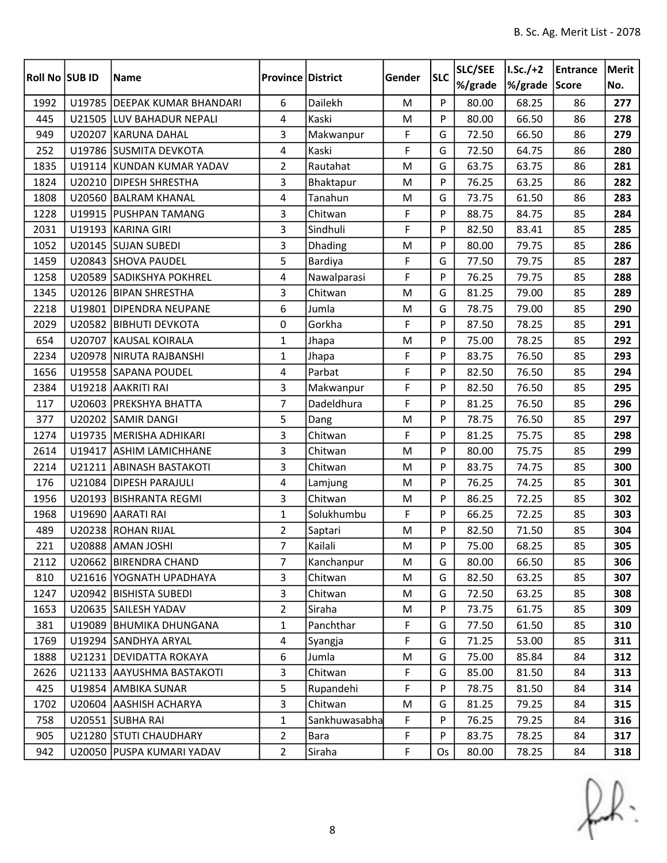| Roll No SUB ID |        | Name                         | <b>Province District</b> |                | Gender    | <b>SLC</b> | SLC/SEE | $I.Sc./+2$    | Entrance | Merit |
|----------------|--------|------------------------------|--------------------------|----------------|-----------|------------|---------|---------------|----------|-------|
|                |        |                              |                          |                |           |            | %/grade | %/grade Score |          | No.   |
| 1992           |        | U19785 DEEPAK KUMAR BHANDARI | 6                        | Dailekh        | M         | P          | 80.00   | 68.25         | 86       | 277   |
| 445            |        | U21505 LUV BAHADUR NEPALI    | 4                        | Kaski          | M         | P          | 80.00   | 66.50         | 86       | 278   |
| 949            |        | U20207 KARUNA DAHAL          | 3                        | Makwanpur      | F         | G          | 72.50   | 66.50         | 86       | 279   |
| 252            |        | U19786 SUSMITA DEVKOTA       | 4                        | Kaski          | F         | G          | 72.50   | 64.75         | 86       | 280   |
| 1835           |        | U19114 KUNDAN KUMAR YADAV    | $\overline{2}$           | Rautahat       | M         | G          | 63.75   | 63.75         | 86       | 281   |
| 1824           |        | U20210 DIPESH SHRESTHA       | 3                        | Bhaktapur      | ${\sf M}$ | P          | 76.25   | 63.25         | 86       | 282   |
| 1808           |        | U20560 BALRAM KHANAL         | 4                        | Tanahun        | M         | G          | 73.75   | 61.50         | 86       | 283   |
| 1228           |        | U19915   PUSHPAN TAMANG      | 3                        | Chitwan        | F         | P          | 88.75   | 84.75         | 85       | 284   |
| 2031           |        | U19193 KARINA GIRI           | 3                        | Sindhuli       | F         | P          | 82.50   | 83.41         | 85       | 285   |
| 1052           |        | U20145 SUJAN SUBEDI          | 3                        | <b>Dhading</b> | M         | P          | 80.00   | 79.75         | 85       | 286   |
| 1459           |        | U20843 SHOVA PAUDEL          | 5                        | Bardiya        | F         | G          | 77.50   | 79.75         | 85       | 287   |
| 1258           |        | U20589 SADIKSHYA POKHREL     | 4                        | Nawalparasi    | F         | P          | 76.25   | 79.75         | 85       | 288   |
| 1345           |        | U20126 BIPAN SHRESTHA        | $\overline{3}$           | Chitwan        | M         | G          | 81.25   | 79.00         | 85       | 289   |
| 2218           |        | U19801 DIPENDRA NEUPANE      | 6                        | Jumla          | M         | G          | 78.75   | 79.00         | 85       | 290   |
| 2029           |        | U20582 BIBHUTI DEVKOTA       | 0                        | Gorkha         | F         | P          | 87.50   | 78.25         | 85       | 291   |
| 654            | U20707 | <b>KAUSAL KOIRALA</b>        | 1                        | Jhapa          | M         | P          | 75.00   | 78.25         | 85       | 292   |
| 2234           |        | U20978 NIRUTA RAJBANSHI      | $\mathbf{1}$             | Jhapa          | F         | P          | 83.75   | 76.50         | 85       | 293   |
| 1656           |        | U19558 SAPANA POUDEL         | 4                        | Parbat         | F         | P          | 82.50   | 76.50         | 85       | 294   |
| 2384           |        | U19218 AAKRITI RAI           | 3                        | Makwanpur      | F         | P          | 82.50   | 76.50         | 85       | 295   |
| 117            |        | U20603 PREKSHYA BHATTA       | $\overline{7}$           | Dadeldhura     | F         | P          | 81.25   | 76.50         | 85       | 296   |
| 377            |        | U20202 SAMIR DANGI           | 5                        | Dang           | ${\sf M}$ | P          | 78.75   | 76.50         | 85       | 297   |
| 1274           |        | U19735   MERISHA ADHIKARI    | 3                        | Chitwan        | F         | P          | 81.25   | 75.75         | 85       | 298   |
| 2614           | U19417 | <b>ASHIM LAMICHHANE</b>      | 3                        | Chitwan        | M         | P          | 80.00   | 75.75         | 85       | 299   |
| 2214           |        | U21211 ABINASH BASTAKOTI     | 3                        | Chitwan        | ${\sf M}$ | P          | 83.75   | 74.75         | 85       | 300   |
| 176            |        | U21084 DIPESH PARAJULI       | 4                        | Lamjung        | ${\sf M}$ | P          | 76.25   | 74.25         | 85       | 301   |
| 1956           |        | U20193 BISHRANTA REGMI       | 3                        | Chitwan        | M         | P          | 86.25   | 72.25         | 85       | 302   |
| 1968           | U19690 | <b>AARATI RAI</b>            | $\mathbf{1}$             | Solukhumbu     | F         | P          | 66.25   | 72.25         | 85       | 303   |
| 489            |        | U20238 ROHAN RIJAL           | $\overline{2}$           | Saptari        | M         | P          | 82.50   | 71.50         | 85       | 304   |
| 221            |        | U20888 AMAN JOSHI            | $\overline{7}$           | Kailali        | M         | P          | 75.00   | 68.25         | 85       | 305   |
| 2112           |        | U20662   BIRENDRA CHAND      | 7                        | Kanchanpur     | M         | G          | 80.00   | 66.50         | 85       | 306   |
| 810            |        | U21616 YOGNATH UPADHAYA      | $\overline{3}$           | Chitwan        | M         | G          | 82.50   | 63.25         | 85       | 307   |
| 1247           |        | U20942 BISHISTA SUBEDI       | 3                        | Chitwan        | M         | G          | 72.50   | 63.25         | 85       | 308   |
| 1653           |        | U20635 SAILESH YADAV         | $\overline{2}$           | Siraha         | M         | P          | 73.75   | 61.75         | 85       | 309   |
| 381            |        | U19089 BHUMIKA DHUNGANA      | $\mathbf{1}$             | Panchthar      | F         | G          | 77.50   | 61.50         | 85       | 310   |
| 1769           |        | U19294 SANDHYA ARYAL         | 4                        | Syangja        | F         | G          | 71.25   | 53.00         | 85       | 311   |
| 1888           |        | U21231 DEVIDATTA ROKAYA      | 6                        | Jumla          | M         | G          | 75.00   | 85.84         | 84       | 312   |
| 2626           |        | U21133 AAYUSHMA BASTAKOTI    | 3                        | Chitwan        | F         | G          | 85.00   | 81.50         | 84       | 313   |
| 425            |        | U19854 AMBIKA SUNAR          | 5                        | Rupandehi      | F         | P          | 78.75   | 81.50         | 84       | 314   |
| 1702           |        | U20604 AASHISH ACHARYA       | 3                        | Chitwan        | M         | G          | 81.25   | 79.25         | 84       | 315   |
| 758            |        | U20551 SUBHA RAI             | 1                        | Sankhuwasabha  | F         | P          | 76.25   | 79.25         | 84       | 316   |
| 905            |        | U21280 STUTI CHAUDHARY       | $\overline{2}$           | <b>Bara</b>    | F         | P          | 83.75   | 78.25         | 84       | 317   |
| 942            |        | U20050 PUSPA KUMARI YADAV    | $\overline{2}$           | Siraha         | F         | Os         | 80.00   | 78.25         | 84       | 318   |

 $f(x)$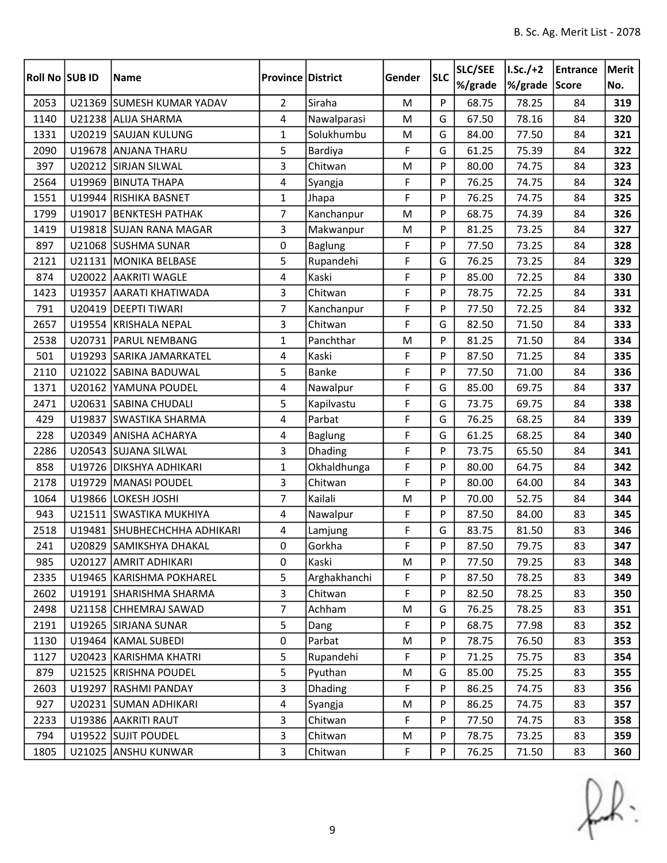| Roll No SUB ID |        | Name                         | <b>Province District</b> |                | Gender      | <b>SLC</b> | SLC/SEE<br>%/grade | $I.Sc./+2$<br>%/grade Score | Entrance | Merit<br>No. |
|----------------|--------|------------------------------|--------------------------|----------------|-------------|------------|--------------------|-----------------------------|----------|--------------|
| 2053           |        | U21369 SUMESH KUMAR YADAV    | $\overline{2}$           | Siraha         | M           | P          | 68.75              | 78.25                       | 84       | 319          |
| 1140           |        | U21238 ALIJA SHARMA          | 4                        | Nawalparasi    | M           | G          | 67.50              | 78.16                       | 84       | 320          |
| 1331           |        | U20219 SAUJAN KULUNG         | $\mathbf{1}$             | Solukhumbu     | M           | G          | 84.00              | 77.50                       | 84       | 321          |
| 2090           |        | U19678 ANJANA THARU          | 5                        | Bardiya        | F           | G          | 61.25              | 75.39                       | 84       | 322          |
| 397            |        | U20212 SIRJAN SILWAL         | 3                        | Chitwan        | M           | P          | 80.00              | 74.75                       | 84       | 323          |
| 2564           |        | U19969   BINUTA THAPA        | 4                        | Syangja        | F           | P          | 76.25              | 74.75                       | 84       | 324          |
| 1551           |        | U19944 RISHIKA BASNET        | $\mathbf{1}$             | Jhapa          | F           | P          | 76.25              | 74.75                       | 84       | 325          |
| 1799           |        | U19017 BENKTESH PATHAK       | $\overline{7}$           | Kanchanpur     | M           | P          | 68.75              | 74.39                       | 84       | 326          |
| 1419           |        | U19818 SUJAN RANA MAGAR      | 3                        | Makwanpur      | M           | P          | 81.25              | 73.25                       | 84       | 327          |
| 897            |        | U21068 SUSHMA SUNAR          | 0                        | <b>Baglung</b> | F           | P          | 77.50              | 73.25                       | 84       | 328          |
| 2121           |        | U21131 MONIKA BELBASE        | 5                        | Rupandehi      | F           | G          | 76.25              | 73.25                       | 84       | 329          |
| 874            |        | U20022 AAKRITI WAGLE         | $\overline{4}$           | Kaski          | F           | P          | 85.00              | 72.25                       | 84       | 330          |
| 1423           |        | U19357 AARATI KHATIWADA      | 3                        | Chitwan        | F           | P          | 78.75              | 72.25                       | 84       | 331          |
| 791            | U20419 | <b>DEEPTI TIWARI</b>         | $\overline{7}$           | Kanchanpur     | F           | P          | 77.50              | 72.25                       | 84       | 332          |
| 2657           |        | U19554 KRISHALA NEPAL        | 3                        | Chitwan        | F           | G          | 82.50              | 71.50                       | 84       | 333          |
| 2538           |        | U20731 PARUL NEMBANG         | 1                        | Panchthar      | M           | P          | 81.25              | 71.50                       | 84       | 334          |
| 501            |        | U19293 SARIKA JAMARKATEL     | 4                        | Kaski          | F           | P          | 87.50              | 71.25                       | 84       | 335          |
| 2110           |        | U21022 SABINA BADUWAL        | 5                        | <b>Banke</b>   | F           | P          | 77.50              | 71.00                       | 84       | 336          |
| 1371           |        | U20162 YAMUNA POUDEL         | 4                        | Nawalpur       | F           | G          | 85.00              | 69.75                       | 84       | 337          |
| 2471           |        | U20631 SABINA CHUDALI        | 5                        | Kapilvastu     | F           | G          | 73.75              | 69.75                       | 84       | 338          |
| 429            |        | U19837 SWASTIKA SHARMA       | 4                        | Parbat         | F           | G          | 76.25              | 68.25                       | 84       | 339          |
| 228            |        | U20349 ANISHA ACHARYA        | 4                        | <b>Baglung</b> | F           | G          | 61.25              | 68.25                       | 84       | 340          |
| 2286           |        | U20543 SUJANA SILWAL         | 3                        | Dhading        | F           | P          | 73.75              | 65.50                       | 84       | 341          |
| 858            |        | U19726 DIKSHYA ADHIKARI      | $\mathbf{1}$             | Okhaldhunga    | F           | P          | 80.00              | 64.75                       | 84       | 342          |
| 2178           |        | U19729 MANASI POUDEL         | 3                        | Chitwan        | F           | P          | 80.00              | 64.00                       | 84       | 343          |
| 1064           |        | U19866 LOKESH JOSHI          | $\overline{7}$           | Kailali        | ${\sf M}$   | P          | 70.00              | 52.75                       | 84       | 344          |
| 943            |        | U21511 SWASTIKA MUKHIYA      | 4                        | Nawalpur       | F           | P          | 87.50              | 84.00                       | 83       | 345          |
| 2518           |        | U19481 SHUBHECHCHHA ADHIKARI | 4                        | Lamjung        | F           | G          | 83.75              | 81.50                       | 83       | 346          |
| 241            |        | U20829 SAMIKSHYA DHAKAL      | 0                        | Gorkha         | $\mathsf F$ | P          | 87.50              | 79.75                       | 83       | 347          |
| 985            |        | U20127 AMRIT ADHIKARI        | 0                        | Kaski          | M           | P          | 77.50              | 79.25                       | 83       | 348          |
| 2335           |        | U19465 KARISHMA POKHAREL     | 5                        | Arghakhanchi   | F           | P          | 87.50              | 78.25                       | 83       | 349          |
| 2602           |        | U19191 SHARISHMA SHARMA      | $\overline{3}$           | Chitwan        | F           | P          | 82.50              | 78.25                       | 83       | 350          |
| 2498           |        | U21158 CHHEMRAJ SAWAD        | $\overline{7}$           | Achham         | M           | G          | 76.25              | 78.25                       | 83       | 351          |
| 2191           |        | U19265 SIRJANA SUNAR         | 5                        | Dang           | F           | P          | 68.75              | 77.98                       | 83       | 352          |
| 1130           |        | U19464 KAMAL SUBEDI          | 0                        | Parbat         | M           | P          | 78.75              | 76.50                       | 83       | 353          |
| 1127           |        | U20423 KARISHMA KHATRI       | 5                        | Rupandehi      | F           | P          | 71.25              | 75.75                       | 83       | 354          |
| 879            |        | U21525 KRISHNA POUDEL        | 5                        | Pyuthan        | M           | G          | 85.00              | 75.25                       | 83       | 355          |
| 2603           |        | U19297 RASHMI PANDAY         | 3                        | <b>Dhading</b> | F           | P          | 86.25              | 74.75                       | 83       | 356          |
| 927            |        | U20231 SUMAN ADHIKARI        | $\overline{4}$           | Syangja        | M           | P          | 86.25              | 74.75                       | 83       | 357          |
| 2233           |        | U19386 AAKRITI RAUT          | 3                        | Chitwan        | F           | P          | 77.50              | 74.75                       | 83       | 358          |
| 794            |        | U19522 SUJIT POUDEL          | 3                        | Chitwan        | M           | P          | 78.75              | 73.25                       | 83       | 359          |
| 1805           |        | U21025 ANSHU KUNWAR          | 3                        | Chitwan        | F           | P          | 76.25              | 71.50                       | 83       | 360          |

 $f(x)$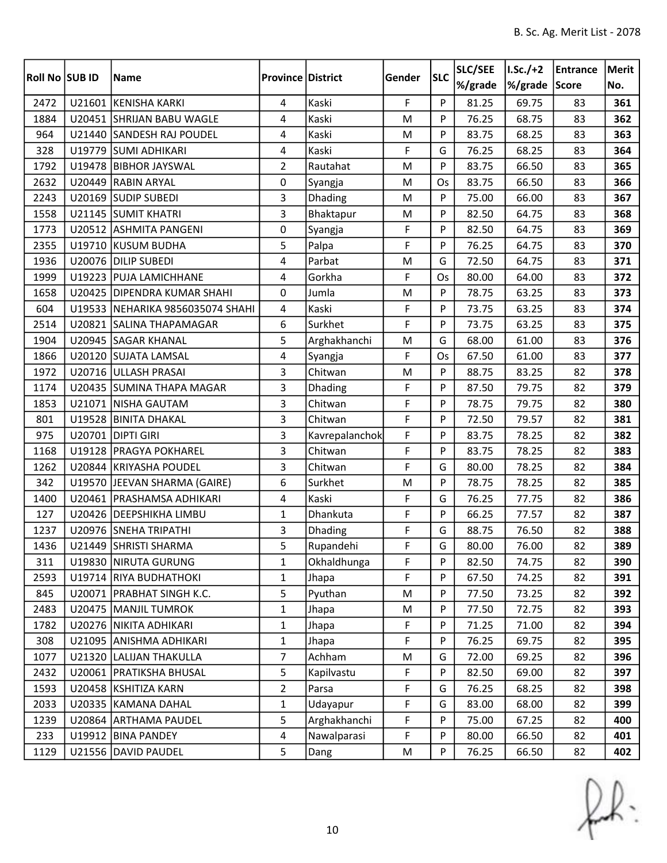| Roll No SUB ID | Name                             | <b>Province District</b> |                | Gender      | <b>SLC</b> | <b>SLC/SEE</b><br>%/grade | I.Sc./+2<br>%/grade Score | Entrance | Merit<br>No. |
|----------------|----------------------------------|--------------------------|----------------|-------------|------------|---------------------------|---------------------------|----------|--------------|
| 2472           | U21601 KENISHA KARKI             | 4                        | Kaski          | F           | P          | 81.25                     | 69.75                     | 83       | 361          |
| 1884           | U20451 SHRIJAN BABU WAGLE        | 4                        | Kaski          | M           | P          | 76.25                     | 68.75                     | 83       | 362          |
| 964            | U21440 SANDESH RAJ POUDEL        | 4                        | Kaski          | M           | P          | 83.75                     | 68.25                     | 83       | 363          |
| 328            | U19779 SUMI ADHIKARI             | 4                        | Kaski          | F           | G          | 76.25                     | 68.25                     | 83       | 364          |
| 1792           | U19478 BIBHOR JAYSWAL            | $\overline{2}$           | Rautahat       | M           | P          | 83.75                     | 66.50                     | 83       | 365          |
| 2632           | U20449 RABIN ARYAL               | 0                        | Syangja        | M           | Os         | 83.75                     | 66.50                     | 83       | 366          |
| 2243           | U20169 SUDIP SUBEDI              | 3                        | Dhading        | M           | P          | 75.00                     | 66.00                     | 83       | 367          |
| 1558           | U21145 SUMIT KHATRI              | 3                        | Bhaktapur      | M           | P          | 82.50                     | 64.75                     | 83       | 368          |
| 1773           | U20512 ASHMITA PANGENI           | 0                        | Syangja        | F           | P          | 82.50                     | 64.75                     | 83       | 369          |
| 2355           | U19710 KUSUM BUDHA               | 5                        | Palpa          | F           | P          | 76.25                     | 64.75                     | 83       | 370          |
| 1936           | U20076 DILIP SUBEDI              | 4                        | Parbat         | ${\sf M}$   | G          | 72.50                     | 64.75                     | 83       | 371          |
| 1999           | U19223 PUJA LAMICHHANE           | 4                        | Gorkha         | $\mathsf F$ | Os         | 80.00                     | 64.00                     | 83       | 372          |
| 1658           | U20425 DIPENDRA KUMAR SHAHI      | 0                        | Jumla          | M           | P          | 78.75                     | 63.25                     | 83       | 373          |
| 604            | U19533 NEHARIKA 9856035074 SHAHI | 4                        | Kaski          | F           | P          | 73.75                     | 63.25                     | 83       | 374          |
| 2514           | U20821 SALINA THAPAMAGAR         | 6                        | Surkhet        | F           | P          | 73.75                     | 63.25                     | 83       | 375          |
| 1904           | U20945 SAGAR KHANAL              | 5                        | Arghakhanchi   | M           | G          | 68.00                     | 61.00                     | 83       | 376          |
| 1866           | U20120 SUJATA LAMSAL             | 4                        | Syangja        | F           | Os         | 67.50                     | 61.00                     | 83       | 377          |
| 1972           | U20716 ULLASH PRASAI             | 3                        | Chitwan        | M           | P          | 88.75                     | 83.25                     | 82       | 378          |
| 1174           | U20435 SUMINA THAPA MAGAR        | 3                        | Dhading        | F           | P          | 87.50                     | 79.75                     | 82       | 379          |
| 1853           | U21071 NISHA GAUTAM              | 3                        | Chitwan        | F           | P          | 78.75                     | 79.75                     | 82       | 380          |
| 801            | U19528 BINITA DHAKAL             | 3                        | Chitwan        | F           | P          | 72.50                     | 79.57                     | 82       | 381          |
| 975            | U20701 DIPTI GIRI                | 3                        | Kavrepalanchok | $\mathsf F$ | P          | 83.75                     | 78.25                     | 82       | 382          |
| 1168           | U19128   PRAGYA POKHAREL         | 3                        | Chitwan        | F           | P          | 83.75                     | 78.25                     | 82       | 383          |
| 1262           | U20844 KRIYASHA POUDEL           | 3                        | Chitwan        | $\mathsf F$ | G          | 80.00                     | 78.25                     | 82       | 384          |
| 342            | U19570 JEEVAN SHARMA (GAIRE)     | 6                        | Surkhet        | M           | P          | 78.75                     | 78.25                     | 82       | 385          |
| 1400           | U20461   PRASHAMSA ADHIKARI      | 4                        | Kaski          | F           | G          | 76.25                     | 77.75                     | 82       | 386          |
| 127            | U20426   DEEPSHIKHA LIMBU        | $\mathbf{1}$             | Dhankuta       | $\mathsf F$ | P          | 66.25                     | 77.57                     | 82       | 387          |
| 1237           | U20976 SNEHA TRIPATHI            | 3                        | Dhading        | F           | G          | 88.75                     | 76.50                     | 82       | 388          |
| 1436           | U21449 SHRISTI SHARMA            | 5                        | Rupandehi      | $\mathsf F$ | G          | 80.00                     | 76.00                     | 82       | 389          |
| 311            | U19830   NIRUTA GURUNG           | $\mathbf{1}$             | Okhaldhunga    | F           | P          | 82.50                     | 74.75                     | 82       | 390          |
| 2593           | U19714 RIYA BUDHATHOKI           | $\mathbf{1}$             | Jhapa          | F           | P          | 67.50                     | 74.25                     | 82       | 391          |
| 845            | U20071   PRABHAT SINGH K.C.      | 5                        | Pyuthan        | M           | P          | 77.50                     | 73.25                     | 82       | 392          |
| 2483           | U20475   MANJIL TUMROK           | 1                        | Jhapa          | M           | P          | 77.50                     | 72.75                     | 82       | 393          |
| 1782           | U20276 NIKITA ADHIKARI           | $\mathbf{1}$             | Jhapa          | F           | P          | 71.25                     | 71.00                     | 82       | 394          |
| 308            | U21095 ANISHMA ADHIKARI          | $\mathbf{1}$             | Jhapa          | F           | P          | 76.25                     | 69.75                     | 82       | 395          |
| 1077           | U21320 LALIJAN THAKULLA          | $\overline{7}$           | Achham         | M           | G          | 72.00                     | 69.25                     | 82       | 396          |
| 2432           | U20061   PRATIKSHA BHUSAL        | 5                        | Kapilvastu     | F           | P          | 82.50                     | 69.00                     | 82       | 397          |
| 1593           | U20458 KSHITIZA KARN             | $\overline{2}$           | Parsa          | F           | G          | 76.25                     | 68.25                     | 82       | 398          |
| 2033           | U20335 KAMANA DAHAL              | $\mathbf{1}$             | Udayapur       | F           | G          | 83.00                     | 68.00                     | 82       | 399          |
| 1239           | U20864 ARTHAMA PAUDEL            | 5                        | Arghakhanchi   | F           | P          | 75.00                     | 67.25                     | 82       | 400          |
| 233            | U19912 BINA PANDEY               | 4                        | Nawalparasi    | F           | P          | 80.00                     | 66.50                     | 82       | 401          |
| 1129           | U21556 DAVID PAUDEL              | 5                        | Dang           | M           | P          | 76.25                     | 66.50                     | 82       | 402          |

 $f(x)$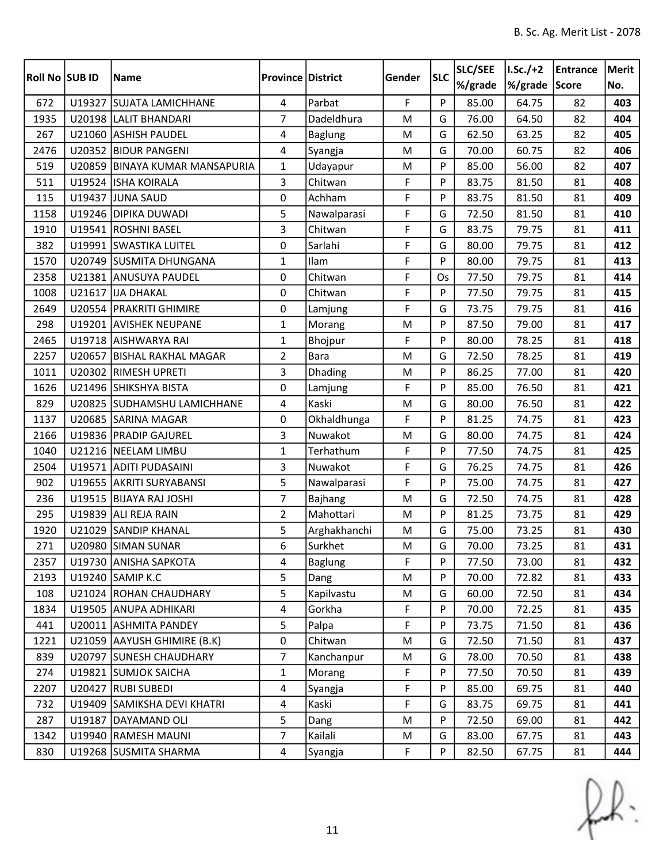| Roll No SUB ID |        | Name                           | <b>Province District</b> |                | Gender       | <b>SLC</b> | SLC/SEE | $I.Sc./+2$    | Entrance | Merit |
|----------------|--------|--------------------------------|--------------------------|----------------|--------------|------------|---------|---------------|----------|-------|
|                |        |                                |                          |                |              |            | %/grade | %/grade Score |          | No.   |
| 672            |        | U19327 SUJATA LAMICHHANE       | $\overline{4}$           | Parbat         | $\mathsf{F}$ | P          | 85.00   | 64.75         | 82       | 403   |
| 1935           |        | U20198 LALIT BHANDARI          | $\overline{7}$           | Dadeldhura     | M            | G          | 76.00   | 64.50         | 82       | 404   |
| 267            |        | U21060 ASHISH PAUDEL           | 4                        | Baglung        | M            | G          | 62.50   | 63.25         | 82       | 405   |
| 2476           |        | U20352 BIDUR PANGENI           | 4                        | Syangja        | M            | G          | 70.00   | 60.75         | 82       | 406   |
| 519            |        | U20859 BINAYA KUMAR MANSAPURIA | $\mathbf{1}$             | Udayapur       | M            | P          | 85.00   | 56.00         | 82       | 407   |
| 511            |        | U19524 ISHA KOIRALA            | 3                        | Chitwan        | F            | P          | 83.75   | 81.50         | 81       | 408   |
| 115            |        | U19437 JUNA SAUD               | 0                        | Achham         | F            | P          | 83.75   | 81.50         | 81       | 409   |
| 1158           |        | U19246 DIPIKA DUWADI           | 5                        | Nawalparasi    | F            | G          | 72.50   | 81.50         | 81       | 410   |
| 1910           |        | U19541 ROSHNI BASEL            | 3                        | Chitwan        | F            | G          | 83.75   | 79.75         | 81       | 411   |
| 382            |        | U19991 SWASTIKA LUITEL         | $\Omega$                 | Sarlahi        | F            | G          | 80.00   | 79.75         | 81       | 412   |
| 1570           |        | U20749 SUSMITA DHUNGANA        | $\mathbf{1}$             | Ilam           | F            | P          | 80.00   | 79.75         | 81       | 413   |
| 2358           |        | U21381 ANUSUYA PAUDEL          | 0                        | Chitwan        | $\mathsf F$  | Os         | 77.50   | 79.75         | 81       | 414   |
| 1008           |        | U21617 IJA DHAKAL              | 0                        | Chitwan        | F            | P          | 77.50   | 79.75         | 81       | 415   |
| 2649           |        | U20554 PRAKRITI GHIMIRE        | 0                        | Lamjung        | $\mathsf F$  | G          | 73.75   | 79.75         | 81       | 416   |
| 298            |        | U19201 AVISHEK NEUPANE         | 1                        | Morang         | M            | P          | 87.50   | 79.00         | 81       | 417   |
| 2465           |        | U19718 AISHWARYA RAI           | 1                        | Bhojpur        | F            | P          | 80.00   | 78.25         | 81       | 418   |
| 2257           |        | U20657 BISHAL RAKHAL MAGAR     | $\overline{2}$           | <b>Bara</b>    | M            | G          | 72.50   | 78.25         | 81       | 419   |
| 1011           |        | U20302 RIMESH UPRETI           | 3                        | <b>Dhading</b> | M            | P          | 86.25   | 77.00         | 81       | 420   |
| 1626           |        | U21496 SHIKSHYA BISTA          | 0                        | Lamjung        | $\mathsf F$  | P          | 85.00   | 76.50         | 81       | 421   |
| 829            |        | U20825 SUDHAMSHU LAMICHHANE    | 4                        | Kaski          | M            | G          | 80.00   | 76.50         | 81       | 422   |
| 1137           |        | U20685 SARINA MAGAR            | 0                        | Okhaldhunga    | F            | P          | 81.25   | 74.75         | 81       | 423   |
| 2166           |        | U19836 PRADIP GAJUREL          | 3                        | Nuwakot        | M            | G          | 80.00   | 74.75         | 81       | 424   |
| 1040           |        | U21216 NEELAM LIMBU            | $\mathbf{1}$             | Terhathum      | $\mathsf F$  | P          | 77.50   | 74.75         | 81       | 425   |
| 2504           |        | U19571 ADITI PUDASAINI         | 3                        | Nuwakot        | F            | G          | 76.25   | 74.75         | 81       | 426   |
| 902            |        | U19655 AKRITI SURYABANSI       | 5                        | Nawalparasi    | F            | P          | 75.00   | 74.75         | 81       | 427   |
| 236            |        | U19515 BIJAYA RAJ JOSHI        | $\overline{7}$           | Bajhang        | M            | G          | 72.50   | 74.75         | 81       | 428   |
| 295            |        | U19839 ALI REJA RAIN           | $\overline{2}$           | Mahottari      | M            | P          | 81.25   | 73.75         | 81       | 429   |
| 1920           |        | U21029 SANDIP KHANAL           | 5                        | Arghakhanchi   | M            | G          | 75.00   | 73.25         | 81       | 430   |
| 271            |        | U20980 SIMAN SUNAR             | 6                        | Surkhet        | ${\sf M}$    | G          | 70.00   | 73.25         | 81       | 431   |
| 2357           |        | U19730 ANISHA SAPKOTA          | 4                        | <b>Baglung</b> | F            | P          | 77.50   | 73.00         | 81       | 432   |
| 2193           |        | U19240 SAMIP K.C               | 5                        | Dang           | M            | P          | 70.00   | 72.82         | 81       | 433   |
| 108            |        | U21024 ROHAN CHAUDHARY         | 5                        | Kapilvastu     | M            | G          | 60.00   | 72.50         | 81       | 434   |
| 1834           |        | U19505 ANUPA ADHIKARI          | $\overline{4}$           | Gorkha         | F            | P          | 70.00   | 72.25         | 81       | 435   |
| 441            |        | U20011 ASHMITA PANDEY          | 5                        | Palpa          | F            | P          | 73.75   | 71.50         | 81       | 436   |
| 1221           |        | U21059 AAYUSH GHIMIRE (B.K)    | 0                        | Chitwan        | M            | G          | 72.50   | 71.50         | 81       | 437   |
| 839            |        | U20797 SUNESH CHAUDHARY        | $\overline{7}$           | Kanchanpur     | M            | G          | 78.00   | 70.50         | 81       | 438   |
| 274            |        | U19821 SUMJOK SAICHA           | $\mathbf{1}$             | Morang         | $\mathsf F$  | P          | 77.50   | 70.50         | 81       | 439   |
| 2207           |        | U20427 RUBI SUBEDI             | 4                        | Syangja        | F            | P          | 85.00   | 69.75         | 81       | 440   |
| 732            |        | U19409 SAMIKSHA DEVI KHATRI    | $\overline{4}$           | Kaski          | F            | G          | 83.75   | 69.75         | 81       | 441   |
| 287            | U19187 | DAYAMAND OLI                   | 5                        | Dang           | M            | P          | 72.50   | 69.00         | 81       | 442   |
| 1342           |        | U19940 RAMESH MAUNI            | $\overline{7}$           | Kailali        | M            | G          | 83.00   | 67.75         | 81       | 443   |
| 830            |        | U19268 SUSMITA SHARMA          | 4                        | Syangja        | $\mathsf F$  | P          | 82.50   | 67.75         | 81       | 444   |

 $f(x)$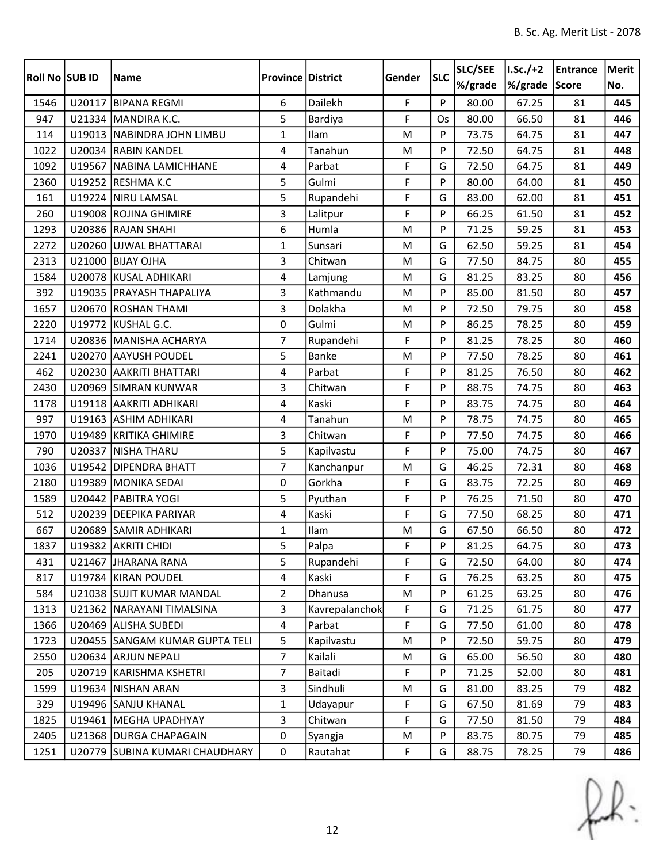| <b>Roll No SUB ID</b> |        | Name                           | <b>Province District</b> |                | Gender      | <b>SLC</b> | <b>SLC/SEE</b><br>%/grade | $I.Sc./+2$<br>%/grade | Entrance<br>Score | Merit<br>No. |
|-----------------------|--------|--------------------------------|--------------------------|----------------|-------------|------------|---------------------------|-----------------------|-------------------|--------------|
| 1546                  |        | U20117 BIPANA REGMI            | 6                        | Dailekh        | F           | P          | 80.00                     | 67.25                 | 81                | 445          |
| 947                   |        | U21334 MANDIRA K.C.            | 5                        | Bardiya        | F           | Os         | 80.00                     | 66.50                 | 81                | 446          |
| 114                   |        | U19013 NABINDRA JOHN LIMBU     | $\mathbf{1}$             | Ilam           | M           | P          | 73.75                     | 64.75                 | 81                | 447          |
| 1022                  |        | U20034 RABIN KANDEL            | 4                        | Tanahun        | M           | P          | 72.50                     | 64.75                 | 81                | 448          |
| 1092                  |        | U19567 NABINA LAMICHHANE       | 4                        | Parbat         | F           | G          | 72.50                     | 64.75                 | 81                | 449          |
| 2360                  |        | U19252 RESHMA K.C              | 5                        | Gulmi          | F           | P          | 80.00                     | 64.00                 | 81                | 450          |
| 161                   |        | U19224 NIRU LAMSAL             | 5                        | Rupandehi      | F           | G          | 83.00                     | 62.00                 | 81                | 451          |
| 260                   |        | U19008 ROJINA GHIMIRE          | 3                        | Lalitpur       | F           | P          | 66.25                     | 61.50                 | 81                | 452          |
| 1293                  |        | U20386 RAJAN SHAHI             | 6                        | Humla          | M           | P          | 71.25                     | 59.25                 | 81                | 453          |
| 2272                  |        | U20260 UJWAL BHATTARAI         | $\mathbf{1}$             | Sunsari        | ${\sf M}$   | G          | 62.50                     | 59.25                 | 81                | 454          |
| 2313                  |        | U21000 BIJAY OJHA              | 3                        | Chitwan        | ${\sf M}$   | G          | 77.50                     | 84.75                 | 80                | 455          |
| 1584                  |        | U20078 KUSAL ADHIKARI          | $\overline{4}$           | Lamjung        | M           | G          | 81.25                     | 83.25                 | 80                | 456          |
| 392                   |        | U19035   PRAYASH THAPALIYA     | 3                        | Kathmandu      | M           | P          | 85.00                     | 81.50                 | 80                | 457          |
| 1657                  |        | U20670 ROSHAN THAMI            | 3                        | Dolakha        | M           | P          | 72.50                     | 79.75                 | 80                | 458          |
| 2220                  |        | U19772 KUSHAL G.C.             | 0                        | Gulmi          | M           | P          | 86.25                     | 78.25                 | 80                | 459          |
| 1714                  |        | U20836 MANISHA ACHARYA         | $\overline{7}$           | Rupandehi      | $\mathsf F$ | P          | 81.25                     | 78.25                 | 80                | 460          |
| 2241                  |        | U20270 AAYUSH POUDEL           | 5                        | <b>Banke</b>   | M           | P          | 77.50                     | 78.25                 | 80                | 461          |
| 462                   |        | U20230 AAKRITI BHATTARI        | 4                        | Parbat         | F           | P          | 81.25                     | 76.50                 | 80                | 462          |
| 2430                  |        | U20969 SIMRAN KUNWAR           | 3                        | Chitwan        | F           | P          | 88.75                     | 74.75                 | 80                | 463          |
| 1178                  |        | U19118 AAKRITI ADHIKARI        | 4                        | Kaski          | F           | P          | 83.75                     | 74.75                 | 80                | 464          |
| 997                   |        | U19163 ASHIM ADHIKARI          | 4                        | Tanahun        | M           | P          | 78.75                     | 74.75                 | 80                | 465          |
| 1970                  |        | U19489 KRITIKA GHIMIRE         | $\overline{3}$           | Chitwan        | F           | P          | 77.50                     | 74.75                 | 80                | 466          |
| 790                   |        | U20337   NISHA THARU           | 5                        | Kapilvastu     | F           | P          | 75.00                     | 74.75                 | 80                | 467          |
| 1036                  |        | U19542 DIPENDRA BHATT          | $\overline{7}$           | Kanchanpur     | ${\sf M}$   | G          | 46.25                     | 72.31                 | 80                | 468          |
| 2180                  |        | U19389 MONIKA SEDAI            | 0                        | Gorkha         | F           | G          | 83.75                     | 72.25                 | 80                | 469          |
| 1589                  |        | U20442 PABITRA YOGI            | 5                        | Pyuthan        | F           | P          | 76.25                     | 71.50                 | 80                | 470          |
| 512                   |        | U20239 DEEPIKA PARIYAR         | 4                        | Kaski          | F           | G          | 77.50                     | 68.25                 | 80                | 471          |
| 667                   | U20689 | <b>SAMIR ADHIKARI</b>          | $\mathbf{1}$             | Ilam           | M           | G          | 67.50                     | 66.50                 | 80                | 472          |
| 1837                  |        | U19382 AKRITI CHIDI            | 5                        | Palpa          | $\mathsf F$ | ${\sf P}$  | 81.25                     | 64.75                 | 80                | 473          |
| 431                   |        | U21467 JHARANA RANA            | 5                        | Rupandehi      | F           | G          | 72.50                     | 64.00                 | 80                | 474          |
| 817                   |        | U19784 KIRAN POUDEL            | $\overline{4}$           | Kaski          | F           | G          | 76.25                     | 63.25                 | 80                | 475          |
| 584                   |        | U21038 SUJIT KUMAR MANDAL      | $\overline{2}$           | Dhanusa        | M           | P          | 61.25                     | 63.25                 | 80                | 476          |
| 1313                  |        | U21362 NARAYANI TIMALSINA      | 3                        | Kavrepalanchok | F           | G          | 71.25                     | 61.75                 | 80                | 477          |
| 1366                  |        | U20469 ALISHA SUBEDI           | $\overline{4}$           | Parbat         | F           | G          | 77.50                     | 61.00                 | 80                | 478          |
| 1723                  |        | U20455 SANGAM KUMAR GUPTA TELI | 5                        | Kapilvastu     | M           | P          | 72.50                     | 59.75                 | 80                | 479          |
| 2550                  |        | U20634 ARJUN NEPALI            | $\overline{7}$           | Kailali        | M           | G          | 65.00                     | 56.50                 | 80                | 480          |
| 205                   |        | U20719 KARISHMA KSHETRI        | $\overline{7}$           | Baitadi        | F           | P          | 71.25                     | 52.00                 | 80                | 481          |
| 1599                  |        | U19634 NISHAN ARAN             | 3                        | Sindhuli       | M           | G          | 81.00                     | 83.25                 | 79                | 482          |
| 329                   |        | U19496 SANJU KHANAL            | $\mathbf{1}$             | Udayapur       | F           | G          | 67.50                     | 81.69                 | 79                | 483          |
| 1825                  |        | U19461   MEGHA UPADHYAY        | 3                        | Chitwan        | F           | G          | 77.50                     | 81.50                 | 79                | 484          |
| 2405                  |        | U21368 DURGA CHAPAGAIN         | $\mathbf 0$              | Syangja        | M           | P          | 83.75                     | 80.75                 | 79                | 485          |
| 1251                  |        | U20779 SUBINA KUMARI CHAUDHARY | 0                        | Rautahat       | F           | G          | 88.75                     | 78.25                 | 79                | 486          |

 $f(x)$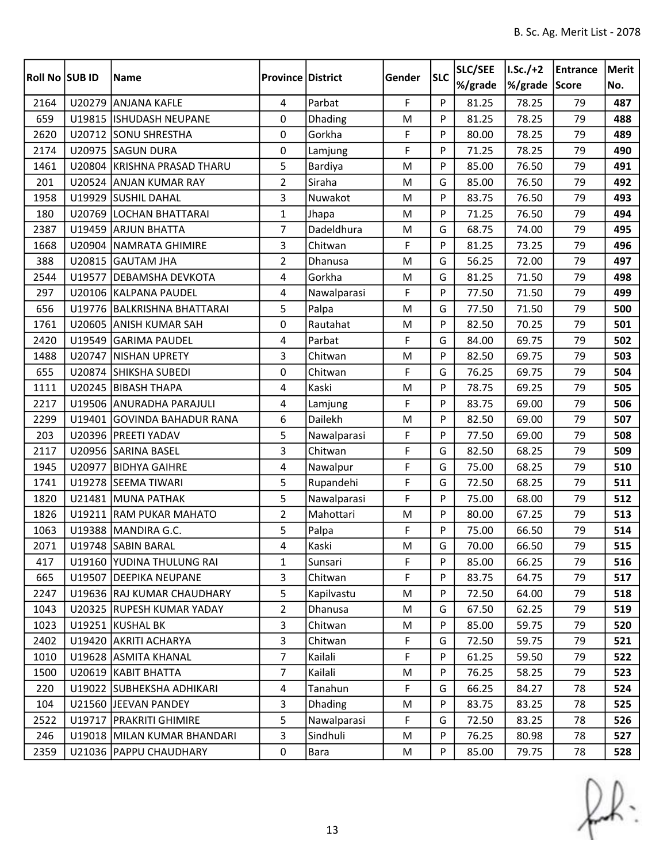| <b>Roll No SUB ID</b> |        | Name                                             | <b>Province District</b> |                | Gender      | <b>SLC</b>    | <b>SLC/SEE</b><br>%/grade | $I.Sc./+2$<br>%/grade | Entrance<br>Score | Merit<br>No. |
|-----------------------|--------|--------------------------------------------------|--------------------------|----------------|-------------|---------------|---------------------------|-----------------------|-------------------|--------------|
| 2164                  | U20279 |                                                  | 4                        | Parbat         | F           | P             | 81.25                     | 78.25                 | 79                | 487          |
| 659                   |        | <b>ANJANA KAFLE</b><br>U19815   ISHUDASH NEUPANE | 0                        | Dhading        | ${\sf M}$   | P             | 81.25                     | 78.25                 | 79                | 488          |
| 2620                  |        | U20712 SONU SHRESTHA                             | $\Omega$                 | Gorkha         | F           | P             | 80.00                     | 78.25                 | 79                | 489          |
|                       |        |                                                  |                          |                | F           | P             |                           |                       | 79                |              |
| 2174                  |        | U20975 SAGUN DURA                                | 0                        | Lamjung        |             |               | 71.25                     | 78.25                 |                   | 490          |
| 1461                  |        | U20804 KRISHNA PRASAD THARU                      | 5                        | Bardiya        | M           | P             | 85.00                     | 76.50                 | 79                | 491          |
| 201                   |        | U20524 ANJAN KUMAR RAY                           | $\overline{2}$           | Siraha         | M           | G             | 85.00                     | 76.50                 | 79                | 492          |
| 1958                  |        | U19929 SUSHIL DAHAL                              | $\overline{3}$           | Nuwakot        | M           | P             | 83.75                     | 76.50                 | 79                | 493          |
| 180                   |        | U20769 LOCHAN BHATTARAI                          | $\mathbf{1}$             | Jhapa          | M           | P             | 71.25                     | 76.50                 | 79                | 494          |
| 2387                  | U19459 | <b>ARJUN BHATTA</b>                              | 7                        | Dadeldhura     | M           | G             | 68.75                     | 74.00                 | 79                | 495          |
| 1668                  |        | U20904 NAMRATA GHIMIRE                           | 3                        | Chitwan        | F           | P             | 81.25                     | 73.25                 | 79                | 496          |
| 388                   |        | U20815 GAUTAM JHA                                | $\overline{2}$           | Dhanusa        | M           | G             | 56.25                     | 72.00                 | 79                | 497          |
| 2544                  | U19577 | <b>DEBAMSHA DEVKOTA</b>                          | 4                        | Gorkha         | M           | G             | 81.25                     | 71.50                 | 79                | 498          |
| 297                   |        | U20106 KALPANA PAUDEL                            | 4                        | Nawalparasi    | F           | P             | 77.50                     | 71.50                 | 79                | 499          |
| 656                   | U19776 | BALKRISHNA BHATTARAI                             | 5                        | Palpa          | M           | G             | 77.50                     | 71.50                 | 79                | 500          |
| 1761                  |        | U20605 ANISH KUMAR SAH                           | 0                        | Rautahat       | M           | P             | 82.50                     | 70.25                 | 79                | 501          |
| 2420                  |        | U19549 GARIMA PAUDEL                             | 4                        | Parbat         | $\mathsf F$ | G             | 84.00                     | 69.75                 | 79                | 502          |
| 1488                  |        | U20747   NISHAN UPRETY                           | 3                        | Chitwan        | M           | P             | 82.50                     | 69.75                 | 79                | 503          |
| 655                   |        | U20874 SHIKSHA SUBEDI                            | 0                        | Chitwan        | F           | G             | 76.25                     | 69.75                 | 79                | 504          |
| 1111                  |        | U20245 BIBASH THAPA                              | 4                        | Kaski          | M           | P             | 78.75                     | 69.25                 | 79                | 505          |
| 2217                  |        | U19506 ANURADHA PARAJULI                         | 4                        | Lamjung        | F           | P             | 83.75                     | 69.00                 | 79                | 506          |
| 2299                  |        | U19401 GOVINDA BAHADUR RANA                      | 6                        | Dailekh        | M           | P             | 82.50                     | 69.00                 | 79                | 507          |
| 203                   |        | U20396 PREETI YADAV                              | 5                        | Nawalparasi    | F           | P             | 77.50                     | 69.00                 | 79                | 508          |
| 2117                  |        | U20956 SARINA BASEL                              | 3                        | Chitwan        | F           | G             | 82.50                     | 68.25                 | 79                | 509          |
| 1945                  | U20977 | <b>BIDHYA GAIHRE</b>                             | $\overline{4}$           | Nawalpur       | F           | G             | 75.00                     | 68.25                 | 79                | 510          |
| 1741                  |        | U19278 SEEMA TIWARI                              | 5                        | Rupandehi      | F           | G             | 72.50                     | 68.25                 | 79                | 511          |
| 1820                  |        | U21481 MUNA PATHAK                               | 5                        | Nawalparasi    | F           | P             | 75.00                     | 68.00                 | 79                | 512          |
| 1826                  |        | U19211 RAM PUKAR MAHATO                          | $\overline{2}$           | Mahottari      | M           | P             | 80.00                     | 67.25                 | 79                | 513          |
| 1063                  |        | U19388 MANDIRA G.C.                              | 5                        | Palpa          | F           | P             | 75.00                     | 66.50                 | 79                | 514          |
| 2071                  |        | U19748 SABIN BARAL                               | 4                        | Kaski          | M           | ${\mathsf G}$ | 70.00                     | 66.50                 | 79                | 515          |
| 417                   |        | U19160 YUDINA THULUNG RAI                        | $\mathbf{1}$             | Sunsari        | F           | P             | 85.00                     | 66.25                 | 79                | 516          |
| 665                   |        | U19507 DEEPIKA NEUPANE                           | 3                        | Chitwan        | F           | P             | 83.75                     | 64.75                 | 79                | 517          |
| 2247                  |        | U19636 RAJ KUMAR CHAUDHARY                       | 5                        | Kapilvastu     | M           | P             | 72.50                     | 64.00                 | 79                | 518          |
| 1043                  |        | U20325 RUPESH KUMAR YADAY                        | 2                        | Dhanusa        | M           | G             | 67.50                     | 62.25                 | 79                | 519          |
| 1023                  |        | U19251 KUSHAL BK                                 | 3                        | Chitwan        | M           | P             | 85.00                     | 59.75                 | 79                | 520          |
| 2402                  |        | U19420 AKRITI ACHARYA                            | $\overline{3}$           | Chitwan        | F           | G             | 72.50                     | 59.75                 | 79                | 521          |
| 1010                  |        | U19628 ASMITA KHANAL                             | $\overline{7}$           | Kailali        | F           | P             | 61.25                     | 59.50                 | 79                | 522          |
| 1500                  |        | U20619 KABIT BHATTA                              | $\overline{7}$           | Kailali        | M           | P             | 76.25                     | 58.25                 | 79                | 523          |
| 220                   |        | U19022 SUBHEKSHA ADHIKARI                        | $\overline{4}$           | Tanahun        | $\mathsf F$ | G             | 66.25                     | 84.27                 | 78                | 524          |
| 104                   |        | U21560 JEEVAN PANDEY                             | 3                        | <b>Dhading</b> | M           | P             | 83.75                     | 83.25                 | 78                | 525          |
| 2522                  |        | U19717   PRAKRITI GHIMIRE                        | 5                        | Nawalparasi    | F           | G             | 72.50                     | 83.25                 | 78                | 526          |
| 246                   |        | U19018 MILAN KUMAR BHANDARI                      | $\overline{3}$           | Sindhuli       | M           | P             | 76.25                     | 80.98                 | 78                | 527          |
| 2359                  |        | U21036   PAPPU CHAUDHARY                         | $\pmb{0}$                | Bara           | M           | P             | 85.00                     | 79.75                 | 78                | 528          |

 $f(x)$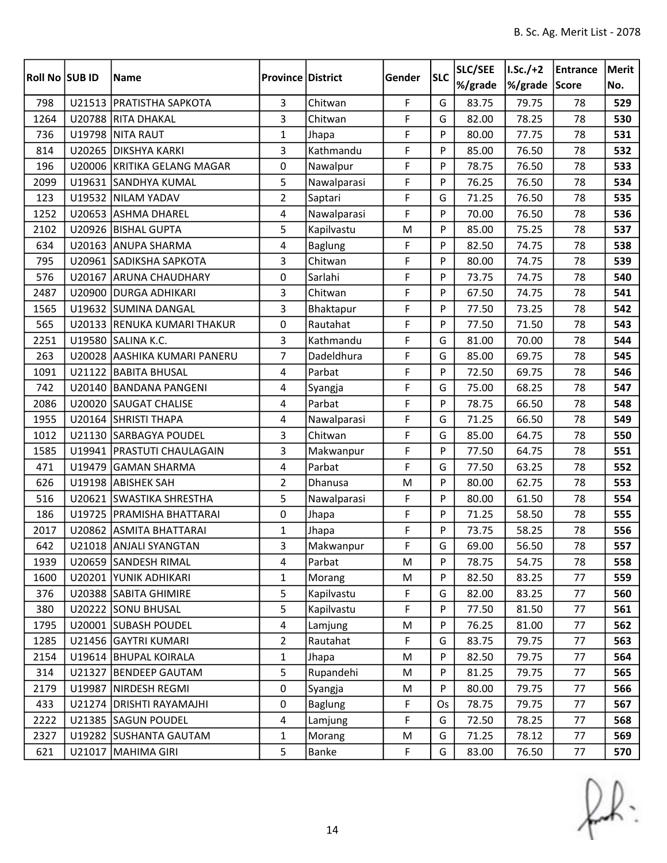|                |        |                              |                          |                | Gender      | <b>SLC</b> | SLC/SEE | $ I.Sc./+2 $  | Entrance | Merit |
|----------------|--------|------------------------------|--------------------------|----------------|-------------|------------|---------|---------------|----------|-------|
| Roll No SUB ID |        | Name                         | <b>Province District</b> |                |             |            | %/grade | %/grade Score |          | No.   |
| 798            |        | U21513   PRATISTHA SAPKOTA   | 3                        | Chitwan        | $\mathsf F$ | G          | 83.75   | 79.75         | 78       | 529   |
| 1264           |        | U20788 RITA DHAKAL           | 3                        | Chitwan        | F           | G          | 82.00   | 78.25         | 78       | 530   |
| 736            |        | U19798 NITA RAUT             | $\mathbf{1}$             | Jhapa          | F           | P          | 80.00   | 77.75         | 78       | 531   |
| 814            |        | U20265   DIKSHYA KARKI       | 3                        | Kathmandu      | $\mathsf F$ | P          | 85.00   | 76.50         | 78       | 532   |
| 196            |        | U20006 KRITIKA GELANG MAGAR  | 0                        | Nawalpur       | $\mathsf F$ | P          | 78.75   | 76.50         | 78       | 533   |
| 2099           |        | U19631 SANDHYA KUMAL         | 5                        | Nawalparasi    | F           | P          | 76.25   | 76.50         | 78       | 534   |
| 123            |        | U19532 NILAM YADAV           | $\overline{2}$           | Saptari        | F           | G          | 71.25   | 76.50         | 78       | 535   |
| 1252           |        | U20653 ASHMA DHAREL          | 4                        | Nawalparasi    | F           | P          | 70.00   | 76.50         | 78       | 536   |
| 2102           |        | U20926 BISHAL GUPTA          | 5                        | Kapilvastu     | M           | P          | 85.00   | 75.25         | 78       | 537   |
| 634            |        | U20163 ANUPA SHARMA          | 4                        | <b>Baglung</b> | F           | P          | 82.50   | 74.75         | 78       | 538   |
| 795            |        | U20961 SADIKSHA SAPKOTA      | 3                        | Chitwan        | F           | P          | 80.00   | 74.75         | 78       | 539   |
| 576            |        | U20167 ARUNA CHAUDHARY       | 0                        | Sarlahi        | F           | P          | 73.75   | 74.75         | 78       | 540   |
| 2487           |        | U20900 DURGA ADHIKARI        | 3                        | Chitwan        | F           | P          | 67.50   | 74.75         | 78       | 541   |
| 1565           |        | U19632 SUMINA DANGAL         | 3                        | Bhaktapur      | $\mathsf F$ | P          | 77.50   | 73.25         | 78       | 542   |
| 565            |        | U20133 RENUKA KUMARI THAKUR  | 0                        | Rautahat       | F           | P          | 77.50   | 71.50         | 78       | 543   |
| 2251           |        | U19580 SALINA K.C.           | 3                        | Kathmandu      | $\mathsf F$ | G          | 81.00   | 70.00         | 78       | 544   |
| 263            |        | U20028 AASHIKA KUMARI PANERU | $\overline{7}$           | Dadeldhura     | F           | G          | 85.00   | 69.75         | 78       | 545   |
| 1091           |        | U21122 BABITA BHUSAL         | 4                        | Parbat         | F           | P          | 72.50   | 69.75         | 78       | 546   |
| 742            |        | U20140 BANDANA PANGENI       | 4                        | Syangja        | $\mathsf F$ | G          | 75.00   | 68.25         | 78       | 547   |
| 2086           |        | U20020 SAUGAT CHALISE        | 4                        | Parbat         | F           | P          | 78.75   | 66.50         | 78       | 548   |
| 1955           |        | U20164 SHRISTI THAPA         | 4                        | Nawalparasi    | F           | G          | 71.25   | 66.50         | 78       | 549   |
| 1012           |        | U21130 SARBAGYA POUDEL       | 3                        | Chitwan        | F           | G          | 85.00   | 64.75         | 78       | 550   |
| 1585           |        | U19941   PRASTUTI CHAULAGAIN | 3                        | Makwanpur      | $\mathsf F$ | P          | 77.50   | 64.75         | 78       | 551   |
| 471            |        | U19479 GAMAN SHARMA          | 4                        | Parbat         | $\mathsf F$ | G          | 77.50   | 63.25         | 78       | 552   |
| 626            |        | U19198 ABISHEK SAH           | $\overline{2}$           | Dhanusa        | M           | P          | 80.00   | 62.75         | 78       | 553   |
| 516            |        | U20621 SWASTIKA SHRESTHA     | 5                        | Nawalparasi    | F           | P          | 80.00   | 61.50         | 78       | 554   |
| 186            |        | U19725   PRAMISHA BHATTARAI  | 0                        | Jhapa          | F           | P          | 71.25   | 58.50         | 78       | 555   |
| 2017           |        | U20862 ASMITA BHATTARAI      | $\mathbf{1}$             | Jhapa          | F           | P          | 73.75   | 58.25         | 78       | 556   |
| 642            |        | U21018 ANJALI SYANGTAN       | 3                        | Makwanpur      | $\mathsf F$ | G          | 69.00   | 56.50         | 78       | 557   |
| 1939           |        | U20659 SANDESH RIMAL         | 4                        | Parbat         | M           | P          | 78.75   | 54.75         | 78       | 558   |
| 1600           |        | U20201 YUNIK ADHIKARI        | $\mathbf{1}$             | Morang         | M           | P          | 82.50   | 83.25         | 77       | 559   |
| 376            |        | U20388 SABITA GHIMIRE        | 5                        | Kapilvastu     | F           | G          | 82.00   | 83.25         | 77       | 560   |
| 380            |        | U20222 SONU BHUSAL           | 5                        | Kapilvastu     | F           | P          | 77.50   | 81.50         | 77       | 561   |
| 1795           |        | U20001 SUBASH POUDEL         | 4                        | Lamjung        | M           | P          | 76.25   | 81.00         | 77       | 562   |
| 1285           |        | U21456 GAYTRI KUMARI         | $\overline{2}$           | Rautahat       | F           | G          | 83.75   | 79.75         | 77       | 563   |
| 2154           |        | U19614 BHUPAL KOIRALA        | $\mathbf{1}$             | Jhapa          | M           | P          | 82.50   | 79.75         | 77       | 564   |
| 314            |        | U21327 BENDEEP GAUTAM        | 5                        | Rupandehi      | M           | P          | 81.25   | 79.75         | 77       | 565   |
| 2179           |        | U19987 NIRDESH REGMI         | 0                        | Syangja        | M           | P          | 80.00   | 79.75         | 77       | 566   |
| 433            |        | U21274   DRISHTI RAYAMAJHI   | 0                        | Baglung        | F           | Os         | 78.75   | 79.75         | 77       | 567   |
| 2222           |        | U21385 SAGUN POUDEL          | 4                        | Lamjung        | F           | G          | 72.50   | 78.25         | 77       | 568   |
| 2327           |        | U19282 SUSHANTA GAUTAM       | $\mathbf{1}$             | Morang         | M           | G          | 71.25   | 78.12         | 77       | 569   |
| 621            | U21017 | MAHIMA GIRI                  | 5                        | Banke          | F           | G          | 83.00   | 76.50         | 77       | 570   |

 $f(x)$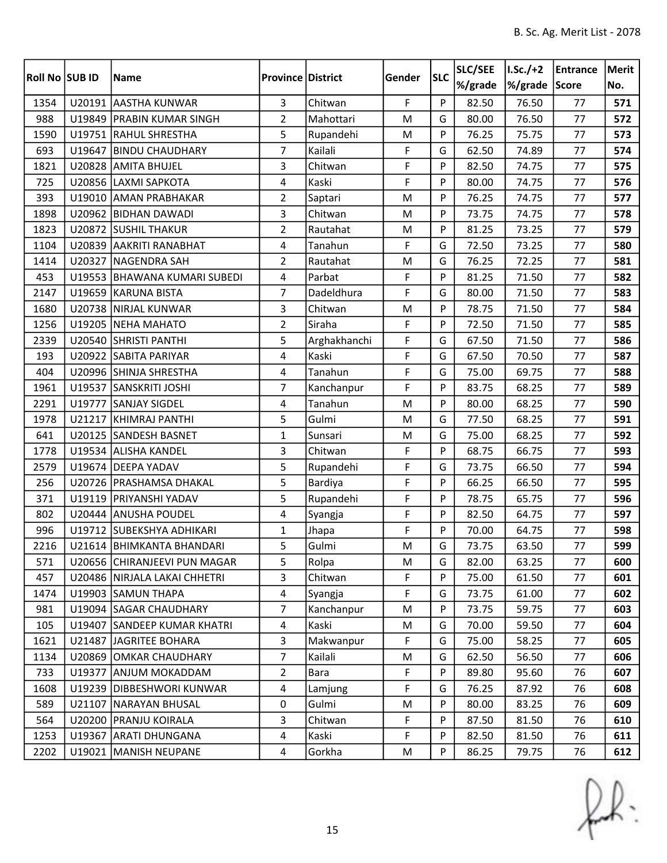|                |        |                              |                          |              |              | <b>SLC</b> | SLC/SEE | $I.Sc./+2$    | Entrance | Merit |
|----------------|--------|------------------------------|--------------------------|--------------|--------------|------------|---------|---------------|----------|-------|
| Roll No SUB ID |        | Name                         | <b>Province District</b> |              | Gender       |            | %/grade | %/grade Score |          | No.   |
| 1354           |        | U20191 AASTHA KUNWAR         | 3                        | Chitwan      | $\mathsf{F}$ | P          | 82.50   | 76.50         | 77       | 571   |
| 988            |        | U19849   PRABIN KUMAR SINGH  | $\overline{2}$           | Mahottari    | M            | G          | 80.00   | 76.50         | 77       | 572   |
| 1590           |        | U19751 RAHUL SHRESTHA        | 5                        | Rupandehi    | M            | P          | 76.25   | 75.75         | 77       | 573   |
| 693            |        | U19647 BINDU CHAUDHARY       | $\overline{7}$           | Kailali      | F            | G          | 62.50   | 74.89         | 77       | 574   |
| 1821           |        | U20828 AMITA BHUJEL          | 3                        | Chitwan      | $\mathsf F$  | P          | 82.50   | 74.75         | 77       | 575   |
| 725            |        | U20856 LAXMI SAPKOTA         | $\overline{\mathbf{4}}$  | Kaski        | F            | P          | 80.00   | 74.75         | 77       | 576   |
| 393            |        | U19010 AMAN PRABHAKAR        | $\overline{2}$           | Saptari      | M            | P          | 76.25   | 74.75         | 77       | 577   |
| 1898           |        | U20962 BIDHAN DAWADI         | 3                        | Chitwan      | M            | P          | 73.75   | 74.75         | 77       | 578   |
| 1823           |        | U20872 SUSHIL THAKUR         | $\overline{2}$           | Rautahat     | M            | P          | 81.25   | 73.25         | 77       | 579   |
| 1104           |        | U20839 AAKRITI RANABHAT      | 4                        | Tanahun      | F            | G          | 72.50   | 73.25         | 77       | 580   |
| 1414           |        | U20327 NAGENDRA SAH          | $\overline{2}$           | Rautahat     | M            | G          | 76.25   | 72.25         | 77       | 581   |
| 453            |        | U19553 BHAWANA KUMARI SUBEDI | 4                        | Parbat       | F            | P          | 81.25   | 71.50         | 77       | 582   |
| 2147           |        | U19659 KARUNA BISTA          | $\overline{7}$           | Dadeldhura   | $\mathsf F$  | G          | 80.00   | 71.50         | 77       | 583   |
| 1680           |        | U20738 NIRJAL KUNWAR         | 3                        | Chitwan      | M            | P          | 78.75   | 71.50         | 77       | 584   |
| 1256           |        | U19205 NEHA MAHATO           | $\overline{2}$           | Siraha       | $\mathsf F$  | P          | 72.50   | 71.50         | 77       | 585   |
| 2339           |        | U20540 SHRISTI PANTHI        | 5                        | Arghakhanchi | $\mathsf F$  | G          | 67.50   | 71.50         | 77       | 586   |
| 193            |        | U20922 SABITA PARIYAR        | 4                        | Kaski        | F            | G          | 67.50   | 70.50         | 77       | 587   |
| 404            |        | U20996 SHINJA SHRESTHA       | $\overline{\mathbf{4}}$  | Tanahun      | F            | G          | 75.00   | 69.75         | 77       | 588   |
| 1961           |        | U19537 SANSKRITI JOSHI       | $\overline{7}$           | Kanchanpur   | $\mathsf F$  | P          | 83.75   | 68.25         | 77       | 589   |
| 2291           |        | U19777 SANJAY SIGDEL         | 4                        | Tanahun      | M            | P          | 80.00   | 68.25         | 77       | 590   |
| 1978           |        | U21217 KHIMRAJ PANTHI        | 5                        | Gulmi        | M            | G          | 77.50   | 68.25         | 77       | 591   |
| 641            |        | U20125 SANDESH BASNET        | $\mathbf{1}$             | Sunsari      | M            | G          | 75.00   | 68.25         | 77       | 592   |
| 1778           |        | U19534 ALISHA KANDEL         | 3                        | Chitwan      | $\mathsf F$  | P          | 68.75   | 66.75         | 77       | 593   |
| 2579           |        | U19674 DEEPA YADAV           | 5                        | Rupandehi    | $\mathsf F$  | G          | 73.75   | 66.50         | 77       | 594   |
| 256            |        | U20726 PRASHAMSA DHAKAL      | 5                        | Bardiya      | F            | P          | 66.25   | 66.50         | 77       | 595   |
| 371            |        | U19119   PRIYANSHI YADAV     | 5                        | Rupandehi    | $\mathsf F$  | P          | 78.75   | 65.75         | 77       | 596   |
| 802            |        | U20444 ANUSHA POUDEL         | 4                        | Syangja      | F            | P          | 82.50   | 64.75         | 77       | 597   |
| 996            |        | U19712 SUBEKSHYA ADHIKARI    | $\mathbf{1}$             | Jhapa        | F            | P          | 70.00   | 64.75         | 77       | 598   |
| 2216           |        | U21614 BHIMKANTA BHANDARI    | 5                        | Gulmi        | ${\sf M}$    | G          | 73.75   | 63.50         | $77 \,$  | 599   |
| 571            |        | U20656 CHIRANJEEVI PUN MAGAR | 5                        | Rolpa        | M            | G          | 82.00   | 63.25         | 77       | 600   |
| 457            |        | U20486 NIRJALA LAKAI CHHETRI | 3                        | Chitwan      | $\mathsf F$  | P          | 75.00   | 61.50         | 77       | 601   |
| 1474           |        | U19903 SAMUN THAPA           | $\overline{4}$           | Syangja      | F            | G          | 73.75   | 61.00         | 77       | 602   |
| 981            |        | U19094 SAGAR CHAUDHARY       | 7                        | Kanchanpur   | M            | P          | 73.75   | 59.75         | 77       | 603   |
| 105            |        | U19407 SANDEEP KUMAR KHATRI  | 4                        | Kaski        | M            | G          | 70.00   | 59.50         | 77       | 604   |
| 1621           |        | U21487 JAGRITEE BOHARA       | $\overline{3}$           | Makwanpur    | F            | G          | 75.00   | 58.25         | 77       | 605   |
| 1134           | U20869 | OMKAR CHAUDHARY              | $\overline{7}$           | Kailali      | M            | G          | 62.50   | 56.50         | 77       | 606   |
| 733            | U19377 | ANJUM MOKADDAM               | $\overline{2}$           | Bara         | $\mathsf F$  | P          | 89.80   | 95.60         | 76       | 607   |
| 1608           |        | U19239 DIBBESHWORI KUNWAR    | 4                        | Lamjung      | F            | G          | 76.25   | 87.92         | 76       | 608   |
| 589            |        | U21107 NARAYAN BHUSAL        | 0                        | Gulmi        | M            | P          | 80.00   | 83.25         | 76       | 609   |
| 564            | U20200 | <b>PRANJU KOIRALA</b>        | 3                        | Chitwan      | F            | P          | 87.50   | 81.50         | 76       | 610   |
| 1253           |        | U19367 ARATI DHUNGANA        | 4                        | Kaski        | F            | P          | 82.50   | 81.50         | 76       | 611   |
| 2202           |        | U19021   MANISH NEUPANE      | 4                        | Gorkha       | M            | P          | 86.25   | 79.75         | 76       | 612   |

 $f(x)$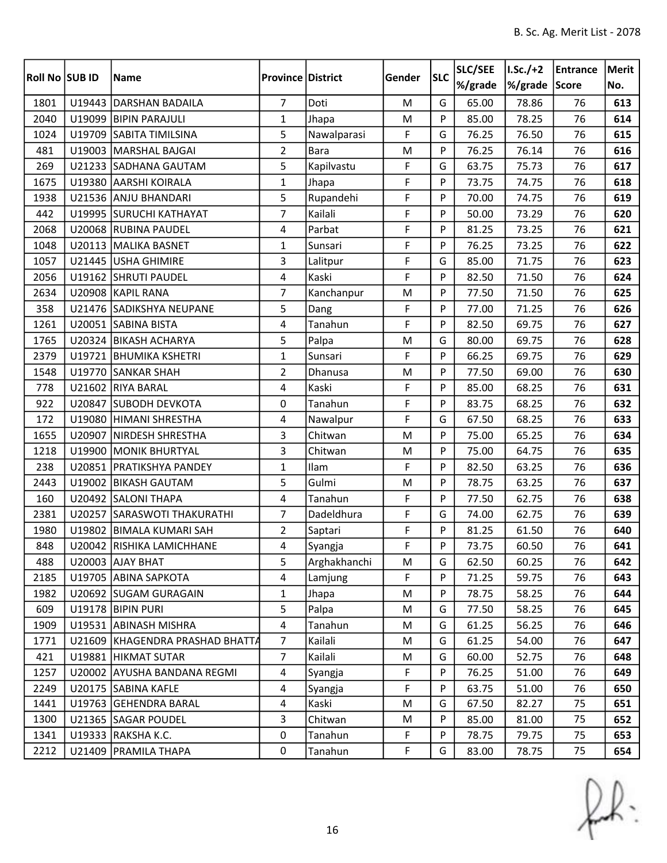| Roll No SUB ID |        | Name                            | <b>Province District</b> |              | Gender      | <b>SLC</b> | SLC/SEE | $I.Sc./+2$    | Entrance | Merit |
|----------------|--------|---------------------------------|--------------------------|--------------|-------------|------------|---------|---------------|----------|-------|
|                |        |                                 |                          |              |             |            | %/grade | %/grade Score |          | No.   |
| 1801           |        | U19443 DARSHAN BADAILA          | $\overline{7}$           | Doti         | M           | G          | 65.00   | 78.86         | 76       | 613   |
| 2040           | U19099 | <b>BIPIN PARAJULI</b>           | $\mathbf{1}$             | Jhapa        | M           | P          | 85.00   | 78.25         | 76       | 614   |
| 1024           |        | U19709 SABITA TIMILSINA         | 5                        | Nawalparasi  | $\mathsf F$ | G          | 76.25   | 76.50         | 76       | 615   |
| 481            |        | U19003   MARSHAL BAJGAI         | $\overline{2}$           | <b>Bara</b>  | M           | P          | 76.25   | 76.14         | 76       | 616   |
| 269            |        | U21233 SADHANA GAUTAM           | 5                        | Kapilvastu   | $\mathsf F$ | G          | 63.75   | 75.73         | 76       | 617   |
| 1675           |        | U19380 AARSHI KOIRALA           | $\mathbf{1}$             | Jhapa        | F           | P          | 73.75   | 74.75         | 76       | 618   |
| 1938           |        | U21536 ANJU BHANDARI            | 5                        | Rupandehi    | F           | P          | 70.00   | 74.75         | 76       | 619   |
| 442            |        | U19995 SURUCHI KATHAYAT         | $\overline{7}$           | Kailali      | F           | P          | 50.00   | 73.29         | 76       | 620   |
| 2068           |        | U20068 RUBINA PAUDEL            | 4                        | Parbat       | F           | P          | 81.25   | 73.25         | 76       | 621   |
| 1048           |        | U20113 MALIKA BASNET            | 1                        | Sunsari      | F           | P          | 76.25   | 73.25         | 76       | 622   |
| 1057           |        | U21445 USHA GHIMIRE             | 3                        | Lalitpur     | F           | G          | 85.00   | 71.75         | 76       | 623   |
| 2056           |        | U19162 SHRUTI PAUDEL            | 4                        | Kaski        | F           | P          | 82.50   | 71.50         | 76       | 624   |
| 2634           |        | U20908 KAPIL RANA               | $\overline{7}$           | Kanchanpur   | M           | P          | 77.50   | 71.50         | 76       | 625   |
| 358            |        | U21476 SADIKSHYA NEUPANE        | 5                        | Dang         | F           | P          | 77.00   | 71.25         | 76       | 626   |
| 1261           |        | U20051 SABINA BISTA             | 4                        | Tanahun      | F           | P          | 82.50   | 69.75         | 76       | 627   |
| 1765           |        | U20324 BIKASH ACHARYA           | 5                        | Palpa        | M           | G          | 80.00   | 69.75         | 76       | 628   |
| 2379           |        | U19721   BHUMIKA KSHETRI        | $\mathbf{1}$             | Sunsari      | $\mathsf F$ | P          | 66.25   | 69.75         | 76       | 629   |
| 1548           |        | U19770 SANKAR SHAH              | $\overline{2}$           | Dhanusa      | ${\sf M}$   | P          | 77.50   | 69.00         | 76       | 630   |
| 778            |        | U21602 RIYA BARAL               | 4                        | Kaski        | $\mathsf F$ | P          | 85.00   | 68.25         | 76       | 631   |
| 922            |        | U20847 SUBODH DEVKOTA           | 0                        | Tanahun      | F           | P          | 83.75   | 68.25         | 76       | 632   |
| 172            | U19080 | HIMANI SHRESTHA                 | 4                        | Nawalpur     | $\mathsf F$ | G          | 67.50   | 68.25         | 76       | 633   |
| 1655           | U20907 | <b>NIRDESH SHRESTHA</b>         | 3                        | Chitwan      | M           | P          | 75.00   | 65.25         | 76       | 634   |
| 1218           | U19900 | <b>MONIK BHURTYAL</b>           | $\overline{3}$           | Chitwan      | M           | P          | 75.00   | 64.75         | 76       | 635   |
| 238            |        | U20851 PRATIKSHYA PANDEY        | 1                        | Ilam         | $\mathsf F$ | P          | 82.50   | 63.25         | 76       | 636   |
| 2443           |        | U19002 BIKASH GAUTAM            | 5                        | Gulmi        | M           | P          | 78.75   | 63.25         | 76       | 637   |
| 160            |        | U20492 SALONI THAPA             | 4                        | Tanahun      | F           | P          | 77.50   | 62.75         | 76       | 638   |
| 2381           |        | U20257 SARASWOTI THAKURATHI     | $\overline{7}$           | Dadeldhura   | $\mathsf F$ | G          | 74.00   | 62.75         | 76       | 639   |
| 1980           |        | U19802   BIMALA KUMARI SAH      | $\overline{2}$           | Saptari      | F           | P          | 81.25   | 61.50         | 76       | 640   |
| 848            |        | U20042 RISHIKA LAMICHHANE       | 4                        | Syangja      | $\mathsf F$ | ${\sf P}$  | 73.75   | 60.50         | 76       | 641   |
| 488            |        | U20003 AJAY BHAT                | 5                        | Arghakhanchi | M           | G          | 62.50   | 60.25         | 76       | 642   |
| 2185           |        | U19705 ABINA SAPKOTA            | $\overline{4}$           | Lamjung      | $\mathsf F$ | P          | 71.25   | 59.75         | 76       | 643   |
| 1982           |        | U20692 SUGAM GURAGAIN           | $\mathbf{1}$             | Jhapa        | M           | P          | 78.75   | 58.25         | 76       | 644   |
| 609            |        | U19178 BIPIN PURI               | 5                        | Palpa        | M           | G          | 77.50   | 58.25         | 76       | 645   |
| 1909           |        | U19531 ABINASH MISHRA           | 4                        | Tanahun      | M           | G          | 61.25   | 56.25         | 76       | 646   |
| 1771           |        | U21609 KHAGENDRA PRASHAD BHATTA | $\overline{7}$           | Kailali      | M           | G          | 61.25   | 54.00         | 76       | 647   |
| 421            |        | U19881 HIKMAT SUTAR             | $\overline{7}$           | Kailali      | M           | G          | 60.00   | 52.75         | 76       | 648   |
| 1257           |        | U20002 AYUSHA BANDANA REGMI     | $\overline{4}$           | Syangja      | $\mathsf F$ | P          | 76.25   | 51.00         | 76       | 649   |
| 2249           |        | U20175 SABINA KAFLE             | 4                        | Syangja      | F           | P          | 63.75   | 51.00         | 76       | 650   |
| 1441           |        | U19763 GEHENDRA BARAL           | $\overline{4}$           | Kaski        | M           | G          | 67.50   | 82.27         | 75       | 651   |
| 1300           |        | U21365 SAGAR POUDEL             | $\overline{3}$           | Chitwan      | M           | P          | 85.00   | 81.00         | 75       | 652   |
| 1341           |        | U19333 RAKSHA K.C.              | 0                        | Tanahun      | $\mathsf F$ | P          | 78.75   | 79.75         | 75       | 653   |
| 2212           |        | U21409   PRAMILA THAPA          | 0                        | Tanahun      | F           | G          | 83.00   | 78.75         | 75       | 654   |

 $f(x)$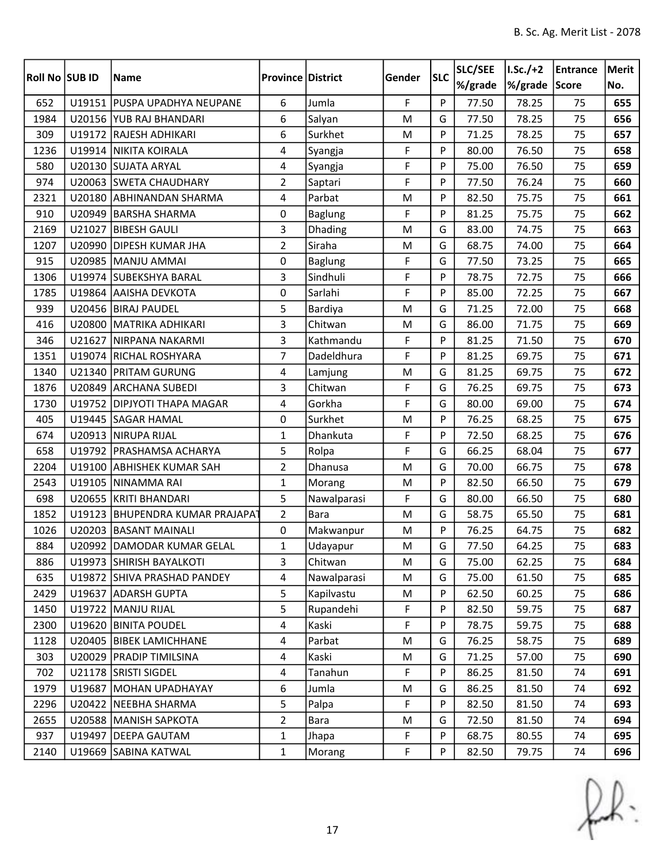| Roll No SUB ID |        | Name                            | <b>Province District</b> |                | Gender       | <b>SLC</b> | SLC/SEE | $I.Sc./+2$    | Entrance | Merit |
|----------------|--------|---------------------------------|--------------------------|----------------|--------------|------------|---------|---------------|----------|-------|
|                |        |                                 |                          |                |              |            | %/grade | %/grade Score |          | No.   |
| 652            |        | U19151   PUSPA UPADHYA NEUPANE  | 6                        | Jumla          | $\mathsf{F}$ | P          | 77.50   | 78.25         | 75       | 655   |
| 1984           |        | U20156 YUB RAJ BHANDARI         | 6                        | Salyan         | M            | G          | 77.50   | 78.25         | 75       | 656   |
| 309            |        | U19172 RAJESH ADHIKARI          | 6                        | Surkhet        | M            | P          | 71.25   | 78.25         | 75       | 657   |
| 1236           |        | U19914   NIKITA KOIRALA         | 4                        | Syangja        | F            | P          | 80.00   | 76.50         | 75       | 658   |
| 580            | U20130 | <b>SUJATA ARYAL</b>             | 4                        | Syangja        | $\mathsf F$  | P          | 75.00   | 76.50         | 75       | 659   |
| 974            |        | U20063 SWETA CHAUDHARY          | $\overline{2}$           | Saptari        | F            | P          | 77.50   | 76.24         | 75       | 660   |
| 2321           |        | U20180 ABHINANDAN SHARMA        | 4                        | Parbat         | M            | P          | 82.50   | 75.75         | 75       | 661   |
| 910            |        | U20949 BARSHA SHARMA            | 0                        | Baglung        | $\mathsf F$  | P          | 81.25   | 75.75         | 75       | 662   |
| 2169           | U21027 | <b>BIBESH GAULI</b>             | 3                        | Dhading        | M            | G          | 83.00   | 74.75         | 75       | 663   |
| 1207           |        | U20990 DIPESH KUMAR JHA         | $\overline{2}$           | Siraha         | M            | G          | 68.75   | 74.00         | 75       | 664   |
| 915            |        | U20985   MANJU AMMAI            | 0                        | <b>Baglung</b> | $\mathsf F$  | G          | 77.50   | 73.25         | 75       | 665   |
| 1306           |        | U19974 SUBEKSHYA BARAL          | 3                        | Sindhuli       | $\mathsf F$  | P          | 78.75   | 72.75         | 75       | 666   |
| 1785           |        | U19864 AAISHA DEVKOTA           | 0                        | Sarlahi        | F            | P          | 85.00   | 72.25         | 75       | 667   |
| 939            |        | U20456 BIRAJ PAUDEL             | 5                        | Bardiya        | M            | G          | 71.25   | 72.00         | 75       | 668   |
| 416            |        | U20800 MATRIKA ADHIKARI         | 3                        | Chitwan        | M            | G          | 86.00   | 71.75         | 75       | 669   |
| 346            | U21627 | <b>NIRPANA NAKARMI</b>          | 3                        | Kathmandu      | F            | P          | 81.25   | 71.50         | 75       | 670   |
| 1351           |        | U19074 RICHAL ROSHYARA          | $\overline{7}$           | Dadeldhura     | $\mathsf F$  | P          | 81.25   | 69.75         | 75       | 671   |
| 1340           |        | U21340 PRITAM GURUNG            | 4                        | Lamjung        | M            | G          | 81.25   | 69.75         | 75       | 672   |
| 1876           |        | U20849 ARCHANA SUBEDI           | 3                        | Chitwan        | $\mathsf F$  | G          | 76.25   | 69.75         | 75       | 673   |
| 1730           |        | U19752   DIPJYOTI THAPA MAGAR   | 4                        | Gorkha         | $\mathsf F$  | G          | 80.00   | 69.00         | 75       | 674   |
| 405            |        | U19445 SAGAR HAMAL              | 0                        | Surkhet        | M            | P          | 76.25   | 68.25         | 75       | 675   |
| 674            |        | U20913 NIRUPA RIJAL             | $\mathbf{1}$             | Dhankuta       | $\mathsf F$  | P          | 72.50   | 68.25         | 75       | 676   |
| 658            |        | U19792   PRASHAMSA ACHARYA      | 5                        | Rolpa          | $\mathsf F$  | G          | 66.25   | 68.04         | 75       | 677   |
| 2204           |        | U19100 ABHISHEK KUMAR SAH       | $\overline{2}$           | Dhanusa        | M            | G          | 70.00   | 66.75         | 75       | 678   |
| 2543           |        | U19105 NINAMMA RAI              | $\mathbf{1}$             | Morang         | M            | P          | 82.50   | 66.50         | 75       | 679   |
| 698            |        | U20655 KRITI BHANDARI           | 5                        | Nawalparasi    | F            | G          | 80.00   | 66.50         | 75       | 680   |
| 1852           |        | U19123 BHUPENDRA KUMAR PRAJAPAT | $\overline{2}$           | Bara           | M            | G          | 58.75   | 65.50         | 75       | 681   |
| 1026           |        | U20203 BASANT MAINALI           | 0                        | Makwanpur      | M            | P          | 76.25   | 64.75         | 75       | 682   |
| 884            |        | U20992 DAMODAR KUMAR GELAL      | $\mathbf 1$              | Udayapur       | ${\sf M}$    | G          | 77.50   | 64.25         | 75       | 683   |
| 886            |        | U19973 SHIRISH BAYALKOTI        | 3                        | Chitwan        | M            | G          | 75.00   | 62.25         | 75       | 684   |
| 635            |        | U19872 SHIVA PRASHAD PANDEY     | $\overline{4}$           | Nawalparasi    | M            | G          | 75.00   | 61.50         | 75       | 685   |
| 2429           |        | U19637 ADARSH GUPTA             | 5                        | Kapilvastu     | M            | P          | 62.50   | 60.25         | 75       | 686   |
| 1450           |        | U19722 MANJU RIJAL              | 5                        | Rupandehi      | F            | P          | 82.50   | 59.75         | 75       | 687   |
| 2300           |        | U19620 BINITA POUDEL            | 4                        | Kaski          | F            | P          | 78.75   | 59.75         | 75       | 688   |
| 1128           |        | U20405   BIBEK LAMICHHANE       | 4                        | Parbat         | M            | G          | 76.25   | 58.75         | 75       | 689   |
| 303            |        | U20029 PRADIP TIMILSINA         | 4                        | Kaski          | M            | G          | 71.25   | 57.00         | 75       | 690   |
| 702            |        | U21178 SRISTI SIGDEL            | 4                        | Tanahun        | $\mathsf F$  | P          | 86.25   | 81.50         | 74       | 691   |
| 1979           | U19687 | MOHAN UPADHAYAY                 | 6                        | Jumla          | M            | G          | 86.25   | 81.50         | 74       | 692   |
| 2296           |        | U20422 NEEBHA SHARMA            | 5                        | Palpa          | F            | P          | 82.50   | 81.50         | 74       | 693   |
| 2655           |        | U20588   MANISH SAPKOTA         | $\overline{2}$           | Bara           | M            | G          | 72.50   | 81.50         | 74       | 694   |
| 937            |        | U19497   DEEPA GAUTAM           | $\mathbf{1}$             | Jhapa          | F            | P          | 68.75   | 80.55         | 74       | 695   |
| 2140           |        | U19669 SABINA KATWAL            | $\mathbf{1}$             | Morang         | $\mathsf F$  | P          | 82.50   | 79.75         | 74       | 696   |

 $f(x)$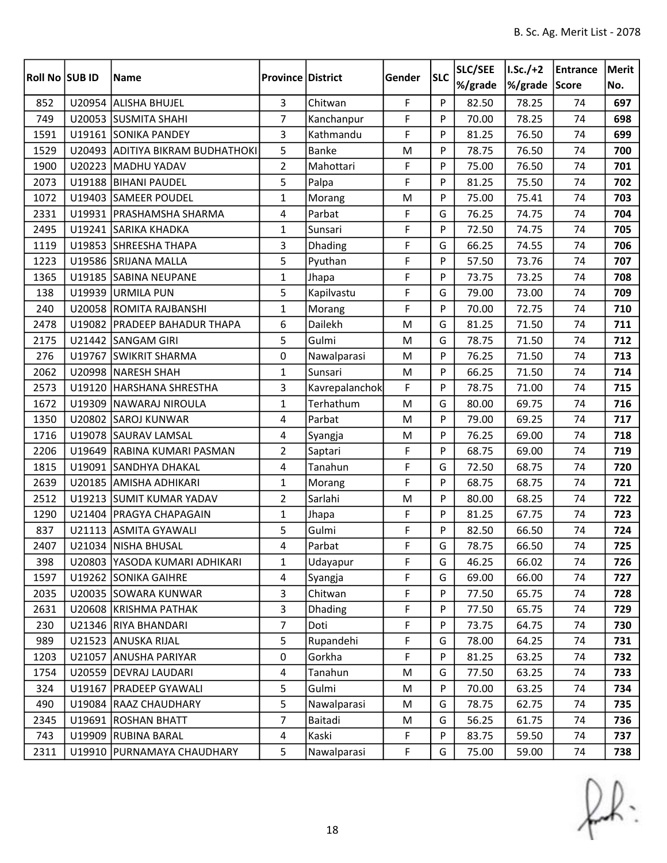|                |        |                                  |                          |                |             | <b>SLC</b> | SLC/SEE | $I.Sc./+2$    | Entrance | Merit |
|----------------|--------|----------------------------------|--------------------------|----------------|-------------|------------|---------|---------------|----------|-------|
| Roll No SUB ID |        | Name                             | <b>Province District</b> |                | Gender      |            | %/grade | %/grade Score |          | No.   |
| 852            |        | U20954 ALISHA BHUJEL             | 3                        | Chitwan        | F           | P          | 82.50   | 78.25         | 74       | 697   |
| 749            |        | U20053 SUSMITA SHAHI             | $\overline{7}$           | Kanchanpur     | F           | P          | 70.00   | 78.25         | 74       | 698   |
| 1591           |        | U19161 SONIKA PANDEY             | 3                        | Kathmandu      | F           | P          | 81.25   | 76.50         | 74       | 699   |
| 1529           |        | U20493 ADITIYA BIKRAM BUDHATHOKI | 5                        | <b>Banke</b>   | M           | P          | 78.75   | 76.50         | 74       | 700   |
| 1900           |        | U20223 MADHU YADAV               | $\overline{2}$           | Mahottari      | $\mathsf F$ | P          | 75.00   | 76.50         | 74       | 701   |
| 2073           |        | U19188 BIHANI PAUDEL             | 5                        | Palpa          | F           | P          | 81.25   | 75.50         | 74       | 702   |
| 1072           |        | U19403 SAMEER POUDEL             | $\mathbf{1}$             | Morang         | M           | P          | 75.00   | 75.41         | 74       | 703   |
| 2331           |        | U19931   PRASHAMSHA SHARMA       | 4                        | Parbat         | $\mathsf F$ | G          | 76.25   | 74.75         | 74       | 704   |
| 2495           |        | U19241 SARIKA KHADKA             | $\mathbf{1}$             | Sunsari        | F           | P          | 72.50   | 74.75         | 74       | 705   |
| 1119           |        | U19853 SHREESHA THAPA            | 3                        | Dhading        | F           | G          | 66.25   | 74.55         | 74       | 706   |
| 1223           |        | U19586 SRIJANA MALLA             | 5                        | Pyuthan        | F           | P          | 57.50   | 73.76         | 74       | 707   |
| 1365           |        | U19185 SABINA NEUPANE            | 1                        | Jhapa          | F           | P          | 73.75   | 73.25         | 74       | 708   |
| 138            |        | U19939 URMILA PUN                | 5                        | Kapilvastu     | F           | G          | 79.00   | 73.00         | 74       | 709   |
| 240            |        | U20058 ROMITA RAJBANSHI          | $\mathbf{1}$             | Morang         | $\mathsf F$ | P          | 70.00   | 72.75         | 74       | 710   |
| 2478           |        | U19082 PRADEEP BAHADUR THAPA     | 6                        | Dailekh        | M           | G          | 81.25   | 71.50         | 74       | 711   |
| 2175           |        | U21442 SANGAM GIRI               | 5                        | Gulmi          | M           | G          | 78.75   | 71.50         | 74       | 712   |
| 276            |        | U19767 SWIKRIT SHARMA            | 0                        | Nawalparasi    | ${\sf M}$   | P          | 76.25   | 71.50         | 74       | 713   |
| 2062           |        | U20998 NARESH SHAH               | $\mathbf 1$              | Sunsari        | M           | P          | 66.25   | 71.50         | 74       | 714   |
| 2573           | U19120 | HARSHANA SHRESTHA                | 3                        | Kavrepalanchok | F           | P          | 78.75   | 71.00         | 74       | 715   |
| 1672           |        | U19309 NAWARAJ NIROULA           | $\mathbf{1}$             | Terhathum      | M           | G          | 80.00   | 69.75         | 74       | 716   |
| 1350           |        | U20802 SAROJ KUNWAR              | 4                        | Parbat         | M           | P          | 79.00   | 69.25         | 74       | 717   |
| 1716           |        | U19078 SAURAV LAMSAL             | 4                        | Syangja        | M           | P          | 76.25   | 69.00         | 74       | 718   |
| 2206           |        | U19649 RABINA KUMARI PASMAN      | $\overline{2}$           | Saptari        | $\mathsf F$ | P          | 68.75   | 69.00         | 74       | 719   |
| 1815           |        | U19091 SANDHYA DHAKAL            | 4                        | Tanahun        | F           | G          | 72.50   | 68.75         | 74       | 720   |
| 2639           |        | U20185 AMISHA ADHIKARI           | $\mathbf{1}$             | Morang         | F           | P          | 68.75   | 68.75         | 74       | 721   |
| 2512           |        | U19213 SUMIT KUMAR YADAV         | $\overline{2}$           | Sarlahi        | M           | P          | 80.00   | 68.25         | 74       | 722   |
| 1290           |        | U21404   PRAGYA CHAPAGAIN        | 1                        | Jhapa          | $\mathsf F$ | P          | 81.25   | 67.75         | 74       | 723   |
| 837            |        | U21113 ASMITA GYAWALI            | 5                        | Gulmi          | F           | P          | 82.50   | 66.50         | 74       | 724   |
| 2407           |        | U21034 NISHA BHUSAL              | 4                        | Parbat         | $\mathsf F$ | G          | 78.75   | 66.50         | $74\,$   | 725   |
| 398            |        | U20803 YASODA KUMARI ADHIKARI    | 1                        | Udayapur       | F           | G          | 46.25   | 66.02         | 74       | 726   |
| 1597           |        | U19262 SONIKA GAIHRE             | $\overline{4}$           | Syangja        | $\mathsf F$ | G          | 69.00   | 66.00         | 74       | 727   |
| 2035           |        | U20035 SOWARA KUNWAR             | $\overline{3}$           | Chitwan        | F           | P          | 77.50   | 65.75         | 74       | 728   |
| 2631           |        | U20608 KRISHMA PATHAK            | 3                        | Dhading        | F           | P          | 77.50   | 65.75         | 74       | 729   |
| 230            |        | U21346 RIYA BHANDARI             | $\overline{7}$           | Doti           | F           | P          | 73.75   | 64.75         | 74       | 730   |
| 989            |        | U21523 ANUSKA RIJAL              | 5                        | Rupandehi      | F           | G          | 78.00   | 64.25         | 74       | 731   |
| 1203           |        | U21057 ANUSHA PARIYAR            | 0                        | Gorkha         | F           | P          | 81.25   | 63.25         | 74       | 732   |
| 1754           |        | U20559 DEVRAJ LAUDARI            | 4                        | Tanahun        | M           | G          | 77.50   | 63.25         | 74       | 733   |
| 324            |        | U19167   PRADEEP GYAWALI         | 5                        | Gulmi          | M           | P          | 70.00   | 63.25         | 74       | 734   |
| 490            |        | U19084 RAAZ CHAUDHARY            | 5                        | Nawalparasi    | M           | G          | 78.75   | 62.75         | 74       | 735   |
| 2345           |        | U19691 ROSHAN BHATT              | 7                        | Baitadi        | M           | G          | 56.25   | 61.75         | 74       | 736   |
| 743            |        | U19909 RUBINA BARAL              | 4                        | Kaski          | F           | P          | 83.75   | 59.50         | 74       | 737   |
| 2311           |        | U19910   PURNAMAYA CHAUDHARY     | 5                        | Nawalparasi    | $\mathsf F$ | G          | 75.00   | 59.00         | 74       | 738   |

 $f(x)$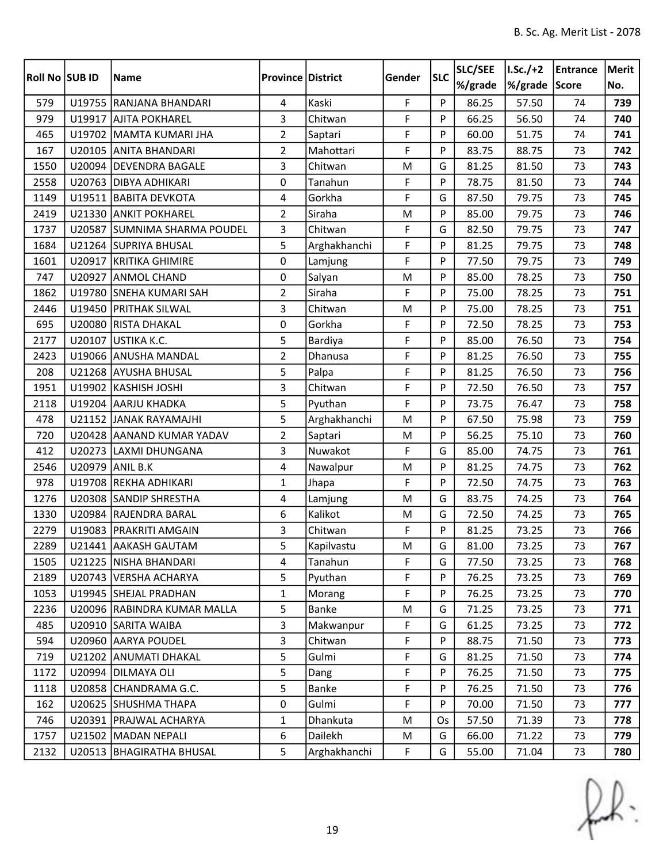|                |        |                              |                          |              |             | <b>SLC</b> | SLC/SEE | $I.Sc./+2$    | Entrance | Merit |
|----------------|--------|------------------------------|--------------------------|--------------|-------------|------------|---------|---------------|----------|-------|
| Roll No SUB ID |        | Name                         | <b>Province District</b> |              | Gender      |            | %/grade | %/grade Score |          | No.   |
| 579            |        | U19755 RANJANA BHANDARI      | $\overline{4}$           | Kaski        | F           | P          | 86.25   | 57.50         | 74       | 739   |
| 979            | U19917 | <b>AJITA POKHAREL</b>        | 3                        | Chitwan      | F           | P          | 66.25   | 56.50         | 74       | 740   |
| 465            |        | U19702 MAMTA KUMARI JHA      | $\overline{2}$           | Saptari      | F           | P          | 60.00   | 51.75         | 74       | 741   |
| 167            |        | U20105 ANITA BHANDARI        | $\overline{2}$           | Mahottari    | F           | P          | 83.75   | 88.75         | 73       | 742   |
| 1550           |        | U20094 DEVENDRA BAGALE       | 3                        | Chitwan      | M           | G          | 81.25   | 81.50         | 73       | 743   |
| 2558           |        | U20763 DIBYA ADHIKARI        | 0                        | Tanahun      | F           | P          | 78.75   | 81.50         | 73       | 744   |
| 1149           |        | U19511   BABITA DEVKOTA      | 4                        | Gorkha       | $\mathsf F$ | G          | 87.50   | 79.75         | 73       | 745   |
| 2419           |        | U21330 ANKIT POKHAREL        | $\overline{2}$           | Siraha       | M           | P          | 85.00   | 79.75         | 73       | 746   |
| 1737           |        | U20587 SUMNIMA SHARMA POUDEL | 3                        | Chitwan      | F           | G          | 82.50   | 79.75         | 73       | 747   |
| 1684           |        | U21264 SUPRIYA BHUSAL        | 5                        | Arghakhanchi | F           | P          | 81.25   | 79.75         | 73       | 748   |
| 1601           |        | U20917 KRITIKA GHIMIRE       | 0                        | Lamjung      | F           | P          | 77.50   | 79.75         | 73       | 749   |
| 747            |        | U20927 ANMOL CHAND           | 0                        | Salyan       | M           | P          | 85.00   | 78.25         | 73       | 750   |
| 1862           |        | U19780 SNEHA KUMARI SAH      | $\overline{2}$           | Siraha       | F           | P          | 75.00   | 78.25         | 73       | 751   |
| 2446           | U19450 | <b>PRITHAK SILWAL</b>        | 3                        | Chitwan      | M           | P          | 75.00   | 78.25         | 73       | 751   |
| 695            |        | U20080 RISTA DHAKAL          | 0                        | Gorkha       | $\mathsf F$ | P          | 72.50   | 78.25         | 73       | 753   |
| 2177           | U20107 | USTIKA K.C.                  | 5                        | Bardiya      | $\mathsf F$ | P          | 85.00   | 76.50         | 73       | 754   |
| 2423           |        | U19066 ANUSHA MANDAL         | $\overline{2}$           | Dhanusa      | F           | P          | 81.25   | 76.50         | 73       | 755   |
| 208            |        | U21268 AYUSHA BHUSAL         | 5                        | Palpa        | F           | P          | 81.25   | 76.50         | 73       | 756   |
| 1951           |        | U19902 KASHISH JOSHI         | 3                        | Chitwan      | $\mathsf F$ | P          | 72.50   | 76.50         | 73       | 757   |
| 2118           |        | U19204 AARJU KHADKA          | 5                        | Pyuthan      | F           | P          | 73.75   | 76.47         | 73       | 758   |
| 478            |        | U21152 JANAK RAYAMAJHI       | 5                        | Arghakhanchi | M           | P          | 67.50   | 75.98         | 73       | 759   |
| 720            |        | U20428 AANAND KUMAR YADAV    | $\overline{2}$           | Saptari      | M           | P          | 56.25   | 75.10         | 73       | 760   |
| 412            |        | U20273 LAXMI DHUNGANA        | 3                        | Nuwakot      | $\mathsf F$ | G          | 85.00   | 74.75         | 73       | 761   |
| 2546           |        | U20979 ANIL B.K              | 4                        | Nawalpur     | M           | P          | 81.25   | 74.75         | 73       | 762   |
| 978            |        | U19708 REKHA ADHIKARI        | $\mathbf{1}$             | Jhapa        | F           | P          | 72.50   | 74.75         | 73       | 763   |
| 1276           |        | U20308 SANDIP SHRESTHA       | 4                        | Lamjung      | M           | G          | 83.75   | 74.25         | 73       | 764   |
| 1330           |        | U20984 RAJENDRA BARAL        | 6                        | Kalikot      | M           | G          | 72.50   | 74.25         | 73       | 765   |
| 2279           |        | U19083   PRAKRITI AMGAIN     | 3                        | Chitwan      | F           | P          | 81.25   | 73.25         | 73       | 766   |
| 2289           |        | U21441 AAKASH GAUTAM         | 5                        | Kapilvastu   | M           | G          | 81.00   | 73.25         | 73       | 767   |
| 1505           |        | U21225 NISHA BHANDARI        | 4                        | Tanahun      | F           | G          | 77.50   | 73.25         | 73       | 768   |
| 2189           |        | U20743 VERSHA ACHARYA        | 5                        | Pyuthan      | $\mathsf F$ | P          | 76.25   | 73.25         | 73       | 769   |
| 1053           |        | U19945 SHEJAL PRADHAN        | $\mathbf{1}$             | Morang       | F           | P          | 76.25   | 73.25         | 73       | 770   |
| 2236           |        | U20096 RABINDRA KUMAR MALLA  | 5                        | <b>Banke</b> | M           | G          | 71.25   | 73.25         | 73       | 771   |
| 485            |        | U20910 SARITA WAIBA          | 3                        | Makwanpur    | F           | G          | 61.25   | 73.25         | 73       | 772   |
| 594            |        | U20960 AARYA POUDEL          | 3                        | Chitwan      | F           | P          | 88.75   | 71.50         | 73       | 773   |
| 719            |        | U21202 ANUMATI DHAKAL        | 5                        | Gulmi        | F           | G          | 81.25   | 71.50         | 73       | 774   |
| 1172           |        | U20994 DILMAYA OLI           | 5                        | Dang         | F           | P          | 76.25   | 71.50         | 73       | 775   |
| 1118           |        | U20858 CHANDRAMA G.C.        | 5                        | Banke        | F           | P          | 76.25   | 71.50         | 73       | 776   |
| 162            |        | U20625 SHUSHMA THAPA         | 0                        | Gulmi        | F           | P          | 70.00   | 71.50         | 73       | 777   |
| 746            |        | U20391   PRAJWAL ACHARYA     | 1                        | Dhankuta     | M           | Os         | 57.50   | 71.39         | 73       | 778   |
| 1757           |        | U21502 MADAN NEPALI          | 6                        | Dailekh      | M           | G          | 66.00   | 71.22         | 73       | 779   |
| 2132           |        | U20513 BHAGIRATHA BHUSAL     | 5                        | Arghakhanchi | $\mathsf F$ | G          | 55.00   | 71.04         | 73       | 780   |

 $f(x)$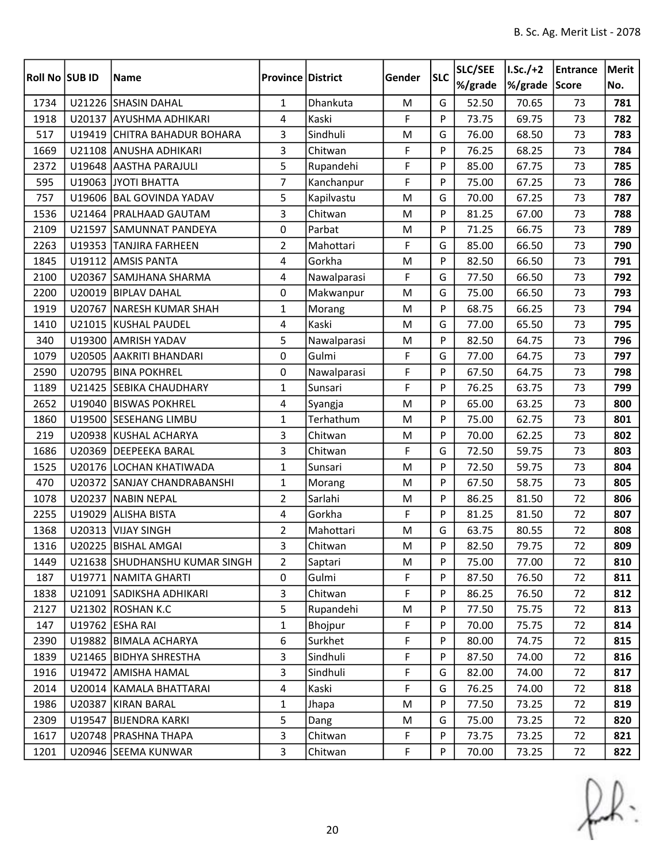| Roll No SUB ID |        | Name                          | <b>Province District</b> |                | Gender      | <b>SLC</b> | SLC/SEE | $I.Sc./+2$    | Entrance | Merit |
|----------------|--------|-------------------------------|--------------------------|----------------|-------------|------------|---------|---------------|----------|-------|
|                |        |                               |                          |                |             |            | %/grade | %/grade Score |          | No.   |
| 1734           |        | U21226 SHASIN DAHAL           | $\mathbf{1}$             | Dhankuta       | M           | G          | 52.50   | 70.65         | 73       | 781   |
| 1918           | U20137 | <b>AYUSHMA ADHIKARI</b>       | 4                        | Kaski          | F           | P          | 73.75   | 69.75         | 73       | 782   |
| 517            | U19419 | CHITRA BAHADUR BOHARA         | 3                        | Sindhuli       | M           | G          | 76.00   | 68.50         | 73       | 783   |
| 1669           | U21108 | <b>ANUSHA ADHIKARI</b>        | 3                        | Chitwan        | F           | P          | 76.25   | 68.25         | 73       | 784   |
| 2372           |        | U19648 AASTHA PARAJULI        | 5                        | Rupandehi      | F           | P          | 85.00   | 67.75         | 73       | 785   |
| 595            |        | U19063 JYOTI BHATTA           | $\overline{7}$           | Kanchanpur     | F           | P          | 75.00   | 67.25         | 73       | 786   |
| 757            | U19606 | <b>BAL GOVINDA YADAV</b>      | 5                        | Kapilvastu     | M           | G          | 70.00   | 67.25         | 73       | 787   |
| 1536           |        | U21464   PRALHAAD GAUTAM      | 3                        | Chitwan        | M           | P          | 81.25   | 67.00         | 73       | 788   |
| 2109           | U21597 | <b>SAMUNNAT PANDEYA</b>       | 0                        | Parbat         | M           | P          | 71.25   | 66.75         | 73       | 789   |
| 2263           |        | U19353 TANJIRA FARHEEN        | $\overline{2}$           | Mahottari      | F           | G          | 85.00   | 66.50         | 73       | 790   |
| 1845           |        | U19112 AMSIS PANTA            | 4                        | Gorkha         | M           | P          | 82.50   | 66.50         | 73       | 791   |
| 2100           | U20367 | SAMJHANA SHARMA               | 4                        | Nawalparasi    | F           | G          | 77.50   | 66.50         | 73       | 792   |
| 2200           |        | U20019 BIPLAV DAHAL           | 0                        | Makwanpur      | M           | G          | 75.00   | 66.50         | 73       | 793   |
| 1919           | U20767 | <b>NARESH KUMAR SHAH</b>      | $\mathbf{1}$             | Morang         | M           | P          | 68.75   | 66.25         | 73       | 794   |
| 1410           |        | U21015 KUSHAL PAUDEL          | 4                        | Kaski          | M           | G          | 77.00   | 65.50         | 73       | 795   |
| 340            |        | U19300 AMRISH YADAV           | 5                        | Nawalparasi    | M           | P          | 82.50   | 64.75         | 73       | 796   |
| 1079           |        | U20505 AAKRITI BHANDARI       | 0                        | Gulmi          | F           | G          | 77.00   | 64.75         | 73       | 797   |
| 2590           |        | U20795 BINA POKHREL           | 0                        | Nawalparasi    | F           | P          | 67.50   | 64.75         | 73       | 798   |
| 1189           |        | U21425 SEBIKA CHAUDHARY       | $\mathbf{1}$             | Sunsari        | F           | P          | 76.25   | 63.75         | 73       | 799   |
| 2652           |        | U19040 BISWAS POKHREL         | 4                        | Syangja        | M           | P          | 65.00   | 63.25         | 73       | 800   |
| 1860           |        | U19500 SESEHANG LIMBU         | 1                        | Terhathum      | M           | P          | 75.00   | 62.75         | 73       | 801   |
| 219            |        | U20938 KUSHAL ACHARYA         | 3                        | Chitwan        | M           | P          | 70.00   | 62.25         | 73       | 802   |
| 1686           |        | U20369 DEEPEEKA BARAL         | 3                        | Chitwan        | F           | G          | 72.50   | 59.75         | 73       | 803   |
| 1525           |        | U20176 LOCHAN KHATIWADA       | $\mathbf{1}$             | Sunsari        | ${\sf M}$   | P          | 72.50   | 59.75         | 73       | 804   |
| 470            |        | U20372 SANJAY CHANDRABANSHI   | $\mathbf{1}$             | Morang         | ${\sf M}$   | P          | 67.50   | 58.75         | 73       | 805   |
| 1078           |        | U20237 NABIN NEPAL            | $\overline{2}$           | Sarlahi        | M           | P          | 86.25   | 81.50         | 72       | 806   |
| 2255           | U19029 | <b>ALISHA BISTA</b>           | 4                        | Gorkha         | F           | P          | 81.25   | 81.50         | 72       | 807   |
| 1368           |        | U20313 VIJAY SINGH            | $\overline{2}$           | Mahottari      | M           | G          | 63.75   | 80.55         | 72       | 808   |
| 1316           |        | U20225 BISHAL AMGAI           | 3                        | Chitwan        | ${\sf M}$   | P          | 82.50   | 79.75         | $72\,$   | 809   |
| 1449           |        | U21638 SHUDHANSHU KUMAR SINGH | $\overline{2}$           | Saptari        | M           | P          | 75.00   | 77.00         | 72       | 810   |
| 187            |        | U19771   NAMITA GHARTI        | 0                        | Gulmi          | F           | P          | 87.50   | 76.50         | 72       | 811   |
| 1838           |        | U21091 SADIKSHA ADHIKARI      | 3                        | Chitwan        | F           | P          | 86.25   | 76.50         | 72       | 812   |
| 2127           |        | U21302 ROSHAN K.C             | 5                        | Rupandehi      | M           | P          | 77.50   | 75.75         | 72       | 813   |
| 147            |        | U19762 ESHA RAI               | $\mathbf{1}$             | <b>Bhojpur</b> | F           | P          | 70.00   | 75.75         | 72       | 814   |
| 2390           |        | U19882 BIMALA ACHARYA         | 6                        | Surkhet        | F           | P          | 80.00   | 74.75         | 72       | 815   |
| 1839           |        | U21465 BIDHYA SHRESTHA        | 3                        | Sindhuli       | F           | P          | 87.50   | 74.00         | 72       | 816   |
| 1916           |        | U19472 AMISHA HAMAL           | 3                        | Sindhuli       | F           | G          | 82.00   | 74.00         | 72       | 817   |
| 2014           |        | U20014 KAMALA BHATTARAI       | $\overline{4}$           | Kaski          | F           | G          | 76.25   | 74.00         | 72       | 818   |
| 1986           |        | U20387 KIRAN BARAL            | $\mathbf{1}$             | Jhapa          | M           | P          | 77.50   | 73.25         | 72       | 819   |
| 2309           | U19547 | <b>BIJENDRA KARKI</b>         | 5                        | Dang           | M           | G          | 75.00   | 73.25         | 72       | 820   |
| 1617           |        | U20748   PRASHNA THAPA        | 3                        | Chitwan        | $\mathsf F$ | P          | 73.75   | 73.25         | 72       | 821   |
| 1201           |        | U20946 SEEMA KUNWAR           | $\overline{3}$           | Chitwan        | F           | P          | 70.00   | 73.25         | 72       | 822   |

 $f(x)$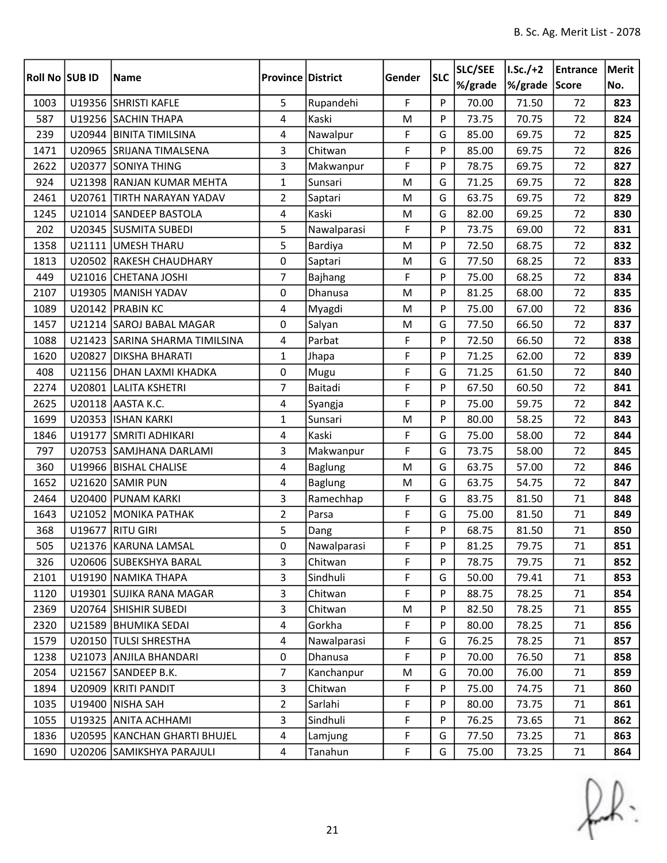| Roll No SUB ID |        | Name                                        | <b>Province District</b> |                           | Gender         | <b>SLC</b> | <b>SLC/SEE</b><br>%/grade | $I.Sc./+2$<br>%/grade | Entrance<br>Score | Merit<br>No. |
|----------------|--------|---------------------------------------------|--------------------------|---------------------------|----------------|------------|---------------------------|-----------------------|-------------------|--------------|
| 1003           |        | U19356 SHRISTI KAFLE                        | 5                        | Rupandehi                 | F              | P          | 70.00                     | 71.50                 | 72                | 823          |
| 587            |        | U19256 SACHIN THAPA                         | 4                        | Kaski                     | M              | P          | 73.75                     | 70.75                 | 72                | 824          |
| 239            |        | U20944 BINITA TIMILSINA                     | 4                        | Nawalpur                  | F              | G          | 85.00                     | 69.75                 | 72                | 825          |
| 1471           |        | U20965 SRIJANA TIMALSENA                    | 3                        | Chitwan                   | F              | P          | 85.00                     | 69.75                 | 72                | 826          |
| 2622           | U20377 | SONIYA THING                                | 3                        | Makwanpur                 | F              | P          | 78.75                     | 69.75                 | 72                | 827          |
| 924            |        | U21398 RANJAN KUMAR MEHTA                   | $\mathbf{1}$             | Sunsari                   | M              | G          | 71.25                     | 69.75                 | 72                | 828          |
| 2461           |        | U20761 TIRTH NARAYAN YADAV                  | $\overline{2}$           | Saptari                   | M              | G          | 63.75                     | 69.75                 | 72                | 829          |
| 1245           |        | U21014 SANDEEP BASTOLA                      | 4                        | Kaski                     | M              | G          | 82.00                     | 69.25                 | 72                | 830          |
| 202            |        | U20345 SUSMITA SUBEDI                       | 5                        | Nawalparasi               | F              | P          | 73.75                     | 69.00                 | 72                | 831          |
| 1358           |        | U21111 UMESH THARU                          | 5                        |                           | ${\sf M}$      | P          | 72.50                     | 68.75                 | 72                | 832          |
|                |        |                                             |                          | Bardiya                   |                |            |                           |                       |                   |              |
| 1813           |        | U20502 RAKESH CHAUDHARY                     | 0<br>$\overline{7}$      | Saptari                   | ${\sf M}$<br>F | G<br>P     | 77.50                     | 68.25                 | 72                | 833          |
| 449            |        | U21016 CHETANA JOSHI<br>U19305 MANISH YADAV |                          | <b>Bajhang</b><br>Dhanusa |                | P          | 75.00                     | 68.25                 | 72<br>72          | 834<br>835   |
| 2107           |        |                                             | 0                        |                           | M              |            | 81.25                     | 68.00                 |                   |              |
| 1089           |        | U20142 PRABIN KC                            | 4                        | Myagdi                    | M              | P          | 75.00                     | 67.00                 | 72                | 836          |
| 1457           |        | U21214 SAROJ BABAL MAGAR                    | $\Omega$                 | Salyan                    | M              | G          | 77.50                     | 66.50                 | 72                | 837          |
| 1088           |        | U21423 SARINA SHARMA TIMILSINA              | 4                        | Parbat                    | F              | P          | 72.50                     | 66.50                 | 72                | 838          |
| 1620           | U20827 | <b>DIKSHA BHARATI</b>                       | $\mathbf{1}$             | Jhapa                     | F              | P          | 71.25                     | 62.00                 | 72                | 839          |
| 408            |        | U21156   DHAN LAXMI KHADKA                  | 0                        | Mugu                      | F              | G          | 71.25                     | 61.50                 | 72                | 840          |
| 2274           |        | U20801 LALITA KSHETRI                       | 7                        | Baitadi                   | F              | P          | 67.50                     | 60.50                 | 72                | 841          |
| 2625           |        | U20118 AASTA K.C.                           | 4                        | Syangja                   | F              | P          | 75.00                     | 59.75                 | 72                | 842          |
| 1699           |        | U20353 ISHAN KARKI                          | 1                        | Sunsari                   | M              | P          | 80.00                     | 58.25                 | 72                | 843          |
| 1846           | U19177 | SMRITI ADHIKARI                             | 4                        | Kaski                     | F              | G          | 75.00                     | 58.00                 | 72                | 844          |
| 797            |        | U20753 SAMJHANA DARLAMI                     | 3                        | Makwanpur                 | F              | G          | 73.75                     | 58.00                 | 72                | 845          |
| 360            |        | U19966 BISHAL CHALISE                       | 4                        | <b>Baglung</b>            | M              | G          | 63.75                     | 57.00                 | 72                | 846          |
| 1652           |        | U21620 SAMIR PUN                            | 4                        | <b>Baglung</b>            | M              | G          | 63.75                     | 54.75                 | 72                | 847          |
| 2464           |        | U20400 PUNAM KARKI                          | 3                        | Ramechhap                 | F              | G          | 83.75                     | 81.50                 | 71                | 848          |
| 1643           |        | U21052 MONIKA PATHAK                        | $\overline{2}$           | Parsa                     | F              | G          | 75.00                     | 81.50                 | 71                | 849          |
| 368            |        | U19677 RITU GIRI                            | 5                        | Dang                      | F              | P          | 68.75                     | 81.50                 | 71                | 850          |
| 505            |        | U21376 KARUNA LAMSAL                        | $\pmb{0}$                | Nawalparasi               | $\mathsf F$    | ${\sf P}$  | 81.25                     | 79.75                 | 71                | 851          |
| 326            |        | U20606 SUBEKSHYA BARAL                      | 3                        | Chitwan                   | F              | P          | 78.75                     | 79.75                 | 71                | 852          |
| 2101           |        | U19190 NAMIKA THAPA                         | 3                        | Sindhuli                  | F              | G          | 50.00                     | 79.41                 | 71                | 853          |
| 1120           |        | U19301 SUJIKA RANA MAGAR                    | $\overline{3}$           | Chitwan                   | F              | P          | 88.75                     | 78.25                 | 71                | 854          |
| 2369           |        | U20764 SHISHIR SUBEDI                       | 3                        | Chitwan                   | M              | P          | 82.50                     | 78.25                 | 71                | 855          |
| 2320           |        | U21589   BHUMIKA SEDAI                      | 4                        | Gorkha                    | F              | P          | 80.00                     | 78.25                 | 71                | 856          |
| 1579           |        | U20150 TULSI SHRESTHA                       | $\overline{4}$           | Nawalparasi               | F              | G          | 76.25                     | 78.25                 | 71                | 857          |
| 1238           |        | U21073 ANJILA BHANDARI                      | 0                        | Dhanusa                   | F              | P          | 70.00                     | 76.50                 | 71                | 858          |
| 2054           |        | U21567 SANDEEP B.K.                         | $\overline{7}$           | Kanchanpur                | M              | G          | 70.00                     | 76.00                 | 71                | 859          |
| 1894           | U20909 | <b>KRITI PANDIT</b>                         | 3                        | Chitwan                   | $\mathsf F$    | P          | 75.00                     | 74.75                 | 71                | 860          |
| 1035           | U19400 | <b>NISHA SAH</b>                            | $\overline{2}$           | Sarlahi                   | F              | P          | 80.00                     | 73.75                 | 71                | 861          |
| 1055           | U19325 | <b>ANITA ACHHAMI</b>                        | 3                        | Sindhuli                  | F              | P          | 76.25                     | 73.65                 | 71                | 862          |
| 1836           |        | U20595 KANCHAN GHARTI BHUJEL                | $\overline{4}$           | Lamjung                   | F              | G          | 77.50                     | 73.25                 | 71                | 863          |
| 1690           |        | U20206 SAMIKSHYA PARAJULI                   | 4                        | Tanahun                   | F              | G          | 75.00                     | 73.25                 | 71                | 864          |

 $f(x)$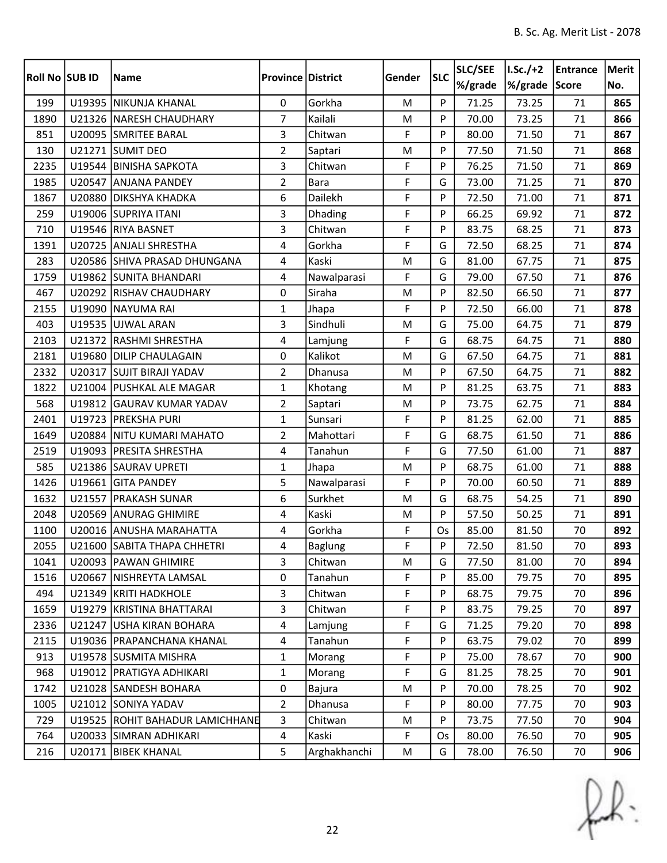| Roll No SUB ID |        | Name                            | <b>Province District</b> |              | Gender      | <b>SLC</b> | SLC/SEE | $I.Sc./+2$    | Entrance | Merit |
|----------------|--------|---------------------------------|--------------------------|--------------|-------------|------------|---------|---------------|----------|-------|
|                |        |                                 |                          |              |             |            | %/grade | %/grade Score |          | No.   |
| 199            |        | U19395 NIKUNJA KHANAL           | $\mathbf 0$              | Gorkha       | M           | P          | 71.25   | 73.25         | 71       | 865   |
| 1890           |        | U21326 NARESH CHAUDHARY         | 7                        | Kailali      | M           | P          | 70.00   | 73.25         | 71       | 866   |
| 851            |        | U20095 SMRITEE BARAL            | 3                        | Chitwan      | F           | P          | 80.00   | 71.50         | 71       | 867   |
| 130            |        | U21271 SUMIT DEO                | $\overline{2}$           | Saptari      | M           | P          | 77.50   | 71.50         | 71       | 868   |
| 2235           |        | U19544 BINISHA SAPKOTA          | 3                        | Chitwan      | F           | P          | 76.25   | 71.50         | 71       | 869   |
| 1985           |        | U20547 ANJANA PANDEY            | $\overline{2}$           | <b>Bara</b>  | F           | G          | 73.00   | 71.25         | 71       | 870   |
| 1867           | U20880 | <b>DIKSHYA KHADKA</b>           | 6                        | Dailekh      | F           | P          | 72.50   | 71.00         | 71       | 871   |
| 259            |        | U19006 SUPRIYA ITANI            | 3                        | Dhading      | F           | P          | 66.25   | 69.92         | 71       | 872   |
| 710            |        | U19546 RIYA BASNET              | 3                        | Chitwan      | F           | P          | 83.75   | 68.25         | 71       | 873   |
| 1391           |        | U20725 ANJALI SHRESTHA          | 4                        | Gorkha       | F           | G          | 72.50   | 68.25         | 71       | 874   |
| 283            |        | U20586 SHIVA PRASAD DHUNGANA    | 4                        | Kaski        | M           | G          | 81.00   | 67.75         | 71       | 875   |
| 1759           |        | U19862 SUNITA BHANDARI          | 4                        | Nawalparasi  | F           | G          | 79.00   | 67.50         | 71       | 876   |
| 467            |        | U20292 RISHAV CHAUDHARY         | 0                        | Siraha       | M           | P          | 82.50   | 66.50         | 71       | 877   |
| 2155           |        | U19090 NAYUMA RAI               | 1                        | Jhapa        | F           | P          | 72.50   | 66.00         | 71       | 878   |
| 403            |        | U19535 UJWAL ARAN               | 3                        | Sindhuli     | M           | G          | 75.00   | 64.75         | 71       | 879   |
| 2103           |        | U21372 RASHMI SHRESTHA          | 4                        | Lamjung      | F           | G          | 68.75   | 64.75         | 71       | 880   |
| 2181           |        | U19680 DILIP CHAULAGAIN         | 0                        | Kalikot      | ${\sf M}$   | G          | 67.50   | 64.75         | 71       | 881   |
| 2332           | U20317 | <b>SUJIT BIRAJI YADAV</b>       | $\overline{2}$           | Dhanusa      | M           | P          | 67.50   | 64.75         | 71       | 882   |
| 1822           |        | U21004 PUSHKAL ALE MAGAR        | $\mathbf{1}$             | Khotang      | M           | P          | 81.25   | 63.75         | 71       | 883   |
| 568            |        | U19812 GAURAV KUMAR YADAV       | $\overline{2}$           | Saptari      | M           | P          | 73.75   | 62.75         | 71       | 884   |
| 2401           |        | U19723 PREKSHA PURI             | 1                        | Sunsari      | F           | P          | 81.25   | 62.00         | 71       | 885   |
| 1649           |        | U20884 NITU KUMARI MAHATO       | $\overline{2}$           | Mahottari    | F           | G          | 68.75   | 61.50         | 71       | 886   |
| 2519           |        | U19093   PRESITA SHRESTHA       | 4                        | Tanahun      | F           | G          | 77.50   | 61.00         | 71       | 887   |
| 585            |        | U21386 SAURAV UPRETI            | $\mathbf{1}$             | Jhapa        | M           | P          | 68.75   | 61.00         | 71       | 888   |
| 1426           |        | U19661 GITA PANDEY              | 5                        | Nawalparasi  | F           | P          | 70.00   | 60.50         | 71       | 889   |
| 1632           | U21557 | <b>PRAKASH SUNAR</b>            | 6                        | Surkhet      | M           | G          | 68.75   | 54.25         | 71       | 890   |
| 2048           |        | U20569 ANURAG GHIMIRE           | 4                        | Kaski        | M           | P          | 57.50   | 50.25         | 71       | 891   |
| 1100           |        | U20016 ANUSHA MARAHATTA         | 4                        | Gorkha       | F           | Os         | 85.00   | 81.50         | 70       | 892   |
| 2055           |        | U21600 SABITA THAPA CHHETRI     | 4                        | Baglung      | $\mathsf F$ | P          | 72.50   | 81.50         | $70\,$   | 893   |
| 1041           |        | U20093   PAWAN GHIMIRE          | 3                        | Chitwan      | M           | G          | 77.50   | 81.00         | 70       | 894   |
| 1516           |        | U20667   NISHREYTA LAMSAL       | 0                        | Tanahun      | F           | P          | 85.00   | 79.75         | 70       | 895   |
| 494            |        | U21349 KRITI HADKHOLE           | 3                        | Chitwan      | F           | P          | 68.75   | 79.75         | 70       | 896   |
| 1659           |        | U19279 KRISTINA BHATTARAI       | 3                        | Chitwan      | F           | P          | 83.75   | 79.25         | 70       | 897   |
| 2336           |        | U21247 USHA KIRAN BOHARA        | 4                        | Lamjung      | F           | G          | 71.25   | 79.20         | 70       | 898   |
| 2115           |        | U19036   PRAPANCHANA KHANAL     | 4                        | Tanahun      | F           | P          | 63.75   | 79.02         | 70       | 899   |
| 913            |        | U19578 SUSMITA MISHRA           | $\mathbf{1}$             | Morang       | F           | P          | 75.00   | 78.67         | 70       | 900   |
| 968            |        | U19012 PRATIGYA ADHIKARI        | $\mathbf{1}$             | Morang       | F           | G          | 81.25   | 78.25         | 70       | 901   |
| 1742           |        | U21028 SANDESH BOHARA           | 0                        | Bajura       | M           | P          | 70.00   | 78.25         | 70       | 902   |
| 1005           |        | U21012 SONIYA YADAV             | $\overline{2}$           | Dhanusa      | F           | P          | 80.00   | 77.75         | 70       | 903   |
| 729            |        | U19525 ROHIT BAHADUR LAMICHHANE | 3                        | Chitwan      | M           | P          | 73.75   | 77.50         | 70       | 904   |
| 764            |        | U20033 SIMRAN ADHIKARI          | $\overline{4}$           | Kaski        | F           | Os         | 80.00   | 76.50         | 70       | 905   |
| 216            |        | U20171 BIBEK KHANAL             | 5                        | Arghakhanchi | M           | G          | 78.00   | 76.50         | 70       | 906   |

 $f(x)$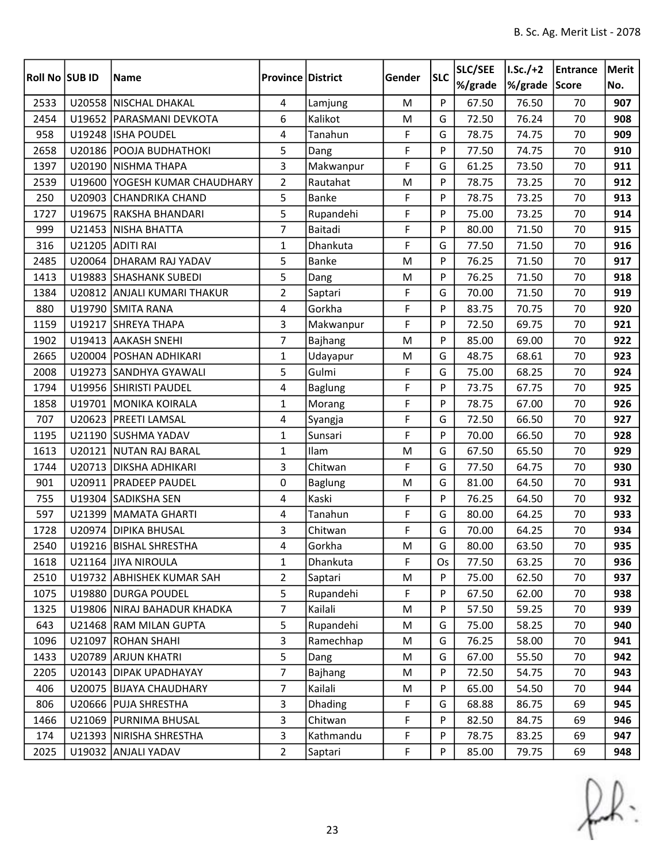| Roll No SUB ID |        | Name                          | <b>Province District</b> |                | Gender      | <b>SLC</b> | SLC/SEE | I.Sc./+2      | Entrance | Merit |
|----------------|--------|-------------------------------|--------------------------|----------------|-------------|------------|---------|---------------|----------|-------|
|                |        |                               |                          |                |             |            | %/grade | %/grade Score |          | No.   |
| 2533           |        | U20558 NISCHAL DHAKAL         | 4                        | Lamjung        | M           | P          | 67.50   | 76.50         | 70       | 907   |
| 2454           |        | U19652 PARASMANI DEVKOTA      | 6                        | Kalikot        | M           | G          | 72.50   | 76.24         | 70       | 908   |
| 958            |        | U19248 ISHA POUDEL            | 4                        | Tanahun        | $\mathsf F$ | G          | 78.75   | 74.75         | 70       | 909   |
| 2658           |        | U20186   POOJA BUDHATHOKI     | 5                        | Dang           | $\mathsf F$ | P          | 77.50   | 74.75         | 70       | 910   |
| 1397           |        | U20190 NISHMA THAPA           | 3                        | Makwanpur      | F           | G          | 61.25   | 73.50         | 70       | 911   |
| 2539           |        | U19600 YOGESH KUMAR CHAUDHARY | $\overline{2}$           | Rautahat       | M           | P          | 78.75   | 73.25         | 70       | 912   |
| 250            | U20903 | <b>CHANDRIKA CHAND</b>        | 5                        | Banke          | $\mathsf F$ | P          | 78.75   | 73.25         | 70       | 913   |
| 1727           |        | U19675 RAKSHA BHANDARI        | 5                        | Rupandehi      | F           | P          | 75.00   | 73.25         | 70       | 914   |
| 999            |        | U21453 NISHA BHATTA           | $\overline{7}$           | Baitadi        | F           | P          | 80.00   | 71.50         | 70       | 915   |
| 316            |        | U21205 ADITI RAI              | 1                        | Dhankuta       | F           | G          | 77.50   | 71.50         | 70       | 916   |
| 2485           |        | U20064 DHARAM RAJ YADAV       | 5                        | <b>Banke</b>   | M           | P          | 76.25   | 71.50         | 70       | 917   |
| 1413           |        | U19883 SHASHANK SUBEDI        | 5                        | Dang           | M           | P          | 76.25   | 71.50         | 70       | 918   |
| 1384           |        | U20812 ANJALI KUMARI THAKUR   | $\overline{2}$           | Saptari        | $\mathsf F$ | G          | 70.00   | 71.50         | 70       | 919   |
| 880            |        | U19790 SMITA RANA             | 4                        | Gorkha         | $\mathsf F$ | P          | 83.75   | 70.75         | 70       | 920   |
| 1159           |        | U19217 SHREYA THAPA           | 3                        | Makwanpur      | F           | P          | 72.50   | 69.75         | 70       | 921   |
| 1902           |        | U19413 AAKASH SNEHI           | 7                        | Bajhang        | M           | P          | 85.00   | 69.00         | 70       | 922   |
| 2665           |        | U20004   POSHAN ADHIKARI      | $\mathbf{1}$             | Udayapur       | ${\sf M}$   | G          | 48.75   | 68.61         | 70       | 923   |
| 2008           |        | U19273 SANDHYA GYAWALI        | 5                        | Gulmi          | F           | G          | 75.00   | 68.25         | 70       | 924   |
| 1794           |        | U19956 SHIRISTI PAUDEL        | 4                        | <b>Baglung</b> | $\mathsf F$ | P          | 73.75   | 67.75         | 70       | 925   |
| 1858           |        | U19701 MONIKA KOIRALA         | $\mathbf{1}$             | Morang         | F           | P          | 78.75   | 67.00         | 70       | 926   |
| 707            |        | U20623   PREETI LAMSAL        | 4                        | Syangja        | $\mathsf F$ | G          | 72.50   | 66.50         | 70       | 927   |
| 1195           |        | U21190 SUSHMA YADAV           | $\mathbf{1}$             | Sunsari        | F           | P          | 70.00   | 66.50         | 70       | 928   |
| 1613           |        | U20121 NUTAN RAJ BARAL        | $\mathbf{1}$             | Ilam           | M           | G          | 67.50   | 65.50         | 70       | 929   |
| 1744           |        | U20713 DIKSHA ADHIKARI        | 3                        | Chitwan        | $\mathsf F$ | G          | 77.50   | 64.75         | 70       | 930   |
| 901            |        | U20911   PRADEEP PAUDEL       | 0                        | Baglung        | M           | G          | 81.00   | 64.50         | 70       | 931   |
| 755            |        | U19304 SADIKSHA SEN           | 4                        | Kaski          | F           | P          | 76.25   | 64.50         | 70       | 932   |
| 597            |        | U21399   MAMATA GHARTI        | 4                        | Tanahun        | $\mathsf F$ | G          | 80.00   | 64.25         | 70       | 933   |
| 1728           |        | U20974 DIPIKA BHUSAL          | 3                        | Chitwan        | F           | G          | 70.00   | 64.25         | 70       | 934   |
| 2540           |        | U19216 BISHAL SHRESTHA        | 4                        | Gorkha         | M           | G          | 80.00   | 63.50         | $70\,$   | 935   |
| 1618           |        | U21164 JJIYA NIROULA          | 1                        | Dhankuta       | F           | Os         | 77.50   | 63.25         | 70       | 936   |
| 2510           |        | U19732 ABHISHEK KUMAR SAH     | $\overline{2}$           | Saptari        | M           | P          | 75.00   | 62.50         | 70       | 937   |
| 1075           |        | U19880 DURGA POUDEL           | 5                        | Rupandehi      | F           | P          | 67.50   | 62.00         | 70       | 938   |
| 1325           |        | U19806 NIRAJ BAHADUR KHADKA   | 7                        | Kailali        | M           | P          | 57.50   | 59.25         | 70       | 939   |
| 643            |        | U21468 RAM MILAN GUPTA        | 5                        | Rupandehi      | M           | G          | 75.00   | 58.25         | 70       | 940   |
| 1096           |        | U21097 ROHAN SHAHI            | $\overline{3}$           | Ramechhap      | M           | G          | 76.25   | 58.00         | 70       | 941   |
| 1433           |        | U20789 ARJUN KHATRI           | 5                        | Dang           | M           | G          | 67.00   | 55.50         | 70       | 942   |
| 2205           |        | U20143 DIPAK UPADHAYAY        | $\overline{7}$           | <b>Bajhang</b> | M           | P          | 72.50   | 54.75         | 70       | 943   |
| 406            |        | U20075 BIJAYA CHAUDHARY       | $\overline{7}$           | Kailali        | M           | P          | 65.00   | 54.50         | 70       | 944   |
| 806            |        | U20666   PUJA SHRESTHA        | 3                        | <b>Dhading</b> | F           | G          | 68.88   | 86.75         | 69       | 945   |
| 1466           |        | U21069 PURNIMA BHUSAL         | 3                        | Chitwan        | F           | P          | 82.50   | 84.75         | 69       | 946   |
| 174            |        | U21393   NIRISHA SHRESTHA     | $\overline{3}$           | Kathmandu      | F           | P          | 78.75   | 83.25         | 69       | 947   |
| 2025           |        | U19032 ANJALI YADAV           | $\overline{2}$           | Saptari        | $\mathsf F$ | P          | 85.00   | 79.75         | 69       | 948   |

 $f(x)$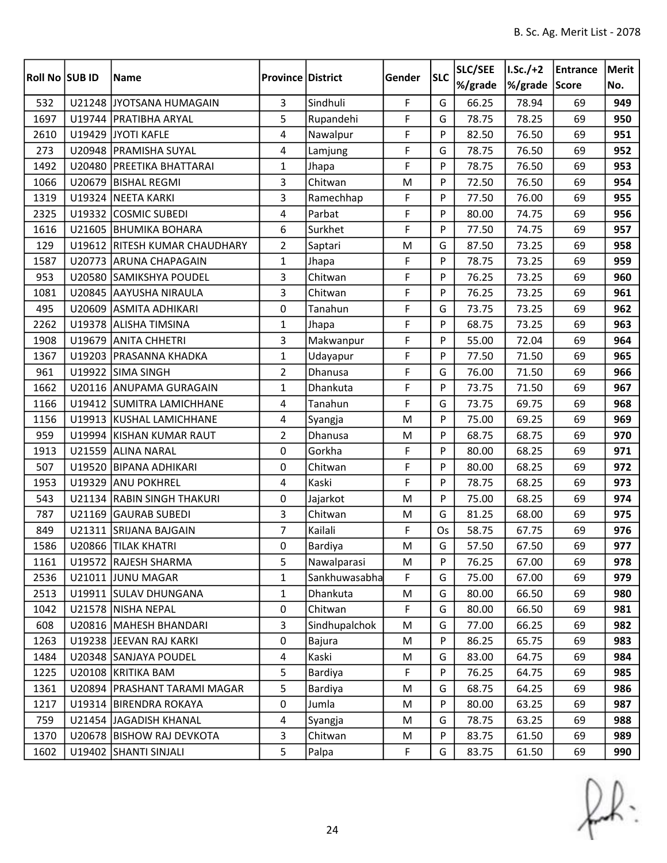|                |        |                                |                          |               |             |            | SLC/SEE | $I.Sc./+2$    | Entrance | Merit |
|----------------|--------|--------------------------------|--------------------------|---------------|-------------|------------|---------|---------------|----------|-------|
| Roll No SUB ID |        | Name                           | <b>Province District</b> |               | Gender      | <b>SLC</b> | %/grade | %/grade Score |          | No.   |
| 532            |        | U21248 JYOTSANA HUMAGAIN       | 3                        | Sindhuli      | $\mathsf F$ | G          | 66.25   | 78.94         | 69       | 949   |
| 1697           |        | U19744   PRATIBHA ARYAL        | 5                        | Rupandehi     | F           | G          | 78.75   | 78.25         | 69       | 950   |
| 2610           |        | U19429 JYOTI KAFLE             | 4                        | Nawalpur      | F           | P          | 82.50   | 76.50         | 69       | 951   |
| 273            |        | U20948   PRAMISHA SUYAL        | 4                        | Lamjung       | $\mathsf F$ | G          | 78.75   | 76.50         | 69       | 952   |
| 1492           |        | U20480 PREETIKA BHATTARAI      | 1                        | Jhapa         | $\mathsf F$ | P          | 78.75   | 76.50         | 69       | 953   |
| 1066           |        | U20679 BISHAL REGMI            | 3                        | Chitwan       | M           | P          | 72.50   | 76.50         | 69       | 954   |
| 1319           |        | U19324 NEETA KARKI             | 3                        | Ramechhap     | $\mathsf F$ | P          | 77.50   | 76.00         | 69       | 955   |
| 2325           |        | U19332 COSMIC SUBEDI           | 4                        | Parbat        | F           | P          | 80.00   | 74.75         | 69       | 956   |
| 1616           |        | U21605 BHUMIKA BOHARA          | 6                        | Surkhet       | F           | P          | 77.50   | 74.75         | 69       | 957   |
| 129            |        | U19612 RITESH KUMAR CHAUDHARY  | $\overline{2}$           | Saptari       | M           | G          | 87.50   | 73.25         | 69       | 958   |
| 1587           |        | U20773 ARUNA CHAPAGAIN         | $\mathbf{1}$             | Jhapa         | F           | P          | 78.75   | 73.25         | 69       | 959   |
| 953            | U20580 | SAMIKSHYA POUDEL               | 3                        | Chitwan       | $\mathsf F$ | P          | 76.25   | 73.25         | 69       | 960   |
| 1081           |        | U20845 AAYUSHA NIRAULA         | 3                        | Chitwan       | F           | P          | 76.25   | 73.25         | 69       | 961   |
| 495            |        | U20609 ASMITA ADHIKARI         | 0                        | Tanahun       | $\mathsf F$ | G          | 73.75   | 73.25         | 69       | 962   |
| 2262           |        | U19378 ALISHA TIMSINA          | 1                        | Jhapa         | F           | P          | 68.75   | 73.25         | 69       | 963   |
| 1908           |        | U19679 ANITA CHHETRI           | 3                        | Makwanpur     | $\mathsf F$ | P          | 55.00   | 72.04         | 69       | 964   |
| 1367           |        | U19203 PRASANNA KHADKA         | $\mathbf{1}$             | Udayapur      | F           | P          | 77.50   | 71.50         | 69       | 965   |
| 961            |        | U19922 SIMA SINGH              | $\overline{2}$           | Dhanusa       | F           | G          | 76.00   | 71.50         | 69       | 966   |
| 1662           |        | U20116 ANUPAMA GURAGAIN        | $\mathbf{1}$             | Dhankuta      | $\mathsf F$ | P          | 73.75   | 71.50         | 69       | 967   |
| 1166           |        | U19412 SUMITRA LAMICHHANE      | 4                        | Tanahun       | $\mathsf F$ | G          | 73.75   | 69.75         | 69       | 968   |
| 1156           |        | U19913 KUSHAL LAMICHHANE       | 4                        | Syangja       | M           | P          | 75.00   | 69.25         | 69       | 969   |
| 959            |        | U19994 KISHAN KUMAR RAUT       | $\overline{2}$           | Dhanusa       | M           | P          | 68.75   | 68.75         | 69       | 970   |
| 1913           |        | U21559 ALINA NARAL             | 0                        | Gorkha        | $\mathsf F$ | P          | 80.00   | 68.25         | 69       | 971   |
| 507            | U19520 | <b>BIPANA ADHIKARI</b>         | 0                        | Chitwan       | F           | P          | 80.00   | 68.25         | 69       | 972   |
| 1953           |        | U19329 ANU POKHREL             | $\overline{4}$           | Kaski         | F           | P          | 78.75   | 68.25         | 69       | 973   |
| 543            | U21134 | <b>RABIN SINGH THAKURI</b>     | 0                        | Jajarkot      | M           | P          | 75.00   | 68.25         | 69       | 974   |
| 787            |        | U21169 GAURAB SUBEDI           | 3                        | Chitwan       | M           | G          | 81.25   | 68.00         | 69       | 975   |
| 849            |        | U21311 SRIJANA BAJGAIN         | $\overline{7}$           | Kailali       | F           | Os         | 58.75   | 67.75         | 69       | 976   |
| 1586           |        | U20866 TILAK KHATRI            | 0                        | Bardiya       | ${\sf M}$   | G          | 57.50   | 67.50         | 69       | 977   |
| 1161           |        | U19572 RAJESH SHARMA           | 5                        | Nawalparasi   | M           | P          | 76.25   | 67.00         | 69       | 978   |
| 2536           |        | U21011 JUNU MAGAR              | $\mathbf{1}$             | Sankhuwasabha | $\mathsf F$ | G          | 75.00   | 67.00         | 69       | 979   |
| 2513           |        | U19911 SULAV DHUNGANA          | $\mathbf{1}$             | Dhankuta      | M           | G          | 80.00   | 66.50         | 69       | 980   |
| 1042           |        | U21578 NISHA NEPAL             | 0                        | Chitwan       | F           | G          | 80.00   | 66.50         | 69       | 981   |
| 608            |        | U20816 MAHESH BHANDARI         | 3                        | Sindhupalchok | M           | G          | 77.00   | 66.25         | 69       | 982   |
| 1263           |        | U19238 JJEEVAN RAJ KARKI       | 0                        | <b>Bajura</b> | M           | P          | 86.25   | 65.75         | 69       | 983   |
| 1484           |        | U20348 SANJAYA POUDEL          | 4                        | Kaski         | M           | G          | 83.00   | 64.75         | 69       | 984   |
| 1225           |        | U20108 KRITIKA BAM             | 5                        | Bardiya       | F           | P          | 76.25   | 64.75         | 69       | 985   |
| 1361           |        | U20894   PRASHANT TARAMI MAGAR | 5                        | Bardiya       | M           | G          | 68.75   | 64.25         | 69       | 986   |
| 1217           |        | U19314 BIRENDRA ROKAYA         | 0                        | Jumla         | M           | P          | 80.00   | 63.25         | 69       | 987   |
| 759            |        | U21454 JJAGADISH KHANAL        | 4                        | Syangja       | M           | G          | 78.75   | 63.25         | 69       | 988   |
| 1370           |        | U20678 BISHOW RAJ DEVKOTA      | $\overline{3}$           | Chitwan       | M           | P          | 83.75   | 61.50         | 69       | 989   |
| 1602           |        | U19402 SHANTI SINJALI          | 5                        | Palpa         | $\mathsf F$ | G          | 83.75   | 61.50         | 69       | 990   |

 $f(x)$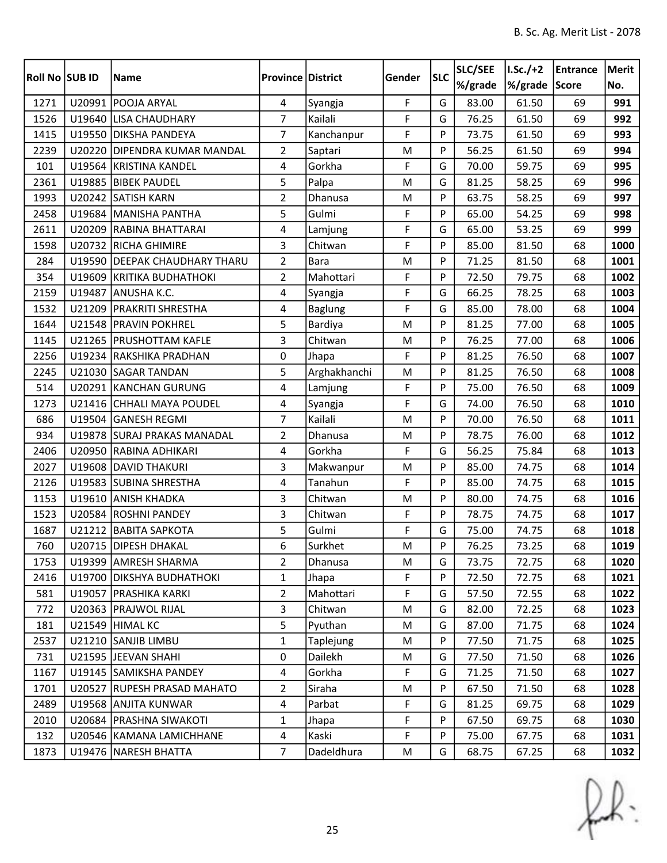| Roll No SUB ID |        | Name                            | <b>Province District</b> |                | Gender      | <b>SLC</b> | <b>SLC/SEE</b> | $ I.Sc./+2 $ | Entrance | Merit |
|----------------|--------|---------------------------------|--------------------------|----------------|-------------|------------|----------------|--------------|----------|-------|
|                |        |                                 |                          |                |             |            | %/grade        | %/grade      | Score    | No.   |
| 1271           | U20991 | <b>POOJA ARYAL</b>              | 4                        | Syangja        | F           | G          | 83.00          | 61.50        | 69       | 991   |
| 1526           | U19640 | <b>LISA CHAUDHARY</b>           | 7                        | Kailali        | F           | G          | 76.25          | 61.50        | 69       | 992   |
| 1415           | U19550 | <b>DIKSHA PANDEYA</b>           | $\overline{7}$           | Kanchanpur     | F           | P          | 73.75          | 61.50        | 69       | 993   |
| 2239           | U20220 | <b>DIPENDRA KUMAR MANDAL</b>    | $\overline{2}$           | Saptari        | M           | P          | 56.25          | 61.50        | 69       | 994   |
| 101            |        | U19564 KRISTINA KANDEL          | 4                        | Gorkha         | F           | G          | 70.00          | 59.75        | 69       | 995   |
| 2361           |        | U19885 BIBEK PAUDEL             | 5                        | Palpa          | M           | G          | 81.25          | 58.25        | 69       | 996   |
| 1993           |        | U20242 SATISH KARN              | $\overline{2}$           | Dhanusa        | M           | P          | 63.75          | 58.25        | 69       | 997   |
| 2458           |        | U19684 MANISHA PANTHA           | 5                        | Gulmi          | F           | Þ          | 65.00          | 54.25        | 69       | 998   |
| 2611           | U20209 | <b>RABINA BHATTARAI</b>         | 4                        | Lamjung        | $\mathsf F$ | G          | 65.00          | 53.25        | 69       | 999   |
| 1598           |        | U20732 RICHA GHIMIRE            | $\overline{3}$           | Chitwan        | F           | P          | 85.00          | 81.50        | 68       | 1000  |
| 284            |        | U19590   DEEPAK CHAUDHARY THARU | $\overline{2}$           | Bara           | M           | P          | 71.25          | 81.50        | 68       | 1001  |
| 354            | U19609 | <b>KRITIKA BUDHATHOKI</b>       | $\overline{2}$           | Mahottari      | F           | P          | 72.50          | 79.75        | 68       | 1002  |
| 2159           |        | U19487 ANUSHA K.C.              | 4                        | Syangja        | F           | G          | 66.25          | 78.25        | 68       | 1003  |
| 1532           | U21209 | <b>PRAKRITI SHRESTHA</b>        | 4                        | <b>Baglung</b> | F           | G          | 85.00          | 78.00        | 68       | 1004  |
| 1644           |        | U21548 PRAVIN POKHREL           | 5                        | Bardiya        | M           | P          | 81.25          | 77.00        | 68       | 1005  |
| 1145           |        | U21265   PRUSHOTTAM KAFLE       | 3                        | Chitwan        | M           | P          | 76.25          | 77.00        | 68       | 1006  |
| 2256           |        | U19234 RAKSHIKA PRADHAN         | 0                        | Jhapa          | F           | P          | 81.25          | 76.50        | 68       | 1007  |
| 2245           |        | U21030 SAGAR TANDAN             | 5                        | Arghakhanchi   | M           | P          | 81.25          | 76.50        | 68       | 1008  |
| 514            | U20291 | <b>KANCHAN GURUNG</b>           | 4                        | Lamjung        | F           | P          | 75.00          | 76.50        | 68       | 1009  |
| 1273           |        | U21416 CHHALI MAYA POUDEL       | 4                        | Syangja        | F           | G          | 74.00          | 76.50        | 68       | 1010  |
| 686            |        | U19504 GANESH REGMI             | $\overline{7}$           | Kailali        | M           | P          | 70.00          | 76.50        | 68       | 1011  |
| 934            |        | U19878 SURAJ PRAKAS MANADAL     | $\overline{2}$           | Dhanusa        | M           | P          | 78.75          | 76.00        | 68       | 1012  |
| 2406           | U20950 | <b>RABINA ADHIKARI</b>          | 4                        | Gorkha         | F           | G          | 56.25          | 75.84        | 68       | 1013  |
| 2027           |        | U19608 DAVID THAKURI            | 3                        | Makwanpur      | M           | P          | 85.00          | 74.75        | 68       | 1014  |
| 2126           |        | U19583 SUBINA SHRESTHA          | 4                        | Tanahun        | $\mathsf F$ | P          | 85.00          | 74.75        | 68       | 1015  |
| 1153           |        | U19610 ANISH KHADKA             | 3                        | Chitwan        | M           | P          | 80.00          | 74.75        | 68       | 1016  |
| 1523           |        | U20584 ROSHNI PANDEY            | 3                        | Chitwan        | $\mathsf F$ | P          | 78.75          | 74.75        | 68       | 1017  |
| 1687           |        | U21212 BABITA SAPKOTA           | 5                        | Gulmi          | F           | G          | 75.00          | 74.75        | 68       | 1018  |
| 760            |        | U20715 DIPESH DHAKAL            | 6                        | Surkhet        | M           | $\sf P$    | 76.25          | 73.25        | 68       | 1019  |
| 1753           |        | U19399 AMRESH SHARMA            | $\overline{2}$           | Dhanusa        | M           | G          | 73.75          | 72.75        | 68       | 1020  |
| 2416           |        | U19700 DIKSHYA BUDHATHOKI       | $\mathbf{1}$             | Jhapa          | F           | P          | 72.50          | 72.75        | 68       | 1021  |
| 581            |        | U19057   PRASHIKA KARKI         | $\overline{2}$           | Mahottari      | F           | G          | 57.50          | 72.55        | 68       | 1022  |
| 772            |        | U20363 PRAJWOL RIJAL            | 3                        | Chitwan        | M           | G          | 82.00          | 72.25        | 68       | 1023  |
| 181            |        | U21549 HIMAL KC                 | 5                        | Pyuthan        | M           | G          | 87.00          | 71.75        | 68       | 1024  |
| 2537           |        | U21210 SANJIB LIMBU             | $\mathbf{1}$             | Taplejung      | M           | P          | 77.50          | 71.75        | 68       | 1025  |
| 731            |        | U21595 JEEVAN SHAHI             | 0                        | Dailekh        | M           | G          | 77.50          | 71.50        | 68       | 1026  |
| 1167           |        | U19145 SAMIKSHA PANDEY          | $\overline{4}$           | Gorkha         | F           | G          | 71.25          | 71.50        | 68       | 1027  |
| 1701           |        | U20527 RUPESH PRASAD MAHATO     | $\overline{2}$           | Siraha         | M           | P          | 67.50          | 71.50        | 68       | 1028  |
| 2489           |        | U19568 ANJITA KUNWAR            | 4                        | Parbat         | F           | G          | 81.25          | 69.75        | 68       | 1029  |
| 2010           |        | U20684   PRASHNA SIWAKOTI       | 1                        | Jhapa          | F           | P          | 67.50          | 69.75        | 68       | 1030  |
| 132            |        | U20546 KAMANA LAMICHHANE        | 4                        | Kaski          | F           | P          | 75.00          | 67.75        | 68       | 1031  |
| 1873           |        | U19476 NARESH BHATTA            | $\overline{7}$           | Dadeldhura     | M           | G          | 68.75          | 67.25        | 68       | 1032  |

 $f(x)$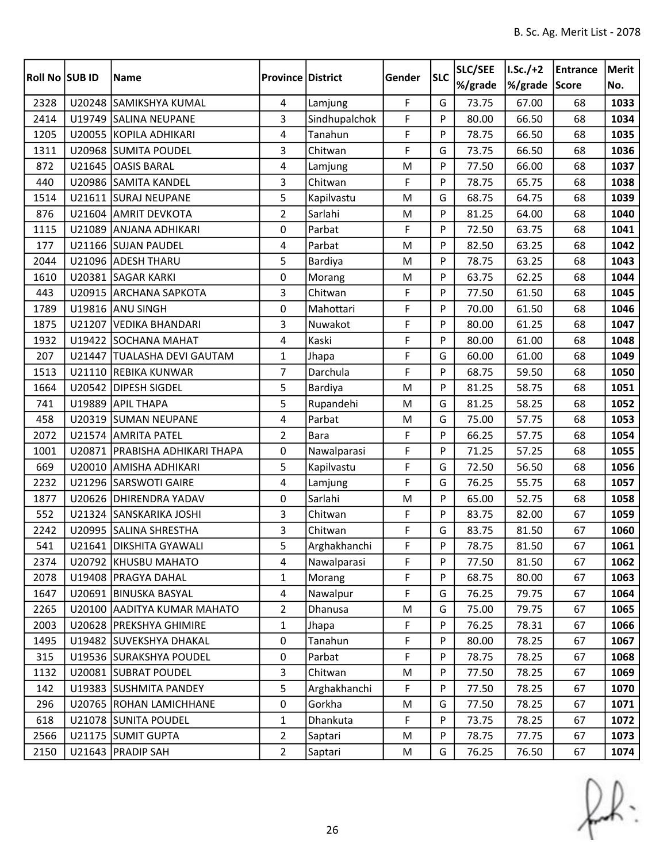|                |        |                                  |                          |               |              |            | <b>SLC/SEE</b> | $ I.Sc./+2 $ | Entrance | Merit |
|----------------|--------|----------------------------------|--------------------------|---------------|--------------|------------|----------------|--------------|----------|-------|
| Roll No SUB ID |        | Name                             | <b>Province District</b> |               | Gender       | <b>SLC</b> | %/grade        | %/grade      | Score    | No.   |
| 2328           |        | U20248 SAMIKSHYA KUMAL           | $\overline{4}$           | Lamjung       | $\mathsf{F}$ | G          | 73.75          | 67.00        | 68       | 1033  |
| 2414           |        | U19749 SALINA NEUPANE            | 3                        | Sindhupalchok | F            | P          | 80.00          | 66.50        | 68       | 1034  |
| 1205           |        | U20055 KOPILA ADHIKARI           | 4                        | Tanahun       | F            | P          | 78.75          | 66.50        | 68       | 1035  |
| 1311           |        | U20968 SUMITA POUDEL             | 3                        | Chitwan       | F            | G          | 73.75          | 66.50        | 68       | 1036  |
| 872            |        | U21645 OASIS BARAL               | 4                        | Lamjung       | M            | P          | 77.50          | 66.00        | 68       | 1037  |
| 440            |        | U20986 SAMITA KANDEL             | $\overline{3}$           | Chitwan       | F            | P          | 78.75          | 65.75        | 68       | 1038  |
| 1514           |        | U21611 SURAJ NEUPANE             | 5                        | Kapilvastu    | M            | G          | 68.75          | 64.75        | 68       | 1039  |
| 876            |        | U21604 AMRIT DEVKOTA             | $\overline{2}$           | Sarlahi       | M            | P          | 81.25          | 64.00        | 68       | 1040  |
| 1115           | U21089 | <b>ANJANA ADHIKARI</b>           | 0                        | Parbat        | F            | P          | 72.50          | 63.75        | 68       | 1041  |
| 177            |        | U21166 SUJAN PAUDEL              | 4                        | Parbat        | M            | P          | 82.50          | 63.25        | 68       | 1042  |
| 2044           |        | U21096 ADESH THARU               | 5                        | Bardiya       | M            | P          | 78.75          | 63.25        | 68       | 1043  |
| 1610           |        | U20381 SAGAR KARKI               | 0                        | Morang        | M            | P          | 63.75          | 62.25        | 68       | 1044  |
| 443            |        | U20915 ARCHANA SAPKOTA           | 3                        | Chitwan       | F            | P          | 77.50          | 61.50        | 68       | 1045  |
| 1789           |        | U19816 ANU SINGH                 | 0                        | Mahottari     | F            | P          | 70.00          | 61.50        | 68       | 1046  |
| 1875           |        | U21207 VEDIKA BHANDARI           | 3                        | Nuwakot       | F            | P          | 80.00          | 61.25        | 68       | 1047  |
| 1932           |        | U19422 SOCHANA MAHAT             | 4                        | Kaski         | F            | P          | 80.00          | 61.00        | 68       | 1048  |
| 207            |        | U21447 TUALASHA DEVI GAUTAM      | $\mathbf{1}$             | Jhapa         | $\mathsf F$  | G          | 60.00          | 61.00        | 68       | 1049  |
| 1513           |        | U21110 REBIKA KUNWAR             | $\overline{7}$           | Darchula      | F            | P          | 68.75          | 59.50        | 68       | 1050  |
| 1664           |        | U20542 DIPESH SIGDEL             | 5                        | Bardiya       | M            | P          | 81.25          | 58.75        | 68       | 1051  |
| 741            |        | U19889 APIL THAPA                | 5                        | Rupandehi     | M            | G          | 81.25          | 58.25        | 68       | 1052  |
| 458            |        | U20319 SUMAN NEUPANE             | 4                        | Parbat        | M            | G          | 75.00          | 57.75        | 68       | 1053  |
| 2072           |        | U21574 AMRITA PATEL              | $\overline{2}$           | <b>Bara</b>   | $\mathsf F$  | P          | 66.25          | 57.75        | 68       | 1054  |
| 1001           |        | U20871   PRABISHA ADHIKARI THAPA | 0                        | Nawalparasi   | $\mathsf F$  | P          | 71.25          | 57.25        | 68       | 1055  |
| 669            | U20010 | <b>AMISHA ADHIKARI</b>           | 5                        | Kapilvastu    | F            | G          | 72.50          | 56.50        | 68       | 1056  |
| 2232           |        | U21296 SARSWOTI GAIRE            | 4                        | Lamjung       | F            | G          | 76.25          | 55.75        | 68       | 1057  |
| 1877           |        | U20626 DHIRENDRA YADAV           | 0                        | Sarlahi       | M            | P          | 65.00          | 52.75        | 68       | 1058  |
| 552            |        | U21324 SANSKARIKA JOSHI          | 3                        | Chitwan       | $\mathsf F$  | P          | 83.75          | 82.00        | 67       | 1059  |
| 2242           |        | U20995 SALINA SHRESTHA           | 3                        | Chitwan       | F            | G          | 83.75          | 81.50        | 67       | 1060  |
| 541            |        | U21641 DIKSHITA GYAWALI          | 5                        | Arghakhanchi  | $\mathsf F$  | P          | 78.75          | 81.50        | 67       | 1061  |
| 2374           |        | U20792 KHUSBU MAHATO             | 4                        | Nawalparasi   | F            | P          | 77.50          | 81.50        | 67       | 1062  |
| 2078           |        | U19408 PRAGYA DAHAL              | $\mathbf{1}$             | Morang        | F            | P          | 68.75          | 80.00        | 67       | 1063  |
| 1647           |        | U20691 BINUSKA BASYAL            | $\overline{4}$           | Nawalpur      | F            | G          | 76.25          | 79.75        | 67       | 1064  |
| 2265           |        | U20100 AADITYA KUMAR MAHATO      | $\overline{2}$           | Dhanusa       | M            | G          | 75.00          | 79.75        | 67       | 1065  |
| 2003           |        | U20628   PREKSHYA GHIMIRE        | $\mathbf{1}$             | Jhapa         | $\mathsf F$  | P          | 76.25          | 78.31        | 67       | 1066  |
| 1495           |        | U19482 SUVEKSHYA DHAKAL          | 0                        | Tanahun       | F            | P          | 80.00          | 78.25        | 67       | 1067  |
| 315            |        | U19536 SURAKSHYA POUDEL          | 0                        | Parbat        | F            | P          | 78.75          | 78.25        | 67       | 1068  |
| 1132           |        | U20081 SUBRAT POUDEL             | $\overline{3}$           | Chitwan       | M            | P          | 77.50          | 78.25        | 67       | 1069  |
| 142            |        | U19383 SUSHMITA PANDEY           | 5                        | Arghakhanchi  | $\mathsf F$  | P          | 77.50          | 78.25        | 67       | 1070  |
| 296            |        | U20765 ROHAN LAMICHHANE          | $\mathbf 0$              | Gorkha        | M            | G          | 77.50          | 78.25        | 67       | 1071  |
| 618            |        | U21078 SUNITA POUDEL             | 1                        | Dhankuta      | F            | P          | 73.75          | 78.25        | 67       | 1072  |
| 2566           |        | U21175 SUMIT GUPTA               | $\overline{2}$           | Saptari       | M            | P          | 78.75          | 77.75        | 67       | 1073  |
| 2150           |        | U21643 PRADIP SAH                | $\overline{2}$           | Saptari       | M            | G          | 76.25          | 76.50        | 67       | 1074  |

 $f(x)$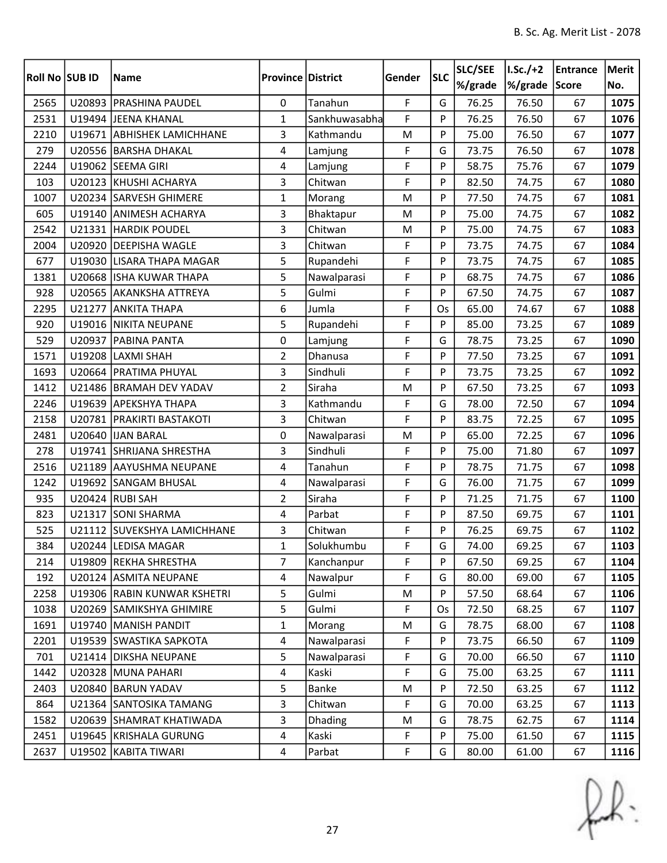|                |        |                             |                          |                |              |            | <b>SLC/SEE</b> | I.Sc./+2 | <b>Entrance</b> | Merit |
|----------------|--------|-----------------------------|--------------------------|----------------|--------------|------------|----------------|----------|-----------------|-------|
| Roll No SUB ID |        | Name                        | <b>Province District</b> |                | Gender       | <b>SLC</b> | %/grade        | %/grade  | Score           | No.   |
| 2565           |        | U20893 PRASHINA PAUDEL      | 0                        | Tanahun        | $\mathsf{F}$ | G          | 76.25          | 76.50    | 67              | 1075  |
| 2531           |        | U19494 JEENA KHANAL         | 1                        | Sankhuwasabha  | F            | P          | 76.25          | 76.50    | 67              | 1076  |
| 2210           |        | U19671 ABHISHEK LAMICHHANE  | 3                        | Kathmandu      | M            | P          | 75.00          | 76.50    | 67              | 1077  |
| 279            |        | U20556 BARSHA DHAKAL        | 4                        | Lamjung        | F            | G          | 73.75          | 76.50    | 67              | 1078  |
| 2244           |        | U19062 SEEMA GIRI           | 4                        | Lamjung        | $\mathsf F$  | P          | 58.75          | 75.76    | 67              | 1079  |
| 103            |        | U20123 KHUSHI ACHARYA       | $\overline{3}$           | Chitwan        | F            | P          | 82.50          | 74.75    | 67              | 1080  |
| 1007           |        | U20234 SARVESH GHIMERE      | $\mathbf{1}$             | Morang         | M            | P          | 77.50          | 74.75    | 67              | 1081  |
| 605            |        | U19140 ANIMESH ACHARYA      | 3                        | Bhaktapur      | M            | P          | 75.00          | 74.75    | 67              | 1082  |
| 2542           |        | U21331 HARDIK POUDEL        | 3                        | Chitwan        | M            | P          | 75.00          | 74.75    | 67              | 1083  |
| 2004           |        | U20920 DEEPISHA WAGLE       | 3                        | Chitwan        | F            | P          | 73.75          | 74.75    | 67              | 1084  |
| 677            | U19030 | <b>LISARA THAPA MAGAR</b>   | 5                        | Rupandehi      | $\mathsf F$  | P          | 73.75          | 74.75    | 67              | 1085  |
| 1381           |        | U20668 ISHA KUWAR THAPA     | 5                        | Nawalparasi    | $\mathsf F$  | P          | 68.75          | 74.75    | 67              | 1086  |
| 928            |        | U20565 AKANKSHA ATTREYA     | 5                        | Gulmi          | F            | P          | 67.50          | 74.75    | 67              | 1087  |
| 2295           | U21277 | <b>ANKITA THAPA</b>         | 6                        | Jumla          | F            | Os         | 65.00          | 74.67    | 67              | 1088  |
| 920            |        | U19016 NIKITA NEUPANE       | 5                        | Rupandehi      | F            | P          | 85.00          | 73.25    | 67              | 1089  |
| 529            |        | U20937   PABINA PANTA       | 0                        | Lamjung        | F            | G          | 78.75          | 73.25    | 67              | 1090  |
| 1571           |        | U19208 LAXMI SHAH           | $\overline{2}$           | Dhanusa        | $\mathsf F$  | P          | 77.50          | 73.25    | 67              | 1091  |
| 1693           |        | U20664 PRATIMA PHUYAL       | 3                        | Sindhuli       | F            | P          | 73.75          | 73.25    | 67              | 1092  |
| 1412           |        | U21486 BRAMAH DEV YADAV     | $\overline{2}$           | Siraha         | M            | P          | 67.50          | 73.25    | 67              | 1093  |
| 2246           |        | U19639 APEKSHYA THAPA       | 3                        | Kathmandu      | $\mathsf F$  | G          | 78.00          | 72.50    | 67              | 1094  |
| 2158           |        | U20781   PRAKIRTI BASTAKOTI | 3                        | Chitwan        | $\mathsf F$  | P          | 83.75          | 72.25    | 67              | 1095  |
| 2481           |        | U20640 JUAN BARAL           | 0                        | Nawalparasi    | M            | P          | 65.00          | 72.25    | 67              | 1096  |
| 278            |        | U19741 SHRIJANA SHRESTHA    | 3                        | Sindhuli       | $\mathsf F$  | P          | 75.00          | 71.80    | 67              | 1097  |
| 2516           |        | U21189 AAYUSHMA NEUPANE     | 4                        | Tanahun        | F            | P          | 78.75          | 71.75    | 67              | 1098  |
| 1242           |        | U19692 SANGAM BHUSAL        | $\overline{4}$           | Nawalparasi    | F            | G          | 76.00          | 71.75    | 67              | 1099  |
| 935            |        | U20424 RUBI SAH             | $\overline{2}$           | Siraha         | F            | P          | 71.25          | 71.75    | 67              | 1100  |
| 823            |        | U21317 SONI SHARMA          | 4                        | Parbat         | F            | P          | 87.50          | 69.75    | 67              | 1101  |
| 525            |        | U21112 SUVEKSHYA LAMICHHANE | 3                        | Chitwan        | F            | P          | 76.25          | 69.75    | 67              | 1102  |
| 384            |        | U20244 LEDISA MAGAR         | $\mathbf 1$              | Solukhumbu     | $\mathsf F$  | G          | 74.00          | 69.25    | 67              | 1103  |
| 214            |        | U19809 REKHA SHRESTHA       | 7                        | Kanchanpur     | F            | P          | 67.50          | 69.25    | 67              | 1104  |
| 192            |        | U20124 ASMITA NEUPANE       | $\overline{4}$           | Nawalpur       | F            | G          | 80.00          | 69.00    | 67              | 1105  |
| 2258           |        | U19306 RABIN KUNWAR KSHETRI | 5                        | Gulmi          | M            | P          | 57.50          | 68.64    | 67              | 1106  |
| 1038           |        | U20269 SAMIKSHYA GHIMIRE    | 5                        | Gulmi          | F            | Os         | 72.50          | 68.25    | 67              | 1107  |
| 1691           |        | U19740   MANISH PANDIT      | $\mathbf{1}$             | Morang         | M            | G          | 78.75          | 68.00    | 67              | 1108  |
| 2201           |        | U19539 SWASTIKA SAPKOTA     | 4                        | Nawalparasi    | F            | P          | 73.75          | 66.50    | 67              | 1109  |
| 701            |        | U21414 DIKSHA NEUPANE       | 5                        | Nawalparasi    | $\mathsf F$  | G          | 70.00          | 66.50    | 67              | 1110  |
| 1442           |        | U20328 MUNA PAHARI          | $\overline{4}$           | Kaski          | F            | G          | 75.00          | 63.25    | 67              | 1111  |
| 2403           |        | U20840 BARUN YADAV          | 5                        | Banke          | M            | P          | 72.50          | 63.25    | 67              | 1112  |
| 864            |        | U21364 SANTOSIKA TAMANG     | $\overline{3}$           | Chitwan        | F            | G          | 70.00          | 63.25    | 67              | 1113  |
| 1582           |        | U20639 SHAMRAT KHATIWADA    | 3                        | <b>Dhading</b> | M            | G          | 78.75          | 62.75    | 67              | 1114  |
| 2451           |        | U19645 KRISHALA GURUNG      | 4                        | Kaski          | F            | P          | 75.00          | 61.50    | 67              | 1115  |
| 2637           |        | U19502 KABITA TIWARI        | 4                        | Parbat         | $\mathsf F$  | G          | 80.00          | 61.00    | 67              | 1116  |

 $f(x)$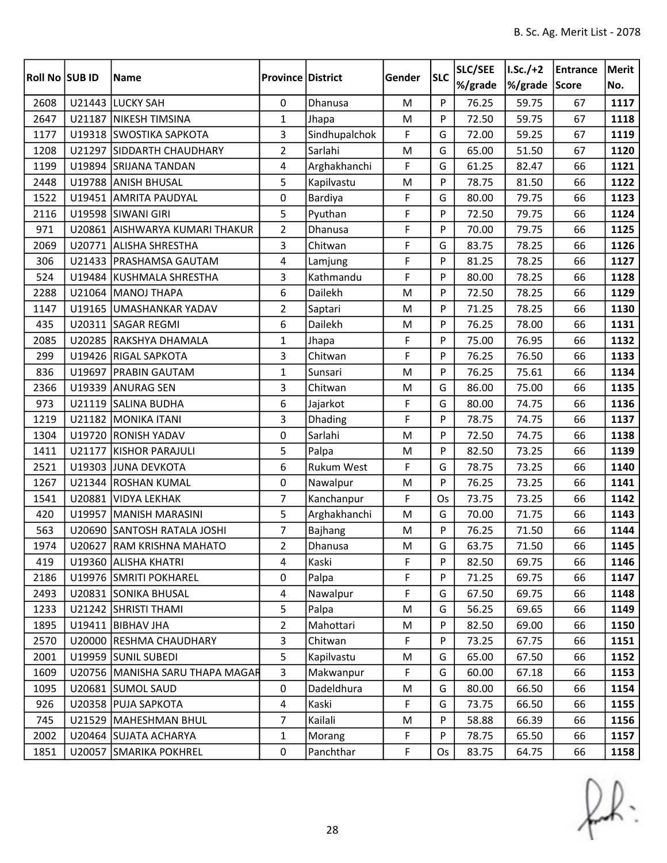| Roll No SUB ID |        | Name                              | <b>Province District</b> |                   | Gender      | <b>SLC</b> | SLC/SEE | $I.Sc./+2$    | Entrance | Merit |
|----------------|--------|-----------------------------------|--------------------------|-------------------|-------------|------------|---------|---------------|----------|-------|
|                |        |                                   |                          |                   |             |            | %/grade | %/grade Score |          | No.   |
| 2608           |        | U21443 LUCKY SAH                  | $\mathbf 0$              | Dhanusa           | M           | P          | 76.25   | 59.75         | 67       | 1117  |
| 2647           | U21187 | <b>NIKESH TIMSINA</b>             | 1                        | Jhapa             | M           | P          | 72.50   | 59.75         | 67       | 1118  |
| 1177           |        | U19318 SWOSTIKA SAPKOTA           | 3                        | Sindhupalchok     | $\mathsf F$ | G          | 72.00   | 59.25         | 67       | 1119  |
| 1208           |        | U21297 SIDDARTH CHAUDHARY         | $\overline{2}$           | Sarlahi           | M           | G          | 65.00   | 51.50         | 67       | 1120  |
| 1199           |        | U19894 SRIJANA TANDAN             | 4                        | Arghakhanchi      | F           | G          | 61.25   | 82.47         | 66       | 1121  |
| 2448           |        | U19788 ANISH BHUSAL               | 5                        | Kapilvastu        | M           | P          | 78.75   | 81.50         | 66       | 1122  |
| 1522           |        | U19451 AMRITA PAUDYAL             | 0                        | Bardiya           | $\mathsf F$ | G          | 80.00   | 79.75         | 66       | 1123  |
| 2116           |        | U19598 SIWANI GIRI                | 5                        | Pyuthan           | F           | P          | 72.50   | 79.75         | 66       | 1124  |
| 971            |        | U20861 AISHWARYA KUMARI THAKUR    | $\overline{2}$           | Dhanusa           | F           | P          | 70.00   | 79.75         | 66       | 1125  |
| 2069           |        | U20771 ALISHA SHRESTHA            | 3                        | Chitwan           | F           | G          | 83.75   | 78.25         | 66       | 1126  |
| 306            |        | U21433   PRASHAMSA GAUTAM         | 4                        | Lamjung           | F           | P          | 81.25   | 78.25         | 66       | 1127  |
| 524            |        | U19484 KUSHMALA SHRESTHA          | 3                        | Kathmandu         | $\mathsf F$ | P          | 80.00   | 78.25         | 66       | 1128  |
| 2288           |        | U21064   MANOJ THAPA              | 6                        | Dailekh           | M           | P          | 72.50   | 78.25         | 66       | 1129  |
| 1147           |        | U19165 UMASHANKAR YADAV           | $\overline{2}$           | Saptari           | M           | P          | 71.25   | 78.25         | 66       | 1130  |
| 435            |        | U20311 SAGAR REGMI                | 6                        | Dailekh           | M           | P          | 76.25   | 78.00         | 66       | 1131  |
| 2085           |        | U20285 RAKSHYA DHAMALA            | 1                        | Jhapa             | F           | P          | 75.00   | 76.95         | 66       | 1132  |
| 299            |        | U19426 RIGAL SAPKOTA              | 3                        | Chitwan           | F           | P          | 76.25   | 76.50         | 66       | 1133  |
| 836            |        | U19697 PRABIN GAUTAM              | $\mathbf{1}$             | Sunsari           | M           | P          | 76.25   | 75.61         | 66       | 1134  |
| 2366           | U19339 | <b>ANURAG SEN</b>                 | 3                        | Chitwan           | M           | G          | 86.00   | 75.00         | 66       | 1135  |
| 973            |        | U21119 SALINA BUDHA               | 6                        | Jajarkot          | $\mathsf F$ | G          | 80.00   | 74.75         | 66       | 1136  |
| 1219           |        | U21182 MONIKA ITANI               | 3                        | Dhading           | $\mathsf F$ | P          | 78.75   | 74.75         | 66       | 1137  |
| 1304           |        | U19720 RONISH YADAV               | 0                        | Sarlahi           | M           | P          | 72.50   | 74.75         | 66       | 1138  |
| 1411           | U21177 | KISHOR PARAJULI                   | 5                        | Palpa             | M           | P          | 82.50   | 73.25         | 66       | 1139  |
| 2521           |        | U19303 JUNA DEVKOTA               | 6                        | <b>Rukum West</b> | $\mathsf F$ | G          | 78.75   | 73.25         | 66       | 1140  |
| 1267           |        | U21344 ROSHAN KUMAL               | 0                        | Nawalpur          | M           | P          | 76.25   | 73.25         | 66       | 1141  |
| 1541           |        | U20881 VIDYA LEKHAK               | 7                        | Kanchanpur        | F           | Os         | 73.75   | 73.25         | 66       | 1142  |
| 420            | U19957 | MANISH MARASINI                   | 5                        | Arghakhanchi      | M           | G          | 70.00   | 71.75         | 66       | 1143  |
| 563            |        | U20690 SANTOSH RATALA JOSHI       | $\overline{7}$           | Bajhang           | M           | P          | 76.25   | 71.50         | 66       | 1144  |
| 1974           |        | U20627 RAM KRISHNA MAHATO         | $\overline{2}$           | Dhanusa           | M           | G          | 63.75   | 71.50         | 66       | 1145  |
| 419            |        | U19360 ALISHA KHATRI              | 4                        | Kaski             | F           | P          | 82.50   | 69.75         | 66       | 1146  |
| 2186           |        | U19976 SMRITI POKHAREL            | 0                        | Palpa             | $\mathsf F$ | P          | 71.25   | 69.75         | 66       | 1147  |
| 2493           |        | U20831 SONIKA BHUSAL              | $\overline{4}$           | Nawalpur          | F           | G          | 67.50   | 69.75         | 66       | 1148  |
| 1233           |        | U21242 SHRISTI THAMI              | 5                        | Palpa             | M           | G          | 56.25   | 69.65         | 66       | 1149  |
| 1895           |        | U19411   BIBHAV JHA               | $\overline{2}$           | Mahottari         | M           | P          | 82.50   | 69.00         | 66       | 1150  |
| 2570           |        | U20000 RESHMA CHAUDHARY           | 3                        | Chitwan           | F           | P          | 73.25   | 67.75         | 66       | 1151  |
| 2001           |        | U19959 SUNIL SUBEDI               | 5                        | Kapilvastu        | M           | G          | 65.00   | 67.50         | 66       | 1152  |
| 1609           |        | U20756   MANISHA SARU THAPA MAGAR | $\overline{3}$           | Makwanpur         | $\mathsf F$ | G          | 60.00   | 67.18         | 66       | 1153  |
| 1095           |        | U20681 SUMOL SAUD                 | 0                        | Dadeldhura        | M           | G          | 80.00   | 66.50         | 66       | 1154  |
| 926            |        | U20358 PUJA SAPKOTA               | $\overline{4}$           | Kaski             | F           | G          | 73.75   | 66.50         | 66       | 1155  |
| 745            |        | U21529   MAHESHMAN BHUL           | 7                        | Kailali           | M           | P          | 58.88   | 66.39         | 66       | 1156  |
| 2002           |        | U20464 SUJATA ACHARYA             | $\mathbf{1}$             | Morang            | F           | P          | 78.75   | 65.50         | 66       | 1157  |
| 1851           |        | U20057 SMARIKA POKHREL            | 0                        | Panchthar         | $\mathsf F$ | Os         | 83.75   | 64.75         | 66       | 1158  |

 $f(x)$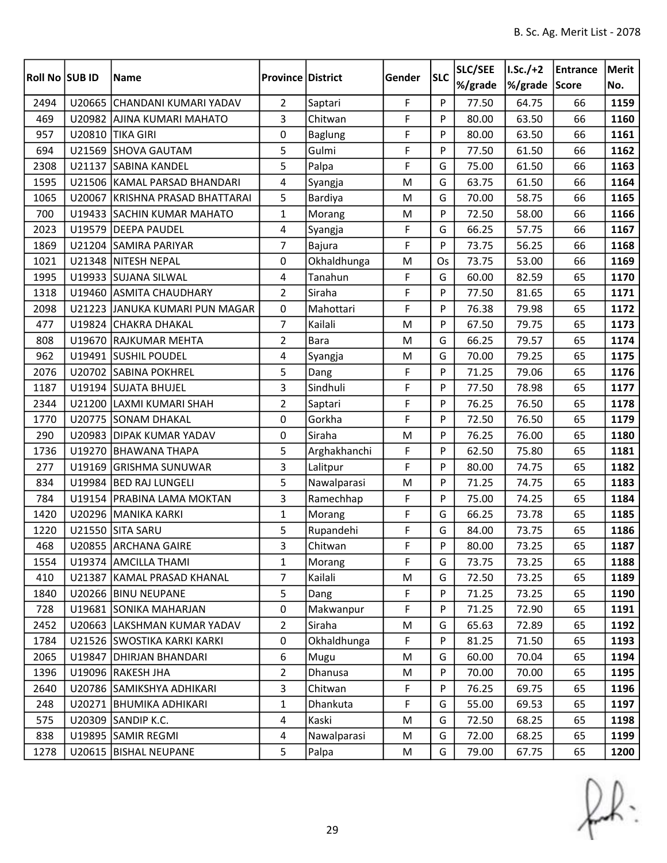| Roll No SUB ID |        | <b>Name</b>                  | <b>Province District</b> |                | Gender      | <b>SLC</b> | <b>SLC/SEE</b> | I.Sc./+2 | Entrance | Merit |
|----------------|--------|------------------------------|--------------------------|----------------|-------------|------------|----------------|----------|----------|-------|
|                |        |                              |                          |                |             |            | %/grade        | %/grade  | Score    | No.   |
| 2494           |        | U20665 CHANDANI KUMARI YADAV | $\overline{2}$           | Saptari        | $\mathsf F$ | P          | 77.50          | 64.75    | 66       | 1159  |
| 469            | U20982 | <b>AJINA KUMARI MAHATO</b>   | 3                        | Chitwan        | F           | P          | 80.00          | 63.50    | 66       | 1160  |
| 957            |        | U20810 TIKA GIRI             | $\Omega$                 | <b>Baglung</b> | F           | P          | 80.00          | 63.50    | 66       | 1161  |
| 694            | U21569 | <b>SHOVA GAUTAM</b>          | 5                        | Gulmi          | F           | P          | 77.50          | 61.50    | 66       | 1162  |
| 2308           | U21137 | <b>SABINA KANDEL</b>         | 5                        | Palpa          | F           | G          | 75.00          | 61.50    | 66       | 1163  |
| 1595           |        | U21506 KAMAL PARSAD BHANDARI | 4                        | Syangja        | M           | G          | 63.75          | 61.50    | 66       | 1164  |
| 1065           | U20067 | KRISHNA PRASAD BHATTARAI     | 5                        | Bardiya        | M           | G          | 70.00          | 58.75    | 66       | 1165  |
| 700            |        | U19433 SACHIN KUMAR MAHATO   | $\mathbf{1}$             | Morang         | M           | P          | 72.50          | 58.00    | 66       | 1166  |
| 2023           | U19579 | <b>DEEPA PAUDEL</b>          | 4                        | Syangja        | F           | G          | 66.25          | 57.75    | 66       | 1167  |
| 1869           |        | U21204 SAMIRA PARIYAR        | $\overline{7}$           | Bajura         | F           | P          | 73.75          | 56.25    | 66       | 1168  |
| 1021           |        | U21348 NITESH NEPAL          | 0                        | Okhaldhunga    | M           | Os         | 73.75          | 53.00    | 66       | 1169  |
| 1995           |        | U19933 SUJANA SILWAL         | 4                        | Tanahun        | $\mathsf F$ | G          | 60.00          | 82.59    | 65       | 1170  |
| 1318           |        | U19460 ASMITA CHAUDHARY      | $\overline{2}$           | Siraha         | F           | P          | 77.50          | 81.65    | 65       | 1171  |
| 2098           | U21223 | JANUKA KUMARI PUN MAGAR      | 0                        | Mahottari      | F           | P          | 76.38          | 79.98    | 65       | 1172  |
| 477            |        | U19824 CHAKRA DHAKAL         | $\overline{7}$           | Kailali        | M           | P          | 67.50          | 79.75    | 65       | 1173  |
| 808            |        | U19670 RAJKUMAR MEHTA        | $\overline{2}$           | <b>Bara</b>    | M           | G          | 66.25          | 79.57    | 65       | 1174  |
| 962            |        | U19491 SUSHIL POUDEL         | 4                        | Syangja        | M           | G          | 70.00          | 79.25    | 65       | 1175  |
| 2076           |        | U20702 SABINA POKHREL        | 5                        | Dang           | F           | P          | 71.25          | 79.06    | 65       | 1176  |
| 1187           |        | U19194 SUJATA BHUJEL         | 3                        | Sindhuli       | F           | P          | 77.50          | 78.98    | 65       | 1177  |
| 2344           |        | U21200 LAXMI KUMARI SHAH     | $\overline{2}$           | Saptari        | F           | P          | 76.25          | 76.50    | 65       | 1178  |
| 1770           |        | U20775 SONAM DHAKAL          | 0                        | Gorkha         | F           | P          | 72.50          | 76.50    | 65       | 1179  |
| 290            |        | U20983 DIPAK KUMAR YADAV     | 0                        | Siraha         | M           | P          | 76.25          | 76.00    | 65       | 1180  |
| 1736           | U19270 | <b>BHAWANA THAPA</b>         | 5                        | Arghakhanchi   | F           | P          | 62.50          | 75.80    | 65       | 1181  |
| 277            | U19169 | <b>GRISHMA SUNUWAR</b>       | 3                        | Lalitpur       | F           | P          | 80.00          | 74.75    | 65       | 1182  |
| 834            |        | U19984 BED RAJ LUNGELI       | 5                        | Nawalparasi    | M           | P          | 71.25          | 74.75    | 65       | 1183  |
| 784            | U19154 | <b>PRABINA LAMA MOKTAN</b>   | 3                        | Ramechhap      | F           | P          | 75.00          | 74.25    | 65       | 1184  |
| 1420           |        | U20296 MANIKA KARKI          | $\mathbf{1}$             | Morang         | F           | G          | 66.25          | 73.78    | 65       | 1185  |
| 1220           |        | U21550 SITA SARU             | 5                        | Rupandehi      | F           | G          | 84.00          | 73.75    | 65       | 1186  |
| 468            |        | U20855 ARCHANA GAIRE         | 3                        | Chitwan        | $\mathsf F$ | ${\sf P}$  | 80.00          | 73.25    | 65       | 1187  |
| 1554           |        | U19374 AMCILLA THAMI         | $\mathbf{1}$             | Morang         | F           | G          | 73.75          | 73.25    | 65       | 1188  |
| 410            |        | U21387 KAMAL PRASAD KHANAL   | $\overline{7}$           | Kailali        | M           | G          | 72.50          | 73.25    | 65       | 1189  |
| 1840           |        | U20266 BINU NEUPANE          | 5                        | Dang           | F           | P          | 71.25          | 73.25    | 65       | 1190  |
| 728            |        | U19681 SONIKA MAHARJAN       | 0                        | Makwanpur      | F           | P          | 71.25          | 72.90    | 65       | 1191  |
| 2452           |        | U20663 LAKSHMAN KUMAR YADAV  | $\overline{2}$           | Siraha         | M           | G          | 65.63          | 72.89    | 65       | 1192  |
| 1784           |        | U21526 SWOSTIKA KARKI KARKI  | 0                        | Okhaldhunga    | F           | P          | 81.25          | 71.50    | 65       | 1193  |
| 2065           |        | U19847 DHIRJAN BHANDARI      | 6                        | Mugu           | M           | G          | 60.00          | 70.04    | 65       | 1194  |
| 1396           |        | U19096 RAKESH JHA            | $\overline{2}$           | Dhanusa        | M           | P          | 70.00          | 70.00    | 65       | 1195  |
| 2640           |        | U20786 SAMIKSHYA ADHIKARI    | 3                        | Chitwan        | F           | P          | 76.25          | 69.75    | 65       | 1196  |
| 248            |        | U20271 BHUMIKA ADHIKARI      | $\mathbf{1}$             | Dhankuta       | F           | G          | 55.00          | 69.53    | 65       | 1197  |
| 575            |        | U20309 SANDIP K.C.           | 4                        | Kaski          | M           | G          | 72.50          | 68.25    | 65       | 1198  |
| 838            |        | U19895 SAMIR REGMI           | 4                        | Nawalparasi    | M           | G          | 72.00          | 68.25    | 65       | 1199  |
| 1278           |        | U20615   BISHAL NEUPANE      | 5                        | Palpa          | M           | G          | 79.00          | 67.75    | 65       | 1200  |

 $f(x)$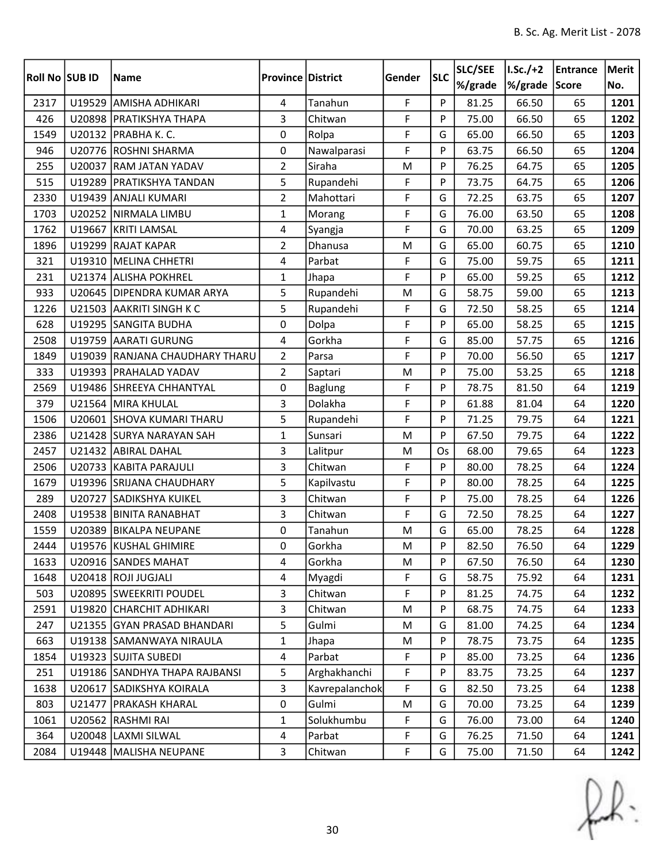| Roll No SUB ID |        | Name                           | <b>Province District</b> |                | Gender      | <b>SLC</b> | <b>SLC/SEE</b> | I.Sc./+2 | <b>Entrance</b> | <b>Merit</b> |
|----------------|--------|--------------------------------|--------------------------|----------------|-------------|------------|----------------|----------|-----------------|--------------|
|                |        |                                |                          |                |             |            | %/grade        | %/grade  | Score           | No.          |
| 2317           | U19529 | <b>AMISHA ADHIKARI</b>         | $\overline{4}$           | Tanahun        | F           | P          | 81.25          | 66.50    | 65              | 1201         |
| 426            |        | U20898   PRATIKSHYA THAPA      | 3                        | Chitwan        | F           | P          | 75.00          | 66.50    | 65              | 1202         |
| 1549           |        | U20132 PRABHA K. C.            | 0                        | Rolpa          | F           | G          | 65.00          | 66.50    | 65              | 1203         |
| 946            |        | U20776 ROSHNI SHARMA           | 0                        | Nawalparasi    | $\mathsf F$ | P          | 63.75          | 66.50    | 65              | 1204         |
| 255            | U20037 | <b>RAM JATAN YADAV</b>         | $\overline{2}$           | Siraha         | M           | P          | 76.25          | 64.75    | 65              | 1205         |
| 515            |        | U19289 PRATIKSHYA TANDAN       | 5                        | Rupandehi      | F           | P          | 73.75          | 64.75    | 65              | 1206         |
| 2330           |        | U19439 ANJALI KUMARI           | $\overline{2}$           | Mahottari      | F           | G          | 72.25          | 63.75    | 65              | 1207         |
| 1703           |        | U20252 NIRMALA LIMBU           | $\mathbf{1}$             | Morang         | F           | G          | 76.00          | 63.50    | 65              | 1208         |
| 1762           | U19667 | <b>KRITI LAMSAL</b>            | 4                        | Syangja        | $\mathsf F$ | G          | 70.00          | 63.25    | 65              | 1209         |
| 1896           |        | U19299 RAJAT KAPAR             | $\overline{2}$           | Dhanusa        | M           | G          | 65.00          | 60.75    | 65              | 1210         |
| 321            |        | U19310 MELINA CHHETRI          | 4                        | Parbat         | $\mathsf F$ | G          | 75.00          | 59.75    | 65              | 1211         |
| 231            |        | U21374 ALISHA POKHREL          | $\mathbf{1}$             | Jhapa          | $\mathsf F$ | P          | 65.00          | 59.25    | 65              | 1212         |
| 933            |        | U20645   DIPENDRA KUMAR ARYA   | 5                        | Rupandehi      | M           | G          | 58.75          | 59.00    | 65              | 1213         |
| 1226           |        | U21503 AAKRITI SINGH K C       | 5                        | Rupandehi      | F           | G          | 72.50          | 58.25    | 65              | 1214         |
| 628            |        | U19295 SANGITA BUDHA           | 0                        | Dolpa          | F           | P          | 65.00          | 58.25    | 65              | 1215         |
| 2508           |        | U19759 AARATI GURUNG           | 4                        | Gorkha         | F           | G          | 85.00          | 57.75    | 65              | 1216         |
| 1849           |        | U19039 RANJANA CHAUDHARY THARU | $\overline{2}$           | Parsa          | F           | P          | 70.00          | 56.50    | 65              | 1217         |
| 333            |        | U19393 PRAHALAD YADAV          | $\overline{2}$           | Saptari        | M           | P          | 75.00          | 53.25    | 65              | 1218         |
| 2569           |        | U19486 SHREEYA CHHANTYAL       | 0                        | <b>Baglung</b> | F           | P          | 78.75          | 81.50    | 64              | 1219         |
| 379            |        | U21564 MIRA KHULAL             | 3                        | Dolakha        | $\mathsf F$ | P          | 61.88          | 81.04    | 64              | 1220         |
| 1506           |        | U20601 SHOVA KUMARI THARU      | 5                        | Rupandehi      | F           | P          | 71.25          | 79.75    | 64              | 1221         |
| 2386           |        | U21428 SURYA NARAYAN SAH       | $\mathbf{1}$             | Sunsari        | M           | P          | 67.50          | 79.75    | 64              | 1222         |
| 2457           |        | U21432 ABIRAL DAHAL            | 3                        | Lalitpur       | M           | Os         | 68.00          | 79.65    | 64              | 1223         |
| 2506           |        | U20733 KABITA PARAJULI         | 3                        | Chitwan        | F           | P          | 80.00          | 78.25    | 64              | 1224         |
| 1679           |        | U19396 SRIJANA CHAUDHARY       | 5                        | Kapilvastu     | F           | P          | 80.00          | 78.25    | 64              | 1225         |
| 289            | U20727 | SADIKSHYA KUIKEL               | 3                        | Chitwan        | F           | P          | 75.00          | 78.25    | 64              | 1226         |
| 2408           |        | U19538   BINITA RANABHAT       | 3                        | Chitwan        | F           | G          | 72.50          | 78.25    | 64              | 1227         |
| 1559           |        | U20389 BIKALPA NEUPANE         | 0                        | Tanahun        | M           | G          | 65.00          | 78.25    | 64              | 1228         |
| 2444           |        | U19576 KUSHAL GHIMIRE          | 0                        | Gorkha         | M           | P          | 82.50          | 76.50    | 64              | 1229         |
| 1633           |        | U20916 SANDES MAHAT            | 4                        | Gorkha         | M           | P          | 67.50          | 76.50    | 64              | 1230         |
| 1648           |        | U20418 ROJI JUGJALI            | $\overline{4}$           | Myagdi         | F           | G          | 58.75          | 75.92    | 64              | 1231         |
| 503            |        | U20895 SWEEKRITI POUDEL        | $\overline{3}$           | Chitwan        | F           | P          | 81.25          | 74.75    | 64              | 1232         |
| 2591           |        | U19820 CHARCHIT ADHIKARI       | 3                        | Chitwan        | M           | P          | 68.75          | 74.75    | 64              | 1233         |
| 247            |        | U21355 GYAN PRASAD BHANDARI    | 5                        | Gulmi          | M           | G          | 81.00          | 74.25    | 64              | 1234         |
| 663            |        | U19138 SAMANWAYA NIRAULA       | $\mathbf{1}$             | Jhapa          | M           | P          | 78.75          | 73.75    | 64              | 1235         |
| 1854           |        | U19323 SUJITA SUBEDI           | $\overline{4}$           | Parbat         | F           | P          | 85.00          | 73.25    | 64              | 1236         |
| 251            |        | U19186 SANDHYA THAPA RAJBANSI  | 5                        | Arghakhanchi   | F           | P          | 83.75          | 73.25    | 64              | 1237         |
| 1638           |        | U20617 SADIKSHYA KOIRALA       | $\overline{3}$           | Kavrepalanchok | F           | G          | 82.50          | 73.25    | 64              | 1238         |
| 803            |        | U21477   PRAKASH KHARAL        | $\mathbf 0$              | Gulmi          | M           | G          | 70.00          | 73.25    | 64              | 1239         |
| 1061           |        | U20562 RASHMI RAI              | 1                        | Solukhumbu     | F           | G          | 76.00          | 73.00    | 64              | 1240         |
| 364            |        | U20048 LAXMI SILWAL            | 4                        | Parbat         | F           | G          | 76.25          | 71.50    | 64              | 1241         |
| 2084           |        | U19448   MALISHA NEUPANE       | $\overline{3}$           | Chitwan        | $\mathsf F$ | G          | 75.00          | 71.50    | 64              | 1242         |

 $f(x)$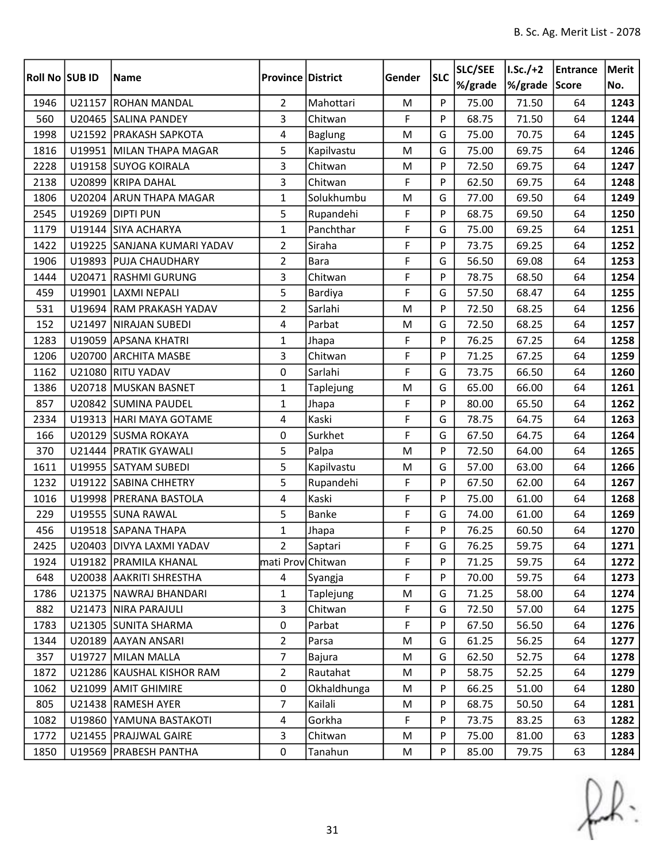| Roll No SUB ID |        | Name                        | <b>Province District</b> |                | Gender      | <b>SLC</b> | <b>SLC/SEE</b><br>%/grade | $ I.Sc./+2 $<br>%/grade | Entrance<br>Score | Merit<br>No. |
|----------------|--------|-----------------------------|--------------------------|----------------|-------------|------------|---------------------------|-------------------------|-------------------|--------------|
| 1946           | U21157 | <b>ROHAN MANDAL</b>         | $\overline{2}$           | Mahottari      | M           | P          | 75.00                     | 71.50                   | 64                | 1243         |
| 560            |        | U20465 SALINA PANDEY        | 3                        | Chitwan        | F           | P          | 68.75                     | 71.50                   | 64                | 1244         |
| 1998           |        | U21592 PRAKASH SAPKOTA      | 4                        | <b>Baglung</b> | M           | G          | 75.00                     | 70.75                   | 64                | 1245         |
| 1816           |        | U19951 MILAN THAPA MAGAR    | 5                        | Kapilvastu     | M           | G          | 75.00                     | 69.75                   | 64                | 1246         |
| 2228           |        | U19158 SUYOG KOIRALA        | 3                        | Chitwan        | M           | P          | 72.50                     | 69.75                   | 64                | 1247         |
| 2138           |        | U20899 KRIPA DAHAL          | 3                        | Chitwan        | F           | P          | 62.50                     | 69.75                   | 64                | 1248         |
| 1806           |        | U20204 ARUN THAPA MAGAR     | $\mathbf{1}$             | Solukhumbu     | M           | G          | 77.00                     | 69.50                   | 64                | 1249         |
| 2545           |        | U19269 DIPTI PUN            | 5                        | Rupandehi      | F           | P          | 68.75                     | 69.50                   | 64                | 1250         |
| 1179           |        | U19144 SIYA ACHARYA         | 1                        | Panchthar      | F           | G          | 75.00                     | 69.25                   | 64                | 1251         |
| 1422           |        | U19225 SANJANA KUMARI YADAV | $\overline{2}$           | Siraha         | F           | P          | 73.75                     | 69.25                   | 64                | 1252         |
| 1906           |        | U19893 PUJA CHAUDHARY       | $\overline{2}$           | <b>Bara</b>    | F           | G          | 56.50                     | 69.08                   | 64                | 1253         |
| 1444           | U20471 | <b>RASHMI GURUNG</b>        | 3                        | Chitwan        | F           | P          | 78.75                     | 68.50                   | 64                | 1254         |
| 459            |        | U19901 LAXMI NEPALI         | 5                        | Bardiya        | F           | G          | 57.50                     | 68.47                   | 64                | 1255         |
| 531            | U19694 | <b>RAM PRAKASH YADAV</b>    | $\overline{2}$           | Sarlahi        | M           | P          | 72.50                     | 68.25                   | 64                | 1256         |
| 152            | U21497 | NIRAJAN SUBEDI              | 4                        | Parbat         | M           | G          | 72.50                     | 68.25                   | 64                | 1257         |
| 1283           |        | U19059 APSANA KHATRI        | $\mathbf{1}$             | Jhapa          | F           | P          | 76.25                     | 67.25                   | 64                | 1258         |
| 1206           |        | U20700 ARCHITA MASBE        | 3                        | Chitwan        | F           | P          | 71.25                     | 67.25                   | 64                | 1259         |
| 1162           |        | U21080 RITU YADAV           | $\mathbf 0$              | Sarlahi        | F           | G          | 73.75                     | 66.50                   | 64                | 1260         |
| 1386           |        | U20718 MUSKAN BASNET        | 1                        | Taplejung      | M           | G          | 65.00                     | 66.00                   | 64                | 1261         |
| 857            |        | U20842 SUMINA PAUDEL        | 1                        | Jhapa          | F           | P          | 80.00                     | 65.50                   | 64                | 1262         |
| 2334           |        | U19313   HARI MAYA GOTAME   | 4                        | Kaski          | F           | G          | 78.75                     | 64.75                   | 64                | 1263         |
| 166            |        | U20129 SUSMA ROKAYA         | $\Omega$                 | Surkhet        | F           | G          | 67.50                     | 64.75                   | 64                | 1264         |
| 370            |        | U21444 PRATIK GYAWALI       | 5                        | Palpa          | M           | P          | 72.50                     | 64.00                   | 64                | 1265         |
| 1611           |        | U19955 SATYAM SUBEDI        | 5                        | Kapilvastu     | M           | G          | 57.00                     | 63.00                   | 64                | 1266         |
| 1232           |        | U19122 SABINA CHHETRY       | 5                        | Rupandehi      | F           | P          | 67.50                     | 62.00                   | 64                | 1267         |
| 1016           |        | U19998   PRERANA BASTOLA    | 4                        | Kaski          | F           | P          | 75.00                     | 61.00                   | 64                | 1268         |
| 229            |        | U19555 SUNA RAWAL           | 5                        | <b>Banke</b>   | F           | G          | 74.00                     | 61.00                   | 64                | 1269         |
| 456            |        | U19518 SAPANA THAPA         | $\mathbf{1}$             | Jhapa          | F           | P          | 76.25                     | 60.50                   | 64                | 1270         |
| 2425           |        | U20403 DIVYA LAXMI YADAV    | $\overline{2}$           | Saptari        | $\mathsf F$ | G          | 76.25                     | 59.75                   | 64                | 1271         |
| 1924           |        | U19182   PRAMILA KHANAL     | mati Prov Chitwan        |                | F           | P          | 71.25                     | 59.75                   | 64                | 1272         |
| 648            |        | U20038 AAKRITI SHRESTHA     | $\overline{4}$           | Syangja        | F           | P          | 70.00                     | 59.75                   | 64                | 1273         |
| 1786           |        | U21375 NAWRAJ BHANDARI      | $\mathbf{1}$             | Taplejung      | M           | G          | 71.25                     | 58.00                   | 64                | 1274         |
| 882            |        | U21473 NIRA PARAJULI        | 3                        | Chitwan        | F           | G          | 72.50                     | 57.00                   | 64                | 1275         |
| 1783           |        | U21305 SUNITA SHARMA        | 0                        | Parbat         | F           | P          | 67.50                     | 56.50                   | 64                | 1276         |
| 1344           |        | U20189 AAYAN ANSARI         | $\overline{2}$           | Parsa          | M           | G          | 61.25                     | 56.25                   | 64                | 1277         |
| 357            | U19727 | MILAN MALLA                 | $\overline{7}$           | Bajura         | M           | G          | 62.50                     | 52.75                   | 64                | 1278         |
| 1872           |        | U21286 KAUSHAL KISHOR RAM   | $\overline{2}$           | Rautahat       | M           | P          | 58.75                     | 52.25                   | 64                | 1279         |
| 1062           |        | U21099 AMIT GHIMIRE         | $\pmb{0}$                | Okhaldhunga    | M           | P          | 66.25                     | 51.00                   | 64                | 1280         |
| 805            |        | U21438 RAMESH AYER          | $\overline{7}$           | Kailali        | M           | P          | 68.75                     | 50.50                   | 64                | 1281         |
| 1082           |        | U19860 YAMUNA BASTAKOTI     | 4                        | Gorkha         | F           | P          | 73.75                     | 83.25                   | 63                | 1282         |
| 1772           |        | U21455   PRAJJWAL GAIRE     | $\overline{3}$           | Chitwan        | M           | P          | 75.00                     | 81.00                   | 63                | 1283         |
| 1850           |        | U19569   PRABESH PANTHA     | $\pmb{0}$                | Tanahun        | M           | P          | 85.00                     | 79.75                   | 63                | 1284         |

 $f(x)$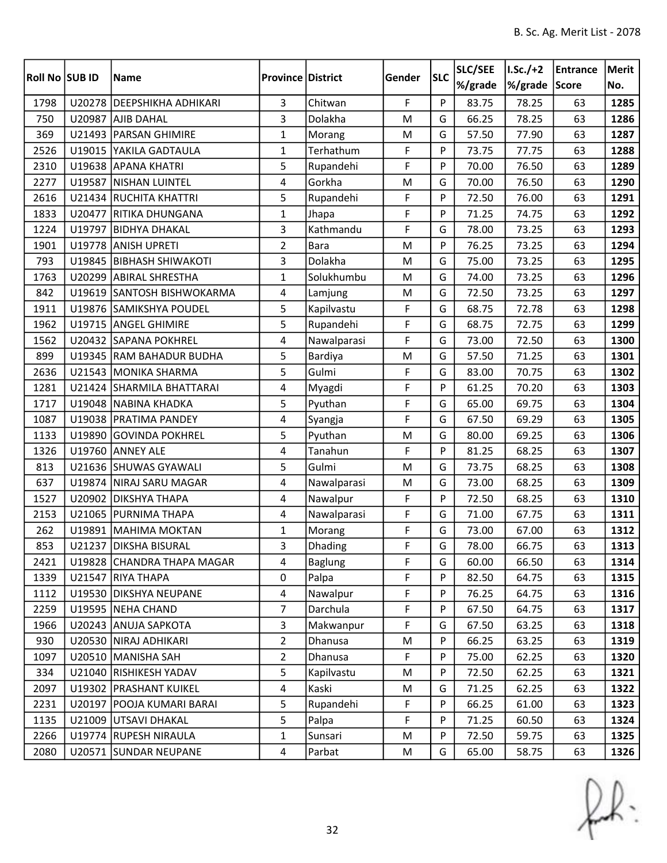| Roll No SUB ID |        | <b>Name</b>                 | <b>Province District</b> |                | Gender      | <b>SLC</b> | <b>SLC/SEE</b> | I.Sc./+2 | <b>Entrance</b> | Merit |
|----------------|--------|-----------------------------|--------------------------|----------------|-------------|------------|----------------|----------|-----------------|-------|
|                |        |                             |                          |                |             |            | %/grade        | %/grade  | Score           | No.   |
| 1798           |        | U20278 DEEPSHIKHA ADHIKARI  | $\overline{3}$           | Chitwan        | F           | P          | 83.75          | 78.25    | 63              | 1285  |
| 750            | U20987 | <b>AJIB DAHAL</b>           | 3                        | Dolakha        | M           | G          | 66.25          | 78.25    | 63              | 1286  |
| 369            |        | U21493 PARSAN GHIMIRE       | $\mathbf{1}$             | Morang         | M           | G          | 57.50          | 77.90    | 63              | 1287  |
| 2526           |        | U19015 YAKILA GADTAULA      | $\mathbf{1}$             | Terhathum      | F           | P          | 73.75          | 77.75    | 63              | 1288  |
| 2310           |        | U19638 APANA KHATRI         | 5                        | Rupandehi      | F           | P          | 70.00          | 76.50    | 63              | 1289  |
| 2277           |        | U19587 NISHAN LUINTEL       | 4                        | Gorkha         | M           | G          | 70.00          | 76.50    | 63              | 1290  |
| 2616           |        | U21434 RUCHITA KHATTRI      | 5                        | Rupandehi      | F           | P          | 72.50          | 76.00    | 63              | 1291  |
| 1833           | U20477 | <b>RITIKA DHUNGANA</b>      | $\mathbf{1}$             | Jhapa          | F           | P          | 71.25          | 74.75    | 63              | 1292  |
| 1224           | U19797 | <b>BIDHYA DHAKAL</b>        | 3                        | Kathmandu      | $\mathsf F$ | G          | 78.00          | 73.25    | 63              | 1293  |
| 1901           |        | U19778 ANISH UPRETI         | $\overline{2}$           | <b>Bara</b>    | M           | P          | 76.25          | 73.25    | 63              | 1294  |
| 793            |        | U19845   BIBHASH SHIWAKOTI  | 3                        | Dolakha        | M           | G          | 75.00          | 73.25    | 63              | 1295  |
| 1763           | U20299 | <b>ABIRAL SHRESTHA</b>      | $\mathbf{1}$             | Solukhumbu     | M           | G          | 74.00          | 73.25    | 63              | 1296  |
| 842            |        | U19619 SANTOSH BISHWOKARMA  | 4                        | Lamjung        | M           | G          | 72.50          | 73.25    | 63              | 1297  |
| 1911           |        | U19876 SAMIKSHYA POUDEL     | 5                        | Kapilvastu     | F           | G          | 68.75          | 72.78    | 63              | 1298  |
| 1962           |        | U19715 ANGEL GHIMIRE        | 5                        | Rupandehi      | F           | G          | 68.75          | 72.75    | 63              | 1299  |
| 1562           |        | U20432 SAPANA POKHREL       | 4                        | Nawalparasi    | $\mathsf F$ | G          | 73.00          | 72.50    | 63              | 1300  |
| 899            |        | U19345 RAM BAHADUR BUDHA    | 5                        | Bardiya        | M           | G          | 57.50          | 71.25    | 63              | 1301  |
| 2636           |        | U21543 MONIKA SHARMA        | 5                        | Gulmi          | F           | G          | 83.00          | 70.75    | 63              | 1302  |
| 1281           |        | U21424 SHARMILA BHATTARAI   | 4                        | Myagdi         | F           | P          | 61.25          | 70.20    | 63              | 1303  |
| 1717           |        | U19048 NABINA KHADKA        | 5                        | Pyuthan        | F           | G          | 65.00          | 69.75    | 63              | 1304  |
| 1087           |        | U19038   PRATIMA PANDEY     | 4                        | Syangja        | F           | G          | 67.50          | 69.29    | 63              | 1305  |
| 1133           |        | U19890 GOVINDA POKHREL      | 5                        | Pyuthan        | M           | G          | 80.00          | 69.25    | 63              | 1306  |
| 1326           | U19760 | <b>ANNEY ALE</b>            | 4                        | Tanahun        | F           | P          | 81.25          | 68.25    | 63              | 1307  |
| 813            |        | U21636 SHUWAS GYAWALI       | 5                        | Gulmi          | ${\sf M}$   | G          | 73.75          | 68.25    | 63              | 1308  |
| 637            |        | U19874 NIRAJ SARU MAGAR     | 4                        | Nawalparasi    | M           | G          | 73.00          | 68.25    | 63              | 1309  |
| 1527           |        | U20902 DIKSHYA THAPA        | 4                        | Nawalpur       | F           | P          | 72.50          | 68.25    | 63              | 1310  |
| 2153           |        | U21065 PURNIMA THAPA        | 4                        | Nawalparasi    | $\mathsf F$ | G          | 71.00          | 67.75    | 63              | 1311  |
| 262            |        | U19891   MAHIMA MOKTAN      | $\mathbf{1}$             | Morang         | F           | G          | 73.00          | 67.00    | 63              | 1312  |
| 853            |        | U21237 DIKSHA BISURAL       | 3                        | Dhading        | $\mathsf F$ | G          | 78.00          | 66.75    | 63              | 1313  |
| 2421           |        | U19828 CHANDRA THAPA MAGAR  | 4                        | <b>Baglung</b> | F           | G          | 60.00          | 66.50    | 63              | 1314  |
| 1339           |        | U21547 RIYA THAPA           | 0                        | Palpa          | F           | P          | 82.50          | 64.75    | 63              | 1315  |
| 1112           |        | U19530 DIKSHYA NEUPANE      | $\overline{4}$           | Nawalpur       | F           | P          | 76.25          | 64.75    | 63              | 1316  |
| 2259           |        | U19595 NEHA CHAND           | 7                        | Darchula       | F           | P          | 67.50          | 64.75    | 63              | 1317  |
| 1966           |        | U20243 ANUJA SAPKOTA        | $\overline{3}$           | Makwanpur      | F           | G          | 67.50          | 63.25    | 63              | 1318  |
| 930            |        | U20530 NIRAJ ADHIKARI       | $\overline{2}$           | Dhanusa        | M           | P          | 66.25          | 63.25    | 63              | 1319  |
| 1097           |        | U20510 MANISHA SAH          | $\overline{2}$           | Dhanusa        | F           | P          | 75.00          | 62.25    | 63              | 1320  |
| 334            |        | U21040 RISHIKESH YADAV      | 5                        | Kapilvastu     | M           | P          | 72.50          | 62.25    | 63              | 1321  |
| 2097           |        | U19302 PRASHANT KUIKEL      | $\overline{4}$           | Kaski          | M           | G          | 71.25          | 62.25    | 63              | 1322  |
| 2231           |        | U20197   POOJA KUMARI BARAI | 5                        | Rupandehi      | F           | P          | 66.25          | 61.00    | 63              | 1323  |
| 1135           |        | U21009 UTSAVI DHAKAL        | 5                        | Palpa          | F           | P          | 71.25          | 60.50    | 63              | 1324  |
| 2266           |        | U19774 RUPESH NIRAULA       | $\mathbf{1}$             | Sunsari        | M           | P          | 72.50          | 59.75    | 63              | 1325  |
| 2080           |        | U20571 SUNDAR NEUPANE       | 4                        | Parbat         | M           | G          | 65.00          | 58.75    | 63              | 1326  |

 $f(x)$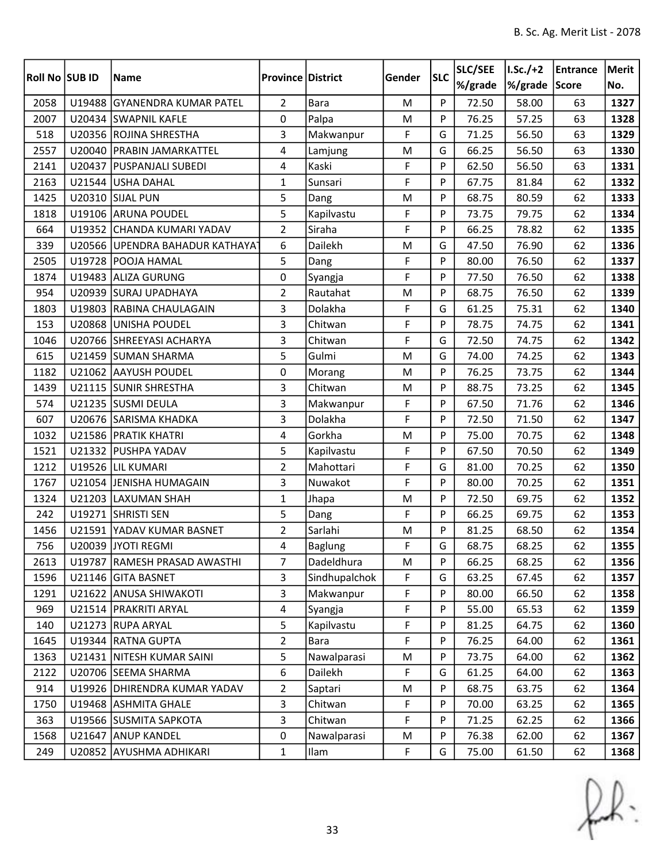|                |        |                                 |                          |               |             |            | <b>SLC/SEE</b> | $ I.Sc./+2 $ | Entrance | Merit |
|----------------|--------|---------------------------------|--------------------------|---------------|-------------|------------|----------------|--------------|----------|-------|
| Roll No SUB ID |        | Name                            | <b>Province District</b> |               | Gender      | <b>SLC</b> | %/grade        | %/grade      | Score    | No.   |
| 2058           |        | U19488 GYANENDRA KUMAR PATEL    | $\overline{2}$           | <b>Bara</b>   | M           | P          | 72.50          | 58.00        | 63       | 1327  |
| 2007           |        | U20434 SWAPNIL KAFLE            | 0                        | Palpa         | M           | P          | 76.25          | 57.25        | 63       | 1328  |
| 518            |        | U20356 ROJINA SHRESTHA          | 3                        | Makwanpur     | F           | G          | 71.25          | 56.50        | 63       | 1329  |
| 2557           |        | U20040   PRABIN JAMARKATTEL     | 4                        | Lamjung       | M           | G          | 66.25          | 56.50        | 63       | 1330  |
| 2141           |        | U20437 PUSPANJALI SUBEDI        | 4                        | Kaski         | F           | P          | 62.50          | 56.50        | 63       | 1331  |
| 2163           |        | U21544 USHA DAHAL               | $\mathbf{1}$             | Sunsari       | F           | P          | 67.75          | 81.84        | 62       | 1332  |
| 1425           |        | U20310 SIJAL PUN                | 5                        | Dang          | M           | P          | 68.75          | 80.59        | 62       | 1333  |
| 1818           |        | U19106 ARUNA POUDEL             | 5                        | Kapilvastu    | $\mathsf F$ | P          | 73.75          | 79.75        | 62       | 1334  |
| 664            |        | U19352 CHANDA KUMARI YADAV      | $\overline{2}$           | Siraha        | $\mathsf F$ | P          | 66.25          | 78.82        | 62       | 1335  |
| 339            |        | U20566 UPENDRA BAHADUR KATHAYAT | 6                        | Dailekh       | M           | G          | 47.50          | 76.90        | 62       | 1336  |
| 2505           |        | U19728 POOJA HAMAL              | 5                        | Dang          | $\mathsf F$ | P          | 80.00          | 76.50        | 62       | 1337  |
| 1874           |        | U19483 ALIZA GURUNG             | 0                        | Syangja       | $\mathsf F$ | P          | 77.50          | 76.50        | 62       | 1338  |
| 954            |        | U20939 SURAJ UPADHAYA           | $\overline{2}$           | Rautahat      | M           | P          | 68.75          | 76.50        | 62       | 1339  |
| 1803           | U19803 | RABINA CHAULAGAIN               | 3                        | Dolakha       | F           | G          | 61.25          | 75.31        | 62       | 1340  |
| 153            |        | U20868 UNISHA POUDEL            | 3                        | Chitwan       | F           | P          | 78.75          | 74.75        | 62       | 1341  |
| 1046           |        | U20766 SHREEYASI ACHARYA        | 3                        | Chitwan       | F           | G          | 72.50          | 74.75        | 62       | 1342  |
| 615            |        | U21459 SUMAN SHARMA             | 5                        | Gulmi         | M           | G          | 74.00          | 74.25        | 62       | 1343  |
| 1182           |        | U21062 AAYUSH POUDEL            | 0                        | Morang        | M           | P          | 76.25          | 73.75        | 62       | 1344  |
| 1439           |        | U21115 SUNIR SHRESTHA           | 3                        | Chitwan       | M           | P          | 88.75          | 73.25        | 62       | 1345  |
| 574            |        | U21235 SUSMI DEULA              | 3                        | Makwanpur     | F           | P          | 67.50          | 71.76        | 62       | 1346  |
| 607            |        | U20676 SARISMA KHADKA           | 3                        | Dolakha       | F           | P          | 72.50          | 71.50        | 62       | 1347  |
| 1032           |        | U21586 PRATIK KHATRI            | 4                        | Gorkha        | M           | P          | 75.00          | 70.75        | 62       | 1348  |
| 1521           |        | U21332 PUSHPA YADAV             | 5                        | Kapilvastu    | F           | P          | 67.50          | 70.50        | 62       | 1349  |
| 1212           |        | U19526 LIL KUMARI               | $\overline{2}$           | Mahottari     | F           | G          | 81.00          | 70.25        | 62       | 1350  |
| 1767           |        | U21054 JENISHA HUMAGAIN         | 3                        | Nuwakot       | F           | P          | 80.00          | 70.25        | 62       | 1351  |
| 1324           |        | U21203 LAXUMAN SHAH             | $\mathbf{1}$             | Jhapa         | M           | P          | 72.50          | 69.75        | 62       | 1352  |
| 242            |        | U19271 SHRISTI SEN              | 5                        | Dang          | $\mathsf F$ | P          | 66.25          | 69.75        | 62       | 1353  |
| 1456           |        | U21591 YADAV KUMAR BASNET       | $\mathbf 2$              | Sarlahi       | M           | P          | 81.25          | 68.50        | 62       | 1354  |
| 756            |        | U20039 JYOTI REGMI              | 4                        | Baglung       | $\mathsf F$ | G          | 68.75          | 68.25        | 62       | 1355  |
| 2613           |        | U19787   RAMESH PRASAD AWASTHI  | 7                        | Dadeldhura    | M           | P          | 66.25          | 68.25        | 62       | 1356  |
| 1596           |        | U21146 GITA BASNET              | $\overline{3}$           | Sindhupalchok | $\mathsf F$ | G          | 63.25          | 67.45        | 62       | 1357  |
| 1291           |        | U21622 ANUSA SHIWAKOTI          | $\overline{3}$           | Makwanpur     | F           | P          | 80.00          | 66.50        | 62       | 1358  |
| 969            |        | U21514   PRAKRITI ARYAL         | $\overline{4}$           | Syangja       | F           | P          | 55.00          | 65.53        | 62       | 1359  |
| 140            |        | U21273 RUPA ARYAL               | 5                        | Kapilvastu    | F           | P          | 81.25          | 64.75        | 62       | 1360  |
| 1645           |        | U19344 RATNA GUPTA              | $\overline{2}$           | Bara          | F           | P          | 76.25          | 64.00        | 62       | 1361  |
| 1363           |        | U21431 NITESH KUMAR SAINI       | 5                        | Nawalparasi   | M           | P          | 73.75          | 64.00        | 62       | 1362  |
| 2122           |        | U20706 SEEMA SHARMA             | 6                        | Dailekh       | F           | G          | 61.25          | 64.00        | 62       | 1363  |
| 914            |        | U19926 DHIRENDRA KUMAR YADAV    | $\overline{2}$           | Saptari       | M           | P          | 68.75          | 63.75        | 62       | 1364  |
| 1750           |        | U19468 ASHMITA GHALE            | $\overline{3}$           | Chitwan       | F           | P          | 70.00          | 63.25        | 62       | 1365  |
| 363            |        | U19566 SUSMITA SAPKOTA          | 3                        | Chitwan       | F           | P          | 71.25          | 62.25        | 62       | 1366  |
| 1568           |        | U21647 ANUP KANDEL              | 0                        | Nawalparasi   | M           | P          | 76.38          | 62.00        | 62       | 1367  |
| 249            |        | U20852 AYUSHMA ADHIKARI         | $\mathbf{1}$             | Ilam          | $\mathsf F$ | G          | 75.00          | 61.50        | 62       | 1368  |

 $f(x)$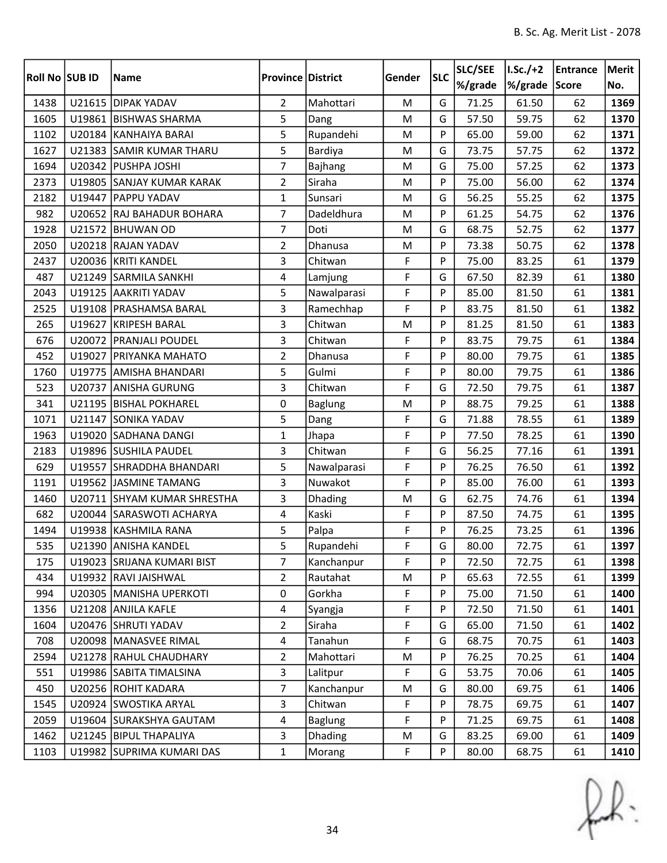| Roll No SUB ID |        | Name                        | <b>Province District</b> |                | Gender      | <b>SLC</b> | <b>SLC/SEE</b> | I.Sc./+2 | <b>Entrance</b> | <b>Merit</b> |
|----------------|--------|-----------------------------|--------------------------|----------------|-------------|------------|----------------|----------|-----------------|--------------|
|                |        |                             |                          |                |             |            | %/grade        | %/grade  | Score           | No.          |
| 1438           |        | U21615 DIPAK YADAV          | $\overline{2}$           | Mahottari      | M           | G          | 71.25          | 61.50    | 62              | 1369         |
| 1605           | U19861 | <b>BISHWAS SHARMA</b>       | 5                        | Dang           | M           | G          | 57.50          | 59.75    | 62              | 1370         |
| 1102           |        | U20184 KANHAIYA BARAI       | 5                        | Rupandehi      | M           | P          | 65.00          | 59.00    | 62              | 1371         |
| 1627           |        | U21383 SAMIR KUMAR THARU    | 5                        | Bardiya        | M           | G          | 73.75          | 57.75    | 62              | 1372         |
| 1694           |        | U20342 PUSHPA JOSHI         | $\overline{7}$           | <b>Bajhang</b> | ${\sf M}$   | G          | 75.00          | 57.25    | 62              | 1373         |
| 2373           |        | U19805 SANJAY KUMAR KARAK   | $\overline{2}$           | Siraha         | M           | P          | 75.00          | 56.00    | 62              | 1374         |
| 2182           |        | U19447 PAPPU YADAV          | $\mathbf{1}$             | Sunsari        | M           | G          | 56.25          | 55.25    | 62              | 1375         |
| 982            |        | U20652 RAJ BAHADUR BOHARA   | $\overline{7}$           | Dadeldhura     | M           | P          | 61.25          | 54.75    | 62              | 1376         |
| 1928           |        | U21572 BHUWAN OD            | 7                        | Doti           | M           | G          | 68.75          | 52.75    | 62              | 1377         |
| 2050           |        | U20218 RAJAN YADAV          | $\overline{2}$           | Dhanusa        | M           | P          | 73.38          | 50.75    | 62              | 1378         |
| 2437           |        | U20036 KRITI KANDEL         | 3                        | Chitwan        | $\mathsf F$ | P          | 75.00          | 83.25    | 61              | 1379         |
| 487            |        | U21249 SARMILA SANKHI       | 4                        | Lamjung        | F           | G          | 67.50          | 82.39    | 61              | 1380         |
| 2043           |        | U19125 AAKRITI YADAV        | 5                        | Nawalparasi    | F           | P          | 85.00          | 81.50    | 61              | 1381         |
| 2525           |        | U19108   PRASHAMSA BARAL    | 3                        | Ramechhap      | $\mathsf F$ | P          | 83.75          | 81.50    | 61              | 1382         |
| 265            | U19627 | <b>KRIPESH BARAL</b>        | 3                        | Chitwan        | M           | P          | 81.25          | 81.50    | 61              | 1383         |
| 676            |        | U20072   PRANJALI POUDEL    | 3                        | Chitwan        | $\mathsf F$ | P          | 83.75          | 79.75    | 61              | 1384         |
| 452            |        | U19027 PRIYANKA MAHATO      | $\overline{2}$           | Dhanusa        | $\mathsf F$ | P          | 80.00          | 79.75    | 61              | 1385         |
| 1760           |        | U19775 AMISHA BHANDARI      | 5                        | Gulmi          | F           | P          | 80.00          | 79.75    | 61              | 1386         |
| 523            |        | U20737 ANISHA GURUNG        | 3                        | Chitwan        | F           | G          | 72.50          | 79.75    | 61              | 1387         |
| 341            |        | U21195 BISHAL POKHAREL      | 0                        | <b>Baglung</b> | M           | P          | 88.75          | 79.25    | 61              | 1388         |
| 1071           |        | U21147 SONIKA YADAV         | 5                        | Dang           | F           | G          | 71.88          | 78.55    | 61              | 1389         |
| 1963           |        | U19020 SADHANA DANGI        | $\mathbf{1}$             | Jhapa          | F           | P          | 77.50          | 78.25    | 61              | 1390         |
| 2183           |        | U19896 SUSHILA PAUDEL       | 3                        | Chitwan        | $\mathsf F$ | G          | 56.25          | 77.16    | 61              | 1391         |
| 629            |        | U19557 SHRADDHA BHANDARI    | 5                        | Nawalparasi    | F           | P          | 76.25          | 76.50    | 61              | 1392         |
| 1191           |        | U19562 JJASMINE TAMANG      | 3                        | Nuwakot        | F           | P          | 85.00          | 76.00    | 61              | 1393         |
| 1460           |        | U20711 SHYAM KUMAR SHRESTHA | 3                        | Dhading        | M           | G          | 62.75          | 74.76    | 61              | 1394         |
| 682            |        | U20044 SARASWOTI ACHARYA    | 4                        | Kaski          | $\mathsf F$ | P          | 87.50          | 74.75    | 61              | 1395         |
| 1494           |        | U19938 KASHMILA RANA        | 5                        | Palpa          | F           | P          | 76.25          | 73.25    | 61              | 1396         |
| 535            |        | U21390 ANISHA KANDEL        | 5                        | Rupandehi      | $\mathsf F$ | G          | 80.00          | 72.75    | 61              | 1397         |
| 175            |        | U19023 SRIJANA KUMARI BIST  | 7                        | Kanchanpur     | F           | P          | 72.50          | 72.75    | 61              | 1398         |
| 434            |        | U19932 RAVI JAISHWAL        | $\overline{2}$           | Rautahat       | M           | P          | 65.63          | 72.55    | 61              | 1399         |
| 994            |        | U20305   MANISHA UPERKOTI   | 0                        | Gorkha         | F           | P          | 75.00          | 71.50    | 61              | 1400         |
| 1356           |        | U21208 ANJILA KAFLE         | $\overline{4}$           | Syangja        | F           | P          | 72.50          | 71.50    | 61              | 1401         |
| 1604           |        | U20476 SHRUTI YADAV         | $\overline{2}$           | Siraha         | F           | G          | 65.00          | 71.50    | 61              | 1402         |
| 708            |        | U20098   MANASVEE RIMAL     | 4                        | Tanahun        | F           | G          | 68.75          | 70.75    | 61              | 1403         |
| 2594           |        | U21278 RAHUL CHAUDHARY      | $\overline{2}$           | Mahottari      | M           | P          | 76.25          | 70.25    | 61              | 1404         |
| 551            |        | U19986 SABITA TIMALSINA     | 3                        | Lalitpur       | F           | G          | 53.75          | 70.06    | 61              | 1405         |
| 450            |        | U20256 ROHIT KADARA         | $\overline{7}$           | Kanchanpur     | M           | G          | 80.00          | 69.75    | 61              | 1406         |
| 1545           |        | U20924 SWOSTIKA ARYAL       | $\overline{3}$           | Chitwan        | F           | P          | 78.75          | 69.75    | 61              | 1407         |
| 2059           |        | U19604 SURAKSHYA GAUTAM     | $\overline{4}$           | <b>Baglung</b> | F           | P          | 71.25          | 69.75    | 61              | 1408         |
| 1462           |        | U21245   BIPUL THAPALIYA    | 3                        | <b>Dhading</b> | M           | G          | 83.25          | 69.00    | 61              | 1409         |
| 1103           |        | U19982 SUPRIMA KUMARI DAS   | $\mathbf 1$              | Morang         | $\mathsf F$ | P          | 80.00          | 68.75    | 61              | 1410         |

 $f(x)$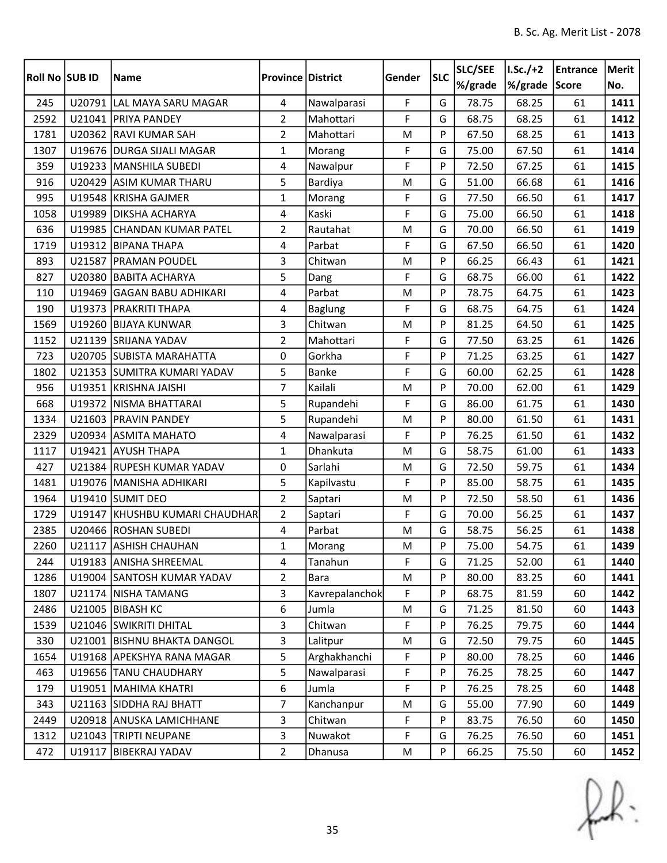| Roll No SUB ID |        | Name                          | <b>Province District</b> |                | Gender      | <b>SLC</b> | <b>SLC/SEE</b> | I.Sc./+2 | Entrance | Merit |
|----------------|--------|-------------------------------|--------------------------|----------------|-------------|------------|----------------|----------|----------|-------|
|                |        |                               |                          |                |             |            | %/grade        | %/grade  | Score    | No.   |
| 245            | U20791 | LAL MAYA SARU MAGAR           | $\overline{4}$           | Nawalparasi    | $\mathsf F$ | G          | 78.75          | 68.25    | 61       | 1411  |
| 2592           |        | U21041 PRIYA PANDEY           | $\overline{2}$           | Mahottari      | F           | G          | 68.75          | 68.25    | 61       | 1412  |
| 1781           |        | U20362 RAVI KUMAR SAH         | $\overline{2}$           | Mahottari      | M           | P          | 67.50          | 68.25    | 61       | 1413  |
| 1307           |        | U19676   DURGA SIJALI MAGAR   | $\mathbf{1}$             | Morang         | F           | G          | 75.00          | 67.50    | 61       | 1414  |
| 359            |        | U19233 MANSHILA SUBEDI        | 4                        | Nawalpur       | F           | P          | 72.50          | 67.25    | 61       | 1415  |
| 916            |        | U20429 ASIM KUMAR THARU       | 5                        | Bardiya        | M           | G          | 51.00          | 66.68    | 61       | 1416  |
| 995            |        | U19548 KRISHA GAJMER          | $\mathbf{1}$             | Morang         | F           | G          | 77.50          | 66.50    | 61       | 1417  |
| 1058           |        | U19989 DIKSHA ACHARYA         | 4                        | Kaski          | F           | G          | 75.00          | 66.50    | 61       | 1418  |
| 636            |        | U19985 CHANDAN KUMAR PATEL    | $\overline{2}$           | Rautahat       | M           | G          | 70.00          | 66.50    | 61       | 1419  |
| 1719           |        | U19312 BIPANA THAPA           | 4                        | Parbat         | $\mathsf F$ | G          | 67.50          | 66.50    | 61       | 1420  |
| 893            | U21587 | <b>PRAMAN POUDEL</b>          | 3                        | Chitwan        | M           | P          | 66.25          | 66.43    | 61       | 1421  |
| 827            | U20380 | <b>BABITA ACHARYA</b>         | 5                        | Dang           | F           | G          | 68.75          | 66.00    | 61       | 1422  |
| 110            | U19469 | <b>GAGAN BABU ADHIKARI</b>    | 4                        | Parbat         | M           | P          | 78.75          | 64.75    | 61       | 1423  |
| 190            | U19373 | <b>PRAKRITI THAPA</b>         | 4                        | <b>Baglung</b> | F           | G          | 68.75          | 64.75    | 61       | 1424  |
| 1569           |        | U19260 BIJAYA KUNWAR          | 3                        | Chitwan        | M           | P          | 81.25          | 64.50    | 61       | 1425  |
| 1152           |        | U21139 SRIJANA YADAV          | $\overline{2}$           | Mahottari      | $\mathsf F$ | G          | 77.50          | 63.25    | 61       | 1426  |
| 723            |        | U20705 SUBISTA MARAHATTA      | 0                        | Gorkha         | $\mathsf F$ | P          | 71.25          | 63.25    | 61       | 1427  |
| 1802           |        | U21353 SUMITRA KUMARI YADAV   | 5                        | <b>Banke</b>   | F           | G          | 60.00          | 62.25    | 61       | 1428  |
| 956            |        | U19351 KRISHNA JAISHI         | $\overline{7}$           | Kailali        | M           | P          | 70.00          | 62.00    | 61       | 1429  |
| 668            |        | U19372 NISMA BHATTARAI        | 5                        | Rupandehi      | $\mathsf F$ | G          | 86.00          | 61.75    | 61       | 1430  |
| 1334           |        | U21603 PRAVIN PANDEY          | 5                        | Rupandehi      | M           | P          | 80.00          | 61.50    | 61       | 1431  |
| 2329           |        | U20934 ASMITA MAHATO          | 4                        | Nawalparasi    | F           | P          | 76.25          | 61.50    | 61       | 1432  |
| 1117           |        | U19421 AYUSH THAPA            | $\mathbf{1}$             | Dhankuta       | M           | G          | 58.75          | 61.00    | 61       | 1433  |
| 427            |        | U21384 RUPESH KUMAR YADAV     | 0                        | Sarlahi        | M           | G          | 72.50          | 59.75    | 61       | 1434  |
| 1481           |        | U19076 MANISHA ADHIKARI       | 5                        | Kapilvastu     | F           | P          | 85.00          | 58.75    | 61       | 1435  |
| 1964           |        | U19410 SUMIT DEO              | $\overline{2}$           | Saptari        | M           | P          | 72.50          | 58.50    | 61       | 1436  |
| 1729           | U19147 | KHUSHBU KUMARI CHAUDHAR       | $\overline{2}$           | Saptari        | $\mathsf F$ | G          | 70.00          | 56.25    | 61       | 1437  |
| 2385           |        | U20466 ROSHAN SUBEDI          | 4                        | Parbat         | M           | G          | 58.75          | 56.25    | 61       | 1438  |
| 2260           |        | U21117 ASHISH CHAUHAN         | $\mathbf{1}$             | Morang         | M           | P          | 75.00          | 54.75    | 61       | 1439  |
| 244            |        | U19183 ANISHA SHREEMAL        | 4                        | Tanahun        | F           | G          | 71.25          | 52.00    | 61       | 1440  |
| 1286           |        | U19004 SANTOSH KUMAR YADAV    | $\overline{2}$           | <b>Bara</b>    | M           | P          | 80.00          | 83.25    | 60       | 1441  |
| 1807           |        | U21174 NISHA TAMANG           | $\overline{3}$           | Kavrepalanchok | F           | P          | 68.75          | 81.59    | 60       | 1442  |
| 2486           |        | U21005 BIBASH KC              | 6                        | Jumla          | M           | G          | 71.25          | 81.50    | 60       | 1443  |
| 1539           |        | U21046 SWIKRITI DHITAL        | 3                        | Chitwan        | F           | P          | 76.25          | 79.75    | 60       | 1444  |
| 330            |        | U21001   BISHNU BHAKTA DANGOL | $\overline{3}$           | Lalitpur       | M           | G          | 72.50          | 79.75    | 60       | 1445  |
| 1654           |        | U19168 APEKSHYA RANA MAGAR    | 5                        | Arghakhanchi   | F           | P          | 80.00          | 78.25    | 60       | 1446  |
| 463            |        | U19656 TANU CHAUDHARY         | 5                        | Nawalparasi    | F           | P          | 76.25          | 78.25    | 60       | 1447  |
| 179            |        | U19051 MAHIMA KHATRI          | 6                        | Jumla          | F           | P          | 76.25          | 78.25    | 60       | 1448  |
| 343            |        | U21163 SIDDHA RAJ BHATT       | 7                        | Kanchanpur     | M           | G          | 55.00          | 77.90    | 60       | 1449  |
| 2449           |        | U20918 ANUSKA LAMICHHANE      | 3                        | Chitwan        | F           | P          | 83.75          | 76.50    | 60       | 1450  |
| 1312           |        | U21043 TRIPTI NEUPANE         | 3                        | Nuwakot        | F           | G          | 76.25          | 76.50    | 60       | 1451  |
| 472            |        | U19117 BIBEKRAJ YADAV         | $\overline{2}$           | Dhanusa        | M           | P          | 66.25          | 75.50    | 60       | 1452  |

 $f(x)$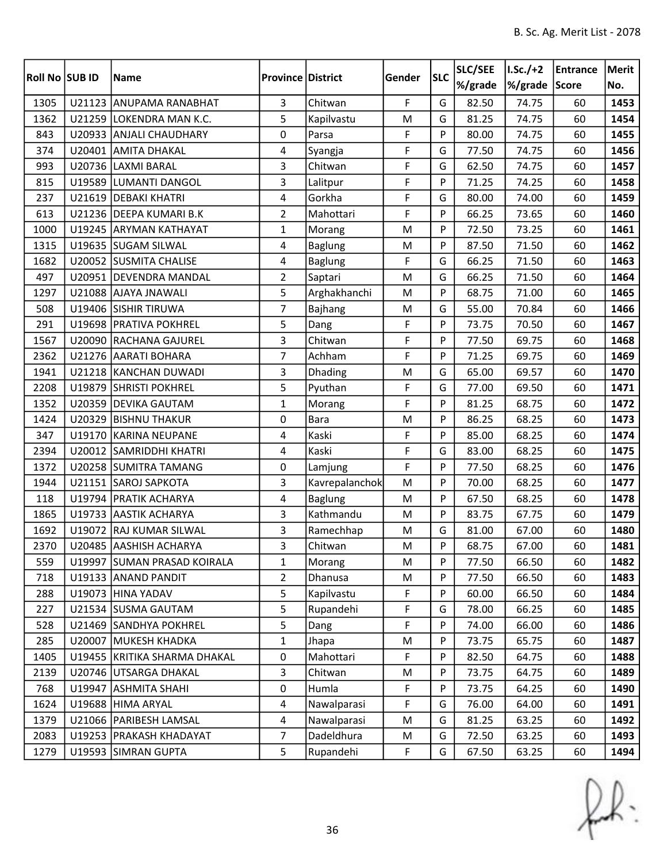| <b>Roll No SUB ID</b> |        | Name                         | <b>Province District</b> |                | Gender      | <b>SLC</b> | <b>SLC/SEE</b> | I.Sc./+2       | Entrance | Merit |
|-----------------------|--------|------------------------------|--------------------------|----------------|-------------|------------|----------------|----------------|----------|-------|
|                       |        |                              |                          |                |             |            | %/grade        | %/grade  Score |          | No.   |
| 1305                  |        | U21123 ANUPAMA RANABHAT      | $\overline{3}$           | Chitwan        | F           | G          | 82.50          | 74.75          | 60       | 1453  |
| 1362                  |        | U21259 LOKENDRA MAN K.C.     | 5                        | Kapilvastu     | M           | G          | 81.25          | 74.75          | 60       | 1454  |
| 843                   |        | U20933 ANJALI CHAUDHARY      | 0                        | Parsa          | F           | P          | 80.00          | 74.75          | 60       | 1455  |
| 374                   | U20401 | <b>AMITA DHAKAL</b>          | 4                        | Syangja        | F           | G          | 77.50          | 74.75          | 60       | 1456  |
| 993                   |        | U20736 LAXMI BARAL           | 3                        | Chitwan        | F           | G          | 62.50          | 74.75          | 60       | 1457  |
| 815                   |        | U19589 LUMANTI DANGOL        | 3                        | Lalitpur       | F           | P          | 71.25          | 74.25          | 60       | 1458  |
| 237                   | U21619 | <b>DEBAKI KHATRI</b>         | 4                        | Gorkha         | F           | G          | 80.00          | 74.00          | 60       | 1459  |
| 613                   |        | U21236 DEEPA KUMARI B.K      | $\overline{2}$           | Mahottari      | F           | P          | 66.25          | 73.65          | 60       | 1460  |
| 1000                  |        | U19245 ARYMAN KATHAYAT       | 1                        | Morang         | M           | P          | 72.50          | 73.25          | 60       | 1461  |
| 1315                  |        | U19635 SUGAM SILWAL          | 4                        | <b>Baglung</b> | M           | P          | 87.50          | 71.50          | 60       | 1462  |
| 1682                  |        | U20052 SUSMITA CHALISE       | 4                        | <b>Baglung</b> | $\mathsf F$ | G          | 66.25          | 71.50          | 60       | 1463  |
| 497                   |        | U20951 DEVENDRA MANDAL       | $\overline{2}$           | Saptari        | M           | G          | 66.25          | 71.50          | 60       | 1464  |
| 1297                  | U21088 | <b>AJAYA JNAWALI</b>         | 5                        | Arghakhanchi   | M           | P          | 68.75          | 71.00          | 60       | 1465  |
| 508                   |        | U19406 SISHIR TIRUWA         | $\overline{7}$           | Bajhang        | M           | G          | 55.00          | 70.84          | 60       | 1466  |
| 291                   |        | U19698   PRATIVA POKHREL     | 5                        | Dang           | F           | P          | 73.75          | 70.50          | 60       | 1467  |
| 1567                  |        | U20090 RACHANA GAJUREL       | 3                        | Chitwan        | F           | P          | 77.50          | 69.75          | 60       | 1468  |
| 2362                  |        | U21276 AARATI BOHARA         | $\overline{7}$           | Achham         | F           | P          | 71.25          | 69.75          | 60       | 1469  |
| 1941                  |        | U21218 KANCHAN DUWADI        | 3                        | Dhading        | M           | G          | 65.00          | 69.57          | 60       | 1470  |
| 2208                  | U19879 | <b>SHRISTI POKHREL</b>       | 5                        | Pyuthan        | $\mathsf F$ | G          | 77.00          | 69.50          | 60       | 1471  |
| 1352                  |        | U20359 DEVIKA GAUTAM         | $\mathbf{1}$             | Morang         | F           | P          | 81.25          | 68.75          | 60       | 1472  |
| 1424                  | U20329 | <b>BISHNU THAKUR</b>         | 0                        | <b>Bara</b>    | M           | P          | 86.25          | 68.25          | 60       | 1473  |
| 347                   | U19170 | KARINA NEUPANE               | 4                        | Kaski          | F           | P          | 85.00          | 68.25          | 60       | 1474  |
| 2394                  | U20012 | SAMRIDDHI KHATRI             | 4                        | Kaski          | $\mathsf F$ | G          | 83.00          | 68.25          | 60       | 1475  |
| 1372                  |        | U20258 SUMITRA TAMANG        | 0                        | Lamjung        | F           | P          | 77.50          | 68.25          | 60       | 1476  |
| 1944                  |        | U21151 SAROJ SAPKOTA         | 3                        | Kavrepalanchok | M           | P          | 70.00          | 68.25          | 60       | 1477  |
| 118                   |        | U19794   PRATIK ACHARYA      | 4                        | <b>Baglung</b> | M           | P          | 67.50          | 68.25          | 60       | 1478  |
| 1865                  |        | U19733 AASTIK ACHARYA        | 3                        | Kathmandu      | M           | P          | 83.75          | 67.75          | 60       | 1479  |
| 1692                  |        | U19072 RAJ KUMAR SILWAL      | 3                        | Ramechhap      | M           | G          | 81.00          | 67.00          | 60       | 1480  |
| 2370                  |        | U20485 AASHISH ACHARYA       | 3                        | Chitwan        | M           | P          | 68.75          | 67.00          | 60       | 1481  |
| 559                   |        | U19997 SUMAN PRASAD KOIRALA  | 1                        | Morang         | M           | P          | 77.50          | 66.50          | 60       | 1482  |
| 718                   |        | U19133 ANAND PANDIT          | $\overline{2}$           | Dhanusa        | M           | P          | 77.50          | 66.50          | 60       | 1483  |
| 288                   |        | U19073 HINA YADAV            | 5                        | Kapilvastu     | F           | P          | 60.00          | 66.50          | 60       | 1484  |
| 227                   |        | U21534 SUSMA GAUTAM          | 5                        | Rupandehi      | F           | G          | 78.00          | 66.25          | 60       | 1485  |
| 528                   |        | U21469 SANDHYA POKHREL       | 5                        | Dang           | F           | P          | 74.00          | 66.00          | 60       | 1486  |
| 285                   | U20007 | MUKESH KHADKA                | 1                        | Jhapa          | M           | P          | 73.75          | 65.75          | 60       | 1487  |
| 1405                  |        | U19455 KRITIKA SHARMA DHAKAL | $\mathbf 0$              | Mahottari      | F           | P          | 82.50          | 64.75          | 60       | 1488  |
| 2139                  |        | U20746 UTSARGA DHAKAL        | 3                        | Chitwan        | M           | P          | 73.75          | 64.75          | 60       | 1489  |
| 768                   | U19947 | <b>ASHMITA SHAHI</b>         | 0                        | Humla          | F           | P          | 73.75          | 64.25          | 60       | 1490  |
| 1624                  |        | U19688 HIMA ARYAL            | 4                        | Nawalparasi    | F           | G          | 76.00          | 64.00          | 60       | 1491  |
| 1379                  |        | U21066 PARIBESH LAMSAL       | 4                        | Nawalparasi    | M           | G          | 81.25          | 63.25          | 60       | 1492  |
| 2083                  | U19253 | <b>PRAKASH KHADAYAT</b>      | 7                        | Dadeldhura     | M           | G          | 72.50          | 63.25          | 60       | 1493  |
| 1279                  |        | U19593 SIMRAN GUPTA          | 5                        | Rupandehi      | F           | G          | 67.50          | 63.25          | 60       | 1494  |

 $f(x)$